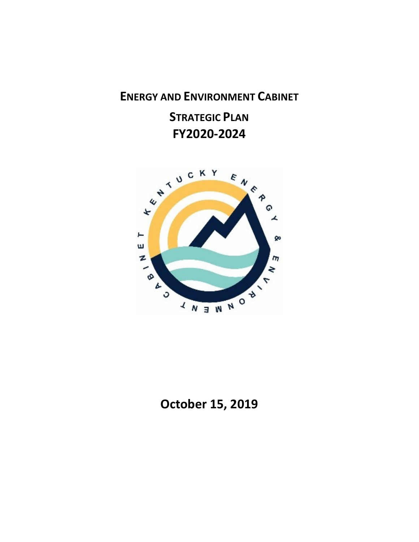## ENERGY AND ENVIRONMENT CABINET

# STRATEGIC PLAN FY2020-2024



## October 15, 2019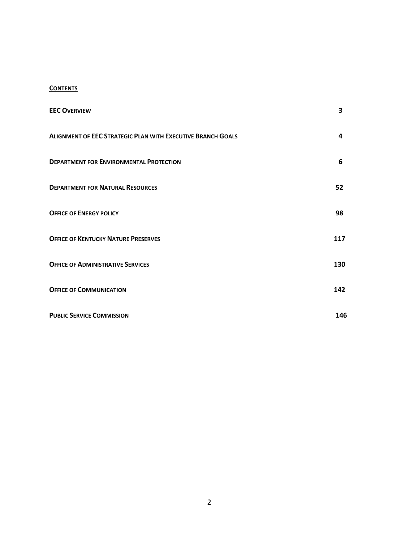## **CONTENTS**

| <b>EEC OVERVIEW</b>                                                | 3   |
|--------------------------------------------------------------------|-----|
| <b>ALIGNMENT OF EEC STRATEGIC PLAN WITH EXECUTIVE BRANCH GOALS</b> | 4   |
| <b>DEPARTMENT FOR ENVIRONMENTAL PROTECTION</b>                     | 6   |
| <b>DEPARTMENT FOR NATURAL RESOURCES</b>                            | 52  |
| <b>OFFICE OF ENERGY POLICY</b>                                     | 98  |
| <b>OFFICE OF KENTUCKY NATURE PRESERVES</b>                         | 117 |
| <b>OFFICE OF ADMINISTRATIVE SERVICES</b>                           | 130 |
| <b>OFFICE OF COMMUNICATION</b>                                     | 142 |
| <b>PUBLIC SERVICE COMMISSION</b>                                   | 146 |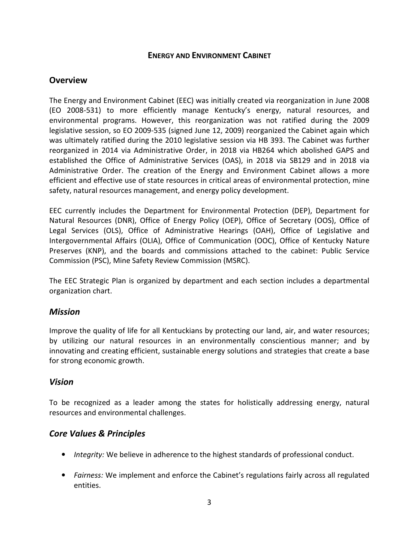## ENERGY AND ENVIRONMENT CABINET

## **Overview**

The Energy and Environment Cabinet (EEC) was initially created via reorganization in June 2008 (EO 2008-531) to more efficiently manage Kentucky's energy, natural resources, and environmental programs. However, this reorganization was not ratified during the 2009 legislative session, so EO 2009-535 (signed June 12, 2009) reorganized the Cabinet again which was ultimately ratified during the 2010 legislative session via HB 393. The Cabinet was further reorganized in 2014 via Administrative Order, in 2018 via HB264 which abolished GAPS and established the Office of Administrative Services (OAS), in 2018 via SB129 and in 2018 via Administrative Order. The creation of the Energy and Environment Cabinet allows a more efficient and effective use of state resources in critical areas of environmental protection, mine safety, natural resources management, and energy policy development.

EEC currently includes the Department for Environmental Protection (DEP), Department for Natural Resources (DNR), Office of Energy Policy (OEP), Office of Secretary (OOS), Office of Legal Services (OLS), Office of Administrative Hearings (OAH), Office of Legislative and Intergovernmental Affairs (OLIA), Office of Communication (OOC), Office of Kentucky Nature Preserves (KNP), and the boards and commissions attached to the cabinet: Public Service Commission (PSC), Mine Safety Review Commission (MSRC).

The EEC Strategic Plan is organized by department and each section includes a departmental organization chart.

## Mission

Improve the quality of life for all Kentuckians by protecting our land, air, and water resources; by utilizing our natural resources in an environmentally conscientious manner; and by innovating and creating efficient, sustainable energy solutions and strategies that create a base for strong economic growth.

## Vision

To be recognized as a leader among the states for holistically addressing energy, natural resources and environmental challenges.

## Core Values & Principles

- Integrity: We believe in adherence to the highest standards of professional conduct.
- Fairness: We implement and enforce the Cabinet's regulations fairly across all regulated entities.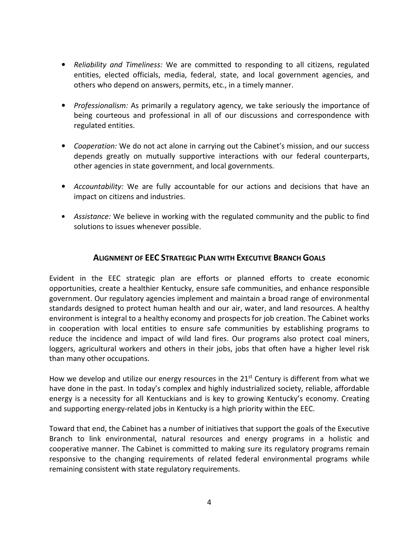- Reliability and Timeliness: We are committed to responding to all citizens, regulated entities, elected officials, media, federal, state, and local government agencies, and others who depend on answers, permits, etc., in a timely manner.
- Professionalism: As primarily a regulatory agency, we take seriously the importance of being courteous and professional in all of our discussions and correspondence with regulated entities.
- Cooperation: We do not act alone in carrying out the Cabinet's mission, and our success depends greatly on mutually supportive interactions with our federal counterparts, other agencies in state government, and local governments.
- Accountability: We are fully accountable for our actions and decisions that have an impact on citizens and industries.
- Assistance: We believe in working with the regulated community and the public to find solutions to issues whenever possible.

## ALIGNMENT OF EEC STRATEGIC PLAN WITH EXECUTIVE BRANCH GOALS

Evident in the EEC strategic plan are efforts or planned efforts to create economic opportunities, create a healthier Kentucky, ensure safe communities, and enhance responsible government. Our regulatory agencies implement and maintain a broad range of environmental standards designed to protect human health and our air, water, and land resources. A healthy environment is integral to a healthy economy and prospects for job creation. The Cabinet works in cooperation with local entities to ensure safe communities by establishing programs to reduce the incidence and impact of wild land fires. Our programs also protect coal miners, loggers, agricultural workers and others in their jobs, jobs that often have a higher level risk than many other occupations.

How we develop and utilize our energy resources in the  $21^{st}$  Century is different from what we have done in the past. In today's complex and highly industrialized society, reliable, affordable energy is a necessity for all Kentuckians and is key to growing Kentucky's economy. Creating and supporting energy-related jobs in Kentucky is a high priority within the EEC.

Toward that end, the Cabinet has a number of initiatives that support the goals of the Executive Branch to link environmental, natural resources and energy programs in a holistic and cooperative manner. The Cabinet is committed to making sure its regulatory programs remain responsive to the changing requirements of related federal environmental programs while remaining consistent with state regulatory requirements.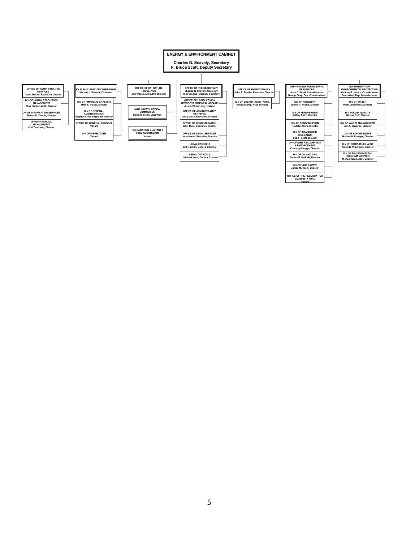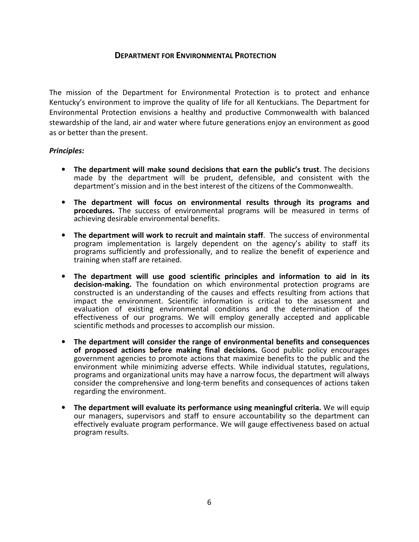## DEPARTMENT FOR ENVIRONMENTAL PROTECTION

The mission of the Department for Environmental Protection is to protect and enhance Kentucky's environment to improve the quality of life for all Kentuckians. The Department for Environmental Protection envisions a healthy and productive Commonwealth with balanced stewardship of the land, air and water where future generations enjoy an environment as good as or better than the present.

#### Principles:

- The department will make sound decisions that earn the public's trust. The decisions made by the department will be prudent, defensible, and consistent with the department's mission and in the best interest of the citizens of the Commonwealth.
- The department will focus on environmental results through its programs and procedures. The success of environmental programs will be measured in terms of achieving desirable environmental benefits.
- The department will work to recruit and maintain staff. The success of environmental program implementation is largely dependent on the agency's ability to staff its programs sufficiently and professionally, and to realize the benefit of experience and training when staff are retained.
- The department will use good scientific principles and information to aid in its decision-making. The foundation on which environmental protection programs are constructed is an understanding of the causes and effects resulting from actions that impact the environment. Scientific information is critical to the assessment and evaluation of existing environmental conditions and the determination of the effectiveness of our programs. We will employ generally accepted and applicable scientific methods and processes to accomplish our mission.
- The department will consider the range of environmental benefits and consequences of proposed actions before making final decisions. Good public policy encourages government agencies to promote actions that maximize benefits to the public and the environment while minimizing adverse effects. While individual statutes, regulations, programs and organizational units may have a narrow focus, the department will always consider the comprehensive and long-term benefits and consequences of actions taken regarding the environment.
- The department will evaluate its performance using meaningful criteria. We will equip our managers, supervisors and staff to ensure accountability so the department can effectively evaluate program performance. We will gauge effectiveness based on actual program results.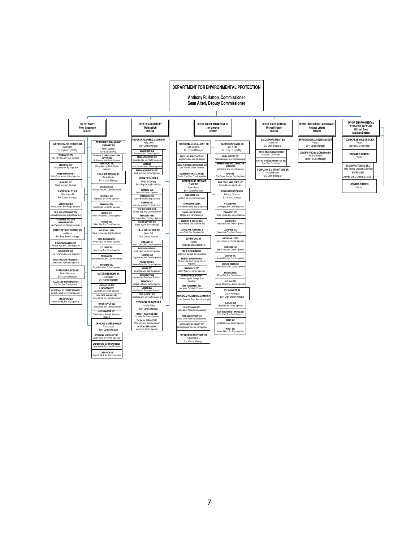**DEPARTMENT FOR ENVIRONMENTAL PROTECTION**

**Anthony R. Hatton, Commissioner Sean Alteri, Deputy Commissioner**

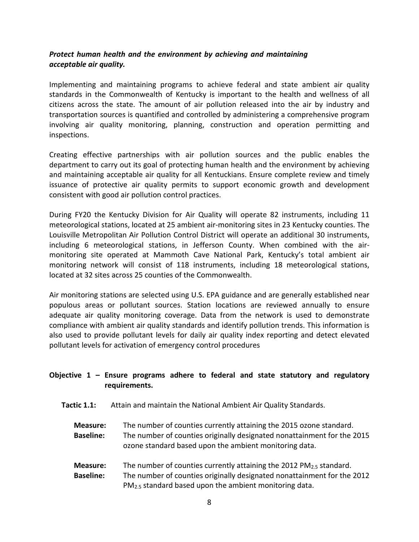## Protect human health and the environment by achieving and maintaining acceptable air quality.

Implementing and maintaining programs to achieve federal and state ambient air quality standards in the Commonwealth of Kentucky is important to the health and wellness of all citizens across the state. The amount of air pollution released into the air by industry and transportation sources is quantified and controlled by administering a comprehensive program involving air quality monitoring, planning, construction and operation permitting and inspections.

Creating effective partnerships with air pollution sources and the public enables the department to carry out its goal of protecting human health and the environment by achieving and maintaining acceptable air quality for all Kentuckians. Ensure complete review and timely issuance of protective air quality permits to support economic growth and development consistent with good air pollution control practices.

During FY20 the Kentucky Division for Air Quality will operate 82 instruments, including 11 meteorological stations, located at 25 ambient air-monitoring sites in 23 Kentucky counties. The Louisville Metropolitan Air Pollution Control District will operate an additional 30 instruments, including 6 meteorological stations, in Jefferson County. When combined with the airmonitoring site operated at Mammoth Cave National Park, Kentucky's total ambient air monitoring network will consist of 118 instruments, including 18 meteorological stations, located at 32 sites across 25 counties of the Commonwealth.

Air monitoring stations are selected using U.S. EPA guidance and are generally established near populous areas or pollutant sources. Station locations are reviewed annually to ensure adequate air quality monitoring coverage. Data from the network is used to demonstrate compliance with ambient air quality standards and identify pollution trends. This information is also used to provide pollutant levels for daily air quality index reporting and detect elevated pollutant levels for activation of emergency control procedures

## Objective 1 – Ensure programs adhere to federal and state statutory and regulatory requirements.

Tactic 1.1: Attain and maintain the National Ambient Air Quality Standards.

Measure: The number of counties currently attaining the 2015 ozone standard. Baseline: The number of counties originally designated nonattainment for the 2015 ozone standard based upon the ambient monitoring data.

**Measure:** The number of counties currently attaining the 2012 PM<sub>2.5</sub> standard. Baseline: The number of counties originally designated nonattainment for the 2012 PM2.5 standard based upon the ambient monitoring data.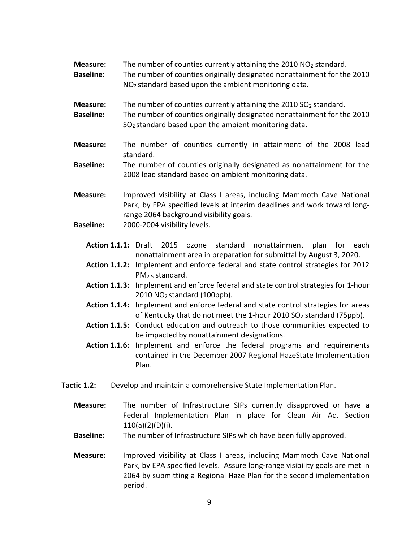**Measure:** The number of counties currently attaining the 2010  $NO<sub>2</sub>$  standard. Baseline: The number of counties originally designated nonattainment for the 2010 NO2 standard based upon the ambient monitoring data.

**Measure:** The number of counties currently attaining the 2010  $SO<sub>2</sub>$  standard.

- Baseline: The number of counties originally designated nonattainment for the 2010 SO2 standard based upon the ambient monitoring data.
- Measure: The number of counties currently in attainment of the 2008 lead standard.
- **Baseline:** The number of counties originally designated as nonattainment for the 2008 lead standard based on ambient monitoring data.
- Measure: Improved visibility at Class I areas, including Mammoth Cave National Park, by EPA specified levels at interim deadlines and work toward longrange 2064 background visibility goals.
- Baseline: 2000-2004 visibility levels.
	- Action 1.1.1: Draft 2015 ozone standard nonattainment plan for each nonattainment area in preparation for submittal by August 3, 2020.
	- Action 1.1.2: Implement and enforce federal and state control strategies for 2012 PM2.5 standard.
	- Action 1.1.3: Implement and enforce federal and state control strategies for 1-hour  $2010$  NO<sub>2</sub> standard (100ppb).
	- Action 1.1.4: Implement and enforce federal and state control strategies for areas of Kentucky that do not meet the 1-hour 2010  $SO<sub>2</sub>$  standard (75ppb).
	- Action 1.1.5: Conduct education and outreach to those communities expected to be impacted by nonattainment designations.
	- Action 1.1.6: Implement and enforce the federal programs and requirements contained in the December 2007 Regional HazeState Implementation Plan.
- Tactic 1.2: Develop and maintain a comprehensive State Implementation Plan.
	- Measure: The number of Infrastructure SIPs currently disapproved or have a Federal Implementation Plan in place for Clean Air Act Section 110(a)(2)(D)(i).
	- Baseline: The number of Infrastructure SIPs which have been fully approved.
	- Measure: Improved visibility at Class I areas, including Mammoth Cave National Park, by EPA specified levels. Assure long-range visibility goals are met in 2064 by submitting a Regional Haze Plan for the second implementation period.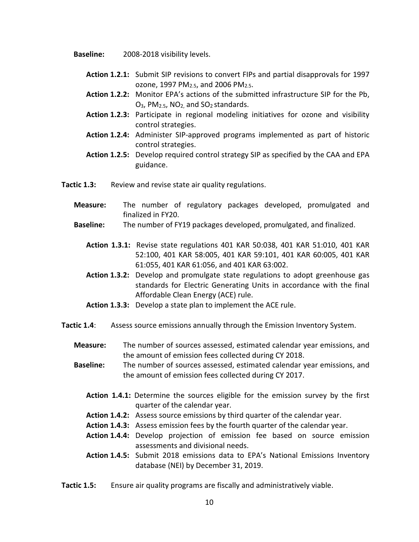Baseline: 2008-2018 visibility levels.

- Action 1.2.1: Submit SIP revisions to convert FIPs and partial disapprovals for 1997 ozone, 1997 PM2.5, and 2006 PM2.5.
- Action 1.2.2: Monitor EPA's actions of the submitted infrastructure SIP for the Pb. O3, PM2.5, NO2, and SO2 standards.
- Action 1.2.3: Participate in regional modeling initiatives for ozone and visibility control strategies.
- Action 1.2.4: Administer SIP-approved programs implemented as part of historic control strategies.
- Action 1.2.5: Develop required control strategy SIP as specified by the CAA and EPA guidance.
- Tactic 1.3: Review and revise state air quality regulations.
	- Measure: The number of regulatory packages developed, promulgated and finalized in FY20.
	- Baseline: The number of FY19 packages developed, promulgated, and finalized.
		- Action 1.3.1: Revise state regulations 401 KAR 50:038, 401 KAR 51:010, 401 KAR 52:100, 401 KAR 58:005, 401 KAR 59:101, 401 KAR 60:005, 401 KAR 61:055, 401 KAR 61:056, and 401 KAR 63:002.
		- Action 1.3.2: Develop and promulgate state regulations to adopt greenhouse gas standards for Electric Generating Units in accordance with the final Affordable Clean Energy (ACE) rule.
		- Action 1.3.3: Develop a state plan to implement the ACE rule.
- Tactic 1.4: Assess source emissions annually through the Emission Inventory System.
	- Measure: The number of sources assessed, estimated calendar year emissions, and the amount of emission fees collected during CY 2018.
	- Baseline: The number of sources assessed, estimated calendar year emissions, and the amount of emission fees collected during CY 2017.
		- Action 1.4.1: Determine the sources eligible for the emission survey by the first quarter of the calendar year.
		- Action 1.4.2: Assess source emissions by third quarter of the calendar year.
		- Action 1.4.3: Assess emission fees by the fourth quarter of the calendar year.
		- Action 1.4.4: Develop projection of emission fee based on source emission assessments and divisional needs.
		- Action 1.4.5: Submit 2018 emissions data to EPA's National Emissions Inventory database (NEI) by December 31, 2019.
- Tactic 1.5: Ensure air quality programs are fiscally and administratively viable.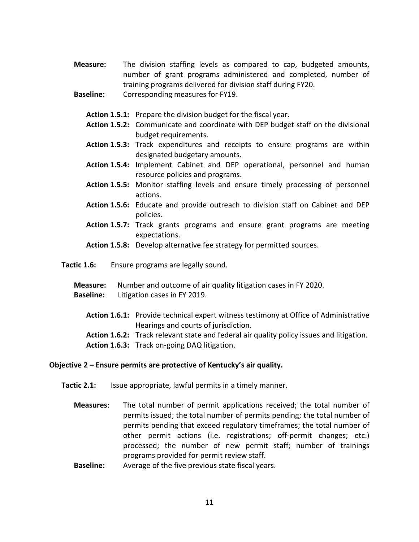- Measure: The division staffing levels as compared to cap, budgeted amounts, number of grant programs administered and completed, number of training programs delivered for division staff during FY20.
- Baseline: Corresponding measures for FY19.
	- Action 1.5.1: Prepare the division budget for the fiscal year.
	- Action 1.5.2: Communicate and coordinate with DEP budget staff on the divisional budget requirements.
	- Action 1.5.3: Track expenditures and receipts to ensure programs are within designated budgetary amounts.
	- Action 1.5.4: Implement Cabinet and DEP operational, personnel and human resource policies and programs.
	- Action 1.5.5: Monitor staffing levels and ensure timely processing of personnel actions.
	- Action 1.5.6: Educate and provide outreach to division staff on Cabinet and DEP policies.
	- Action 1.5.7: Track grants programs and ensure grant programs are meeting expectations.
	- Action 1.5.8: Develop alternative fee strategy for permitted sources.
- Tactic 1.6: Ensure programs are legally sound.
	- Measure: Number and outcome of air quality litigation cases in FY 2020.
	- Baseline: Litigation cases in FY 2019.
		- Action 1.6.1: Provide technical expert witness testimony at Office of Administrative Hearings and courts of jurisdiction.
		- Action 1.6.2: Track relevant state and federal air quality policy issues and litigation.
		- Action 1.6.3: Track on-going DAQ litigation.

#### Objective 2 – Ensure permits are protective of Kentucky's air quality.

- Tactic 2.1: Issue appropriate, lawful permits in a timely manner.
	- Measures: The total number of permit applications received; the total number of permits issued; the total number of permits pending; the total number of permits pending that exceed regulatory timeframes; the total number of other permit actions (i.e. registrations; off-permit changes; etc.) processed; the number of new permit staff; number of trainings programs provided for permit review staff.
	- **Baseline:** Average of the five previous state fiscal years.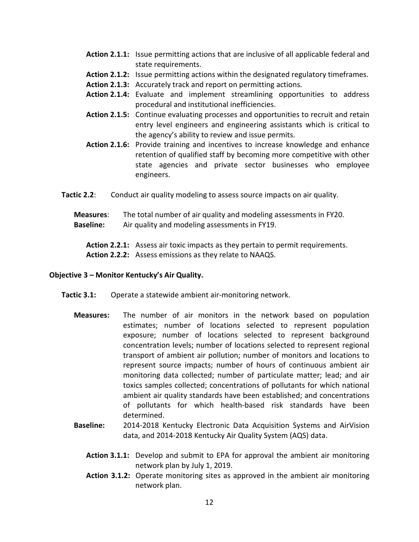- Action 2.1.1: Issue permitting actions that are inclusive of all applicable federal and state requirements.
- Action 2.1.2: Issue permitting actions within the designated regulatory timeframes.
- Action 2.1.3: Accurately track and report on permitting actions.
- Action 2.1.4: Evaluate and implement streamlining opportunities to address procedural and institutional inefficiencies.
- Action 2.1.5: Continue evaluating processes and opportunities to recruit and retain entry level engineers and engineering assistants which is critical to the agency's ability to review and issue permits.
- Action 2.1.6: Provide training and incentives to increase knowledge and enhance retention of qualified staff by becoming more competitive with other state agencies and private sector businesses who employee engineers.
- Tactic 2.2: Conduct air quality modeling to assess source impacts on air quality.

Measures: The total number of air quality and modeling assessments in FY20. **Baseline:** Air quality and modeling assessments in FY19.

Action 2.2.1: Assess air toxic impacts as they pertain to permit requirements. Action 2.2.2: Assess emissions as they relate to NAAQS.

#### Objective 3 – Monitor Kentucky's Air Quality.

- Tactic 3.1: Operate a statewide ambient air-monitoring network.
	- Measures: The number of air monitors in the network based on population estimates; number of locations selected to represent population exposure; number of locations selected to represent background concentration levels; number of locations selected to represent regional transport of ambient air pollution; number of monitors and locations to represent source impacts; number of hours of continuous ambient air monitoring data collected; number of particulate matter; lead; and air toxics samples collected; concentrations of pollutants for which national ambient air quality standards have been established; and concentrations of pollutants for which health-based risk standards have been determined.
	- Baseline: 2014-2018 Kentucky Electronic Data Acquisition Systems and AirVision data, and 2014-2018 Kentucky Air Quality System (AQS) data.
		- Action 3.1.1: Develop and submit to EPA for approval the ambient air monitoring network plan by July 1, 2019.
		- Action 3.1.2: Operate monitoring sites as approved in the ambient air monitoring network plan.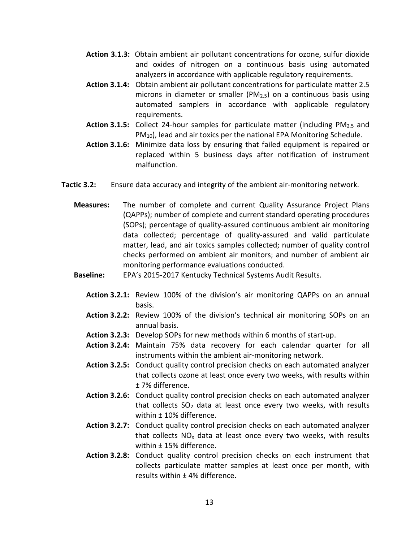- Action 3.1.3: Obtain ambient air pollutant concentrations for ozone, sulfur dioxide and oxides of nitrogen on a continuous basis using automated analyzers in accordance with applicable regulatory requirements.
- Action 3.1.4: Obtain ambient air pollutant concentrations for particulate matter 2.5 microns in diameter or smaller (PM2.5) on a continuous basis using automated samplers in accordance with applicable regulatory requirements.
- **Action 3.1.5:** Collect 24-hour samples for particulate matter (including  $PM_{2.5}$  and  $PM_{10}$ ), lead and air toxics per the national EPA Monitoring Schedule.
- Action 3.1.6: Minimize data loss by ensuring that failed equipment is repaired or replaced within 5 business days after notification of instrument malfunction.
- Tactic 3.2: Ensure data accuracy and integrity of the ambient air-monitoring network.
	- Measures: The number of complete and current Quality Assurance Project Plans (QAPPs); number of complete and current standard operating procedures (SOPs); percentage of quality-assured continuous ambient air monitoring data collected; percentage of quality-assured and valid particulate matter, lead, and air toxics samples collected; number of quality control checks performed on ambient air monitors; and number of ambient air monitoring performance evaluations conducted.
	- Baseline: EPA's 2015-2017 Kentucky Technical Systems Audit Results.
		- Action 3.2.1: Review 100% of the division's air monitoring QAPPs on an annual basis.
		- Action 3.2.2: Review 100% of the division's technical air monitoring SOPs on an annual basis.
		- Action 3.2.3: Develop SOPs for new methods within 6 months of start-up.
		- Action 3.2.4: Maintain 75% data recovery for each calendar quarter for all instruments within the ambient air-monitoring network.
		- Action 3.2.5: Conduct quality control precision checks on each automated analyzer that collects ozone at least once every two weeks, with results within ± 7% difference.
		- Action 3.2.6: Conduct quality control precision checks on each automated analyzer that collects  $SO<sub>2</sub>$  data at least once every two weeks, with results within ± 10% difference.
		- Action 3.2.7: Conduct quality control precision checks on each automated analyzer that collects  $NO<sub>x</sub>$  data at least once every two weeks, with results within ± 15% difference.
		- Action 3.2.8: Conduct quality control precision checks on each instrument that collects particulate matter samples at least once per month, with results within ± 4% difference.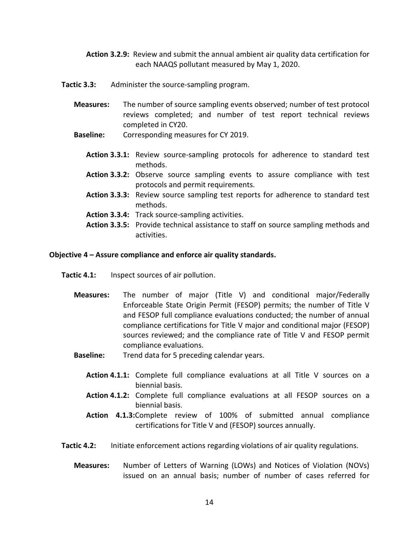Action 3.2.9: Review and submit the annual ambient air quality data certification for each NAAQS pollutant measured by May 1, 2020.

**Tactic 3.3:** Administer the source-sampling program.

- Measures: The number of source sampling events observed; number of test protocol reviews completed; and number of test report technical reviews completed in CY20.
- Baseline: Corresponding measures for CY 2019.
	- Action 3.3.1: Review source-sampling protocols for adherence to standard test methods.
	- Action 3.3.2: Observe source sampling events to assure compliance with test protocols and permit requirements.
	- Action 3.3.3: Review source sampling test reports for adherence to standard test methods.
	- Action 3.3.4: Track source-sampling activities.
	- Action 3.3.5: Provide technical assistance to staff on source sampling methods and activities.

#### Objective 4 – Assure compliance and enforce air quality standards.

- Tactic 4.1: Inspect sources of air pollution.
	- Measures: The number of major (Title V) and conditional major/Federally Enforceable State Origin Permit (FESOP) permits; the number of Title V and FESOP full compliance evaluations conducted; the number of annual compliance certifications for Title V major and conditional major (FESOP) sources reviewed; and the compliance rate of Title V and FESOP permit compliance evaluations.
	- Baseline: Trend data for 5 preceding calendar years.
		- Action 4.1.1: Complete full compliance evaluations at all Title V sources on a biennial basis.
		- Action 4.1.2: Complete full compliance evaluations at all FESOP sources on a biennial basis.
		- Action 4.1.3:Complete review of 100% of submitted annual compliance certifications for Title V and (FESOP) sources annually.
- Tactic 4.2: Initiate enforcement actions regarding violations of air quality regulations.
	- Measures: Number of Letters of Warning (LOWs) and Notices of Violation (NOVs) issued on an annual basis; number of number of cases referred for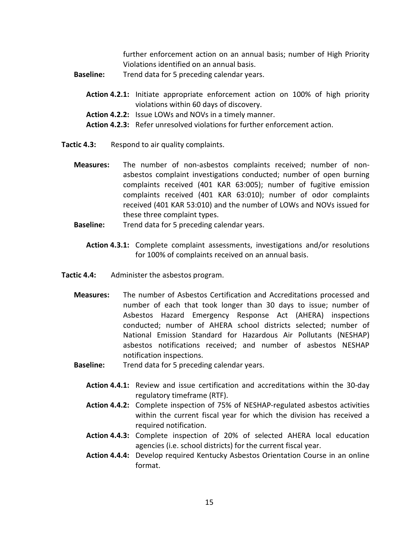further enforcement action on an annual basis; number of High Priority Violations identified on an annual basis.

- **Baseline:** Trend data for 5 preceding calendar years.
	- Action 4.2.1: Initiate appropriate enforcement action on 100% of high priority violations within 60 days of discovery.
	- Action 4.2.2: Issue LOWs and NOVs in a timely manner.
	- Action 4.2.3: Refer unresolved violations for further enforcement action.
- Tactic 4.3: Respond to air quality complaints.
	- Measures: The number of non-asbestos complaints received; number of nonasbestos complaint investigations conducted; number of open burning complaints received (401 KAR 63:005); number of fugitive emission complaints received (401 KAR 63:010); number of odor complaints received (401 KAR 53:010) and the number of LOWs and NOVs issued for these three complaint types.
	- **Baseline:** Trend data for 5 preceding calendar years.
		- Action 4.3.1: Complete complaint assessments, investigations and/or resolutions for 100% of complaints received on an annual basis.
- Tactic 4.4: Administer the asbestos program.
	- Measures: The number of Asbestos Certification and Accreditations processed and number of each that took longer than 30 days to issue; number of Asbestos Hazard Emergency Response Act (AHERA) inspections conducted; number of AHERA school districts selected; number of National Emission Standard for Hazardous Air Pollutants (NESHAP) asbestos notifications received; and number of asbestos NESHAP notification inspections.
	- **Baseline:** Trend data for 5 preceding calendar years.
		- Action 4.4.1: Review and issue certification and accreditations within the 30-day regulatory timeframe (RTF).
		- Action 4.4.2: Complete inspection of 75% of NESHAP-regulated asbestos activities within the current fiscal year for which the division has received a required notification.
		- Action 4.4.3: Complete inspection of 20% of selected AHERA local education agencies (i.e. school districts) for the current fiscal year.
		- Action 4.4.4: Develop required Kentucky Asbestos Orientation Course in an online format.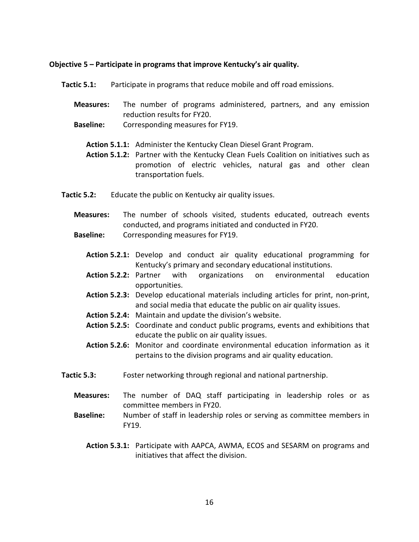#### Objective 5 – Participate in programs that improve Kentucky's air quality.

- Tactic 5.1: Participate in programs that reduce mobile and off road emissions.
	- Measures: The number of programs administered, partners, and any emission reduction results for FY20.
	- Baseline: Corresponding measures for FY19.
		- Action 5.1.1: Administer the Kentucky Clean Diesel Grant Program.
		- Action 5.1.2: Partner with the Kentucky Clean Fuels Coalition on initiatives such as promotion of electric vehicles, natural gas and other clean transportation fuels.
- Tactic 5.2: Educate the public on Kentucky air quality issues.
	- Measures: The number of schools visited, students educated, outreach events conducted, and programs initiated and conducted in FY20.
	- Baseline: Corresponding measures for FY19.
		- Action 5.2.1: Develop and conduct air quality educational programming for Kentucky's primary and secondary educational institutions.
		- Action 5.2.2: Partner with organizations on environmental education opportunities.
		- Action 5.2.3: Develop educational materials including articles for print, non-print, and social media that educate the public on air quality issues.
		- Action 5.2.4: Maintain and update the division's website.
		- Action 5.2.5: Coordinate and conduct public programs, events and exhibitions that educate the public on air quality issues.
		- Action 5.2.6: Monitor and coordinate environmental education information as it pertains to the division programs and air quality education.
- Tactic 5.3: Foster networking through regional and national partnership.
	- Measures: The number of DAQ staff participating in leadership roles or as committee members in FY20.
	- Baseline: Number of staff in leadership roles or serving as committee members in FY19.
		- Action 5.3.1: Participate with AAPCA, AWMA, ECOS and SESARM on programs and initiatives that affect the division.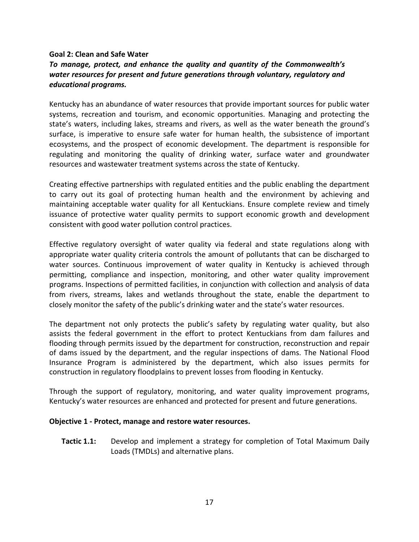#### Goal 2: Clean and Safe Water

## To manage, protect, and enhance the quality and quantity of the Commonwealth's water resources for present and future generations through voluntary, regulatory and educational programs.

Kentucky has an abundance of water resources that provide important sources for public water systems, recreation and tourism, and economic opportunities. Managing and protecting the state's waters, including lakes, streams and rivers, as well as the water beneath the ground's surface, is imperative to ensure safe water for human health, the subsistence of important ecosystems, and the prospect of economic development. The department is responsible for regulating and monitoring the quality of drinking water, surface water and groundwater resources and wastewater treatment systems across the state of Kentucky.

Creating effective partnerships with regulated entities and the public enabling the department to carry out its goal of protecting human health and the environment by achieving and maintaining acceptable water quality for all Kentuckians. Ensure complete review and timely issuance of protective water quality permits to support economic growth and development consistent with good water pollution control practices.

Effective regulatory oversight of water quality via federal and state regulations along with appropriate water quality criteria controls the amount of pollutants that can be discharged to water sources. Continuous improvement of water quality in Kentucky is achieved through permitting, compliance and inspection, monitoring, and other water quality improvement programs. Inspections of permitted facilities, in conjunction with collection and analysis of data from rivers, streams, lakes and wetlands throughout the state, enable the department to closely monitor the safety of the public's drinking water and the state's water resources.

The department not only protects the public's safety by regulating water quality, but also assists the federal government in the effort to protect Kentuckians from dam failures and flooding through permits issued by the department for construction, reconstruction and repair of dams issued by the department, and the regular inspections of dams. The National Flood Insurance Program is administered by the department, which also issues permits for construction in regulatory floodplains to prevent losses from flooding in Kentucky.

Through the support of regulatory, monitoring, and water quality improvement programs, Kentucky's water resources are enhanced and protected for present and future generations.

#### Objective 1 - Protect, manage and restore water resources.

**Tactic 1.1:** Develop and implement a strategy for completion of Total Maximum Daily Loads (TMDLs) and alternative plans.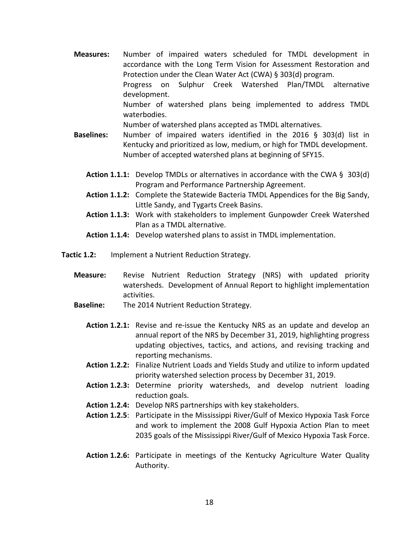Measures: Number of impaired waters scheduled for TMDL development in accordance with the Long Term Vision for Assessment Restoration and Protection under the Clean Water Act (CWA) § 303(d) program. Progress on Sulphur Creek Watershed Plan/TMDL alternative development. Number of watershed plans being implemented to address TMDL waterbodies.

Number of watershed plans accepted as TMDL alternatives.

- Baselines: Number of impaired waters identified in the 2016 § 303(d) list in Kentucky and prioritized as low, medium, or high for TMDL development. Number of accepted watershed plans at beginning of SFY15.
	- **Action 1.1.1:** Develop TMDLs or alternatives in accordance with the CWA  $\S$  303(d) Program and Performance Partnership Agreement.
	- Action 1.1.2: Complete the Statewide Bacteria TMDL Appendices for the Big Sandy, Little Sandy, and Tygarts Creek Basins.
	- Action 1.1.3: Work with stakeholders to implement Gunpowder Creek Watershed Plan as a TMDL alternative.
	- Action 1.1.4: Develop watershed plans to assist in TMDL implementation.
- Tactic 1.2: Implement a Nutrient Reduction Strategy.
	- Measure: Revise Nutrient Reduction Strategy (NRS) with updated priority watersheds. Development of Annual Report to highlight implementation activities.
	- Baseline: The 2014 Nutrient Reduction Strategy.
		- Action 1.2.1: Revise and re-issue the Kentucky NRS as an update and develop an annual report of the NRS by December 31, 2019, highlighting progress updating objectives, tactics, and actions, and revising tracking and reporting mechanisms.
		- Action 1.2.2: Finalize Nutrient Loads and Yields Study and utilize to inform updated priority watershed selection process by December 31, 2019.
		- Action 1.2.3: Determine priority watersheds, and develop nutrient loading reduction goals.
		- Action 1.2.4: Develop NRS partnerships with key stakeholders.
		- Action 1.2.5: Participate in the Mississippi River/Gulf of Mexico Hypoxia Task Force and work to implement the 2008 Gulf Hypoxia Action Plan to meet 2035 goals of the Mississippi River/Gulf of Mexico Hypoxia Task Force.
		- Action 1.2.6: Participate in meetings of the Kentucky Agriculture Water Quality Authority.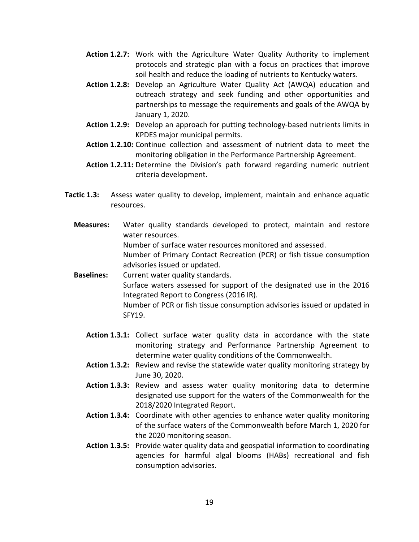- Action 1.2.7: Work with the Agriculture Water Quality Authority to implement protocols and strategic plan with a focus on practices that improve soil health and reduce the loading of nutrients to Kentucky waters.
- Action 1.2.8: Develop an Agriculture Water Quality Act (AWQA) education and outreach strategy and seek funding and other opportunities and partnerships to message the requirements and goals of the AWQA by January 1, 2020.
- Action 1.2.9: Develop an approach for putting technology-based nutrients limits in KPDES major municipal permits.
- Action 1.2.10: Continue collection and assessment of nutrient data to meet the monitoring obligation in the Performance Partnership Agreement.
- Action 1.2.11: Determine the Division's path forward regarding numeric nutrient criteria development.
- Tactic 1.3: Assess water quality to develop, implement, maintain and enhance aquatic resources.
	- Measures: Water quality standards developed to protect, maintain and restore water resources. Number of surface water resources monitored and assessed. Number of Primary Contact Recreation (PCR) or fish tissue consumption

advisories issued or updated. Baselines: Current water quality standards. Surface waters assessed for support of the designated use in the 2016 Integrated Report to Congress (2016 IR). Number of PCR or fish tissue consumption advisories issued or updated in

- SFY19.
- Action 1.3.1: Collect surface water quality data in accordance with the state monitoring strategy and Performance Partnership Agreement to determine water quality conditions of the Commonwealth.
- Action 1.3.2: Review and revise the statewide water quality monitoring strategy by June 30, 2020.
- Action 1.3.3: Review and assess water quality monitoring data to determine designated use support for the waters of the Commonwealth for the 2018/2020 Integrated Report.
- Action 1.3.4: Coordinate with other agencies to enhance water quality monitoring of the surface waters of the Commonwealth before March 1, 2020 for the 2020 monitoring season.
- Action 1.3.5: Provide water quality data and geospatial information to coordinating agencies for harmful algal blooms (HABs) recreational and fish consumption advisories.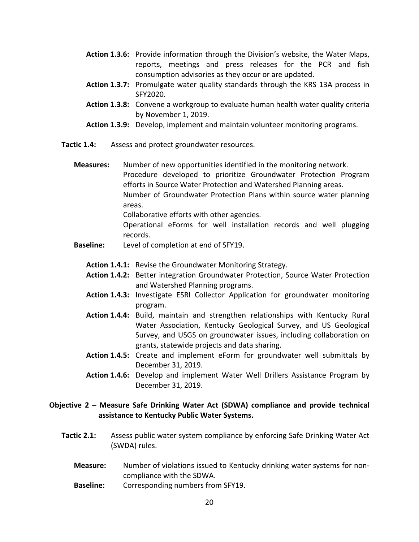- Action 1.3.6: Provide information through the Division's website, the Water Maps, reports, meetings and press releases for the PCR and fish consumption advisories as they occur or are updated.
- Action 1.3.7: Promulgate water quality standards through the KRS 13A process in SFY2020.
- Action 1.3.8: Convene a workgroup to evaluate human health water quality criteria by November 1, 2019.
- Action 1.3.9: Develop, implement and maintain volunteer monitoring programs.
- Tactic 1.4: Assess and protect groundwater resources.
	- Measures: Number of new opportunities identified in the monitoring network. Procedure developed to prioritize Groundwater Protection Program efforts in Source Water Protection and Watershed Planning areas. Number of Groundwater Protection Plans within source water planning areas. Collaborative efforts with other agencies. Operational eForms for well installation records and well plugging records.
	- Baseline: Level of completion at end of SFY19.
		- Action 1.4.1: Revise the Groundwater Monitoring Strategy.
		- Action 1.4.2: Better integration Groundwater Protection, Source Water Protection and Watershed Planning programs.
		- Action 1.4.3: Investigate ESRI Collector Application for groundwater monitoring program.
		- Action 1.4.4: Build, maintain and strengthen relationships with Kentucky Rural Water Association, Kentucky Geological Survey, and US Geological Survey, and USGS on groundwater issues, including collaboration on grants, statewide projects and data sharing.
		- Action 1.4.5: Create and implement eForm for groundwater well submittals by December 31, 2019.
		- Action 1.4.6: Develop and implement Water Well Drillers Assistance Program by December 31, 2019.

#### Objective 2 – Measure Safe Drinking Water Act (SDWA) compliance and provide technical assistance to Kentucky Public Water Systems.

- Tactic 2.1: Assess public water system compliance by enforcing Safe Drinking Water Act (SWDA) rules.
	- Measure: Number of violations issued to Kentucky drinking water systems for noncompliance with the SDWA.
	- Baseline: Corresponding numbers from SFY19.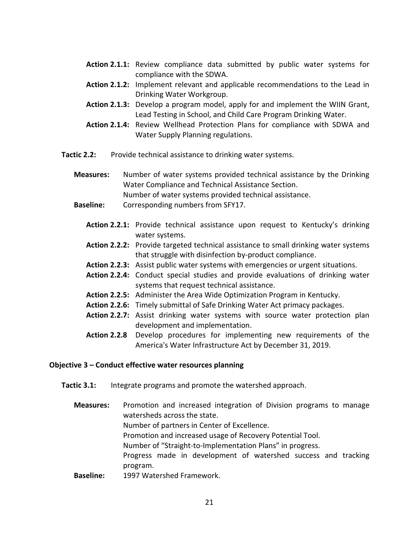- Action 2.1.1: Review compliance data submitted by public water systems for compliance with the SDWA.
- Action 2.1.2: Implement relevant and applicable recommendations to the Lead in Drinking Water Workgroup.
- Action 2.1.3: Develop a program model, apply for and implement the WIIN Grant, Lead Testing in School, and Child Care Program Drinking Water.
- Action 2.1.4: Review Wellhead Protection Plans for compliance with SDWA and Water Supply Planning regulations.
- Tactic 2.2: Provide technical assistance to drinking water systems.

Measures: Number of water systems provided technical assistance by the Drinking Water Compliance and Technical Assistance Section. Number of water systems provided technical assistance.

- Baseline: Corresponding numbers from SFY17.
	- Action 2.2.1: Provide technical assistance upon request to Kentucky's drinking water systems.
	- Action 2.2.2: Provide targeted technical assistance to small drinking water systems that struggle with disinfection by-product compliance.
	- Action 2.2.3: Assist public water systems with emergencies or urgent situations.
	- Action 2.2.4: Conduct special studies and provide evaluations of drinking water systems that request technical assistance.
	- Action 2.2.5: Administer the Area Wide Optimization Program in Kentucky.
	- Action 2.2.6: Timely submittal of Safe Drinking Water Act primacy packages.
	- Action 2.2.7: Assist drinking water systems with source water protection plan development and implementation.
	- Action 2.2.8 Develop procedures for implementing new requirements of the America's Water Infrastructure Act by December 31, 2019.

#### Objective 3 – Conduct effective water resources planning

- Tactic 3.1: Integrate programs and promote the watershed approach.
	- Measures: Promotion and increased integration of Division programs to manage watersheds across the state. Number of partners in Center of Excellence. Promotion and increased usage of Recovery Potential Tool. Number of "Straight-to-Implementation Plans" in progress. Progress made in development of watershed success and tracking program. Baseline: 1997 Watershed Framework.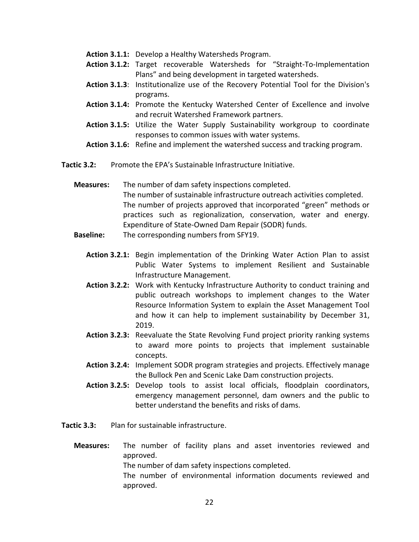- Action 3.1.1: Develop a Healthy Watersheds Program.
- Action 3.1.2: Target recoverable Watersheds for "Straight-To-Implementation Plans" and being development in targeted watersheds.
- Action 3.1.3: Institutionalize use of the Recovery Potential Tool for the Division's programs.
- Action 3.1.4: Promote the Kentucky Watershed Center of Excellence and involve and recruit Watershed Framework partners.
- Action 3.1.5: Utilize the Water Supply Sustainability workgroup to coordinate responses to common issues with water systems.
- Action 3.1.6: Refine and implement the watershed success and tracking program.
- Tactic 3.2: Promote the EPA's Sustainable Infrastructure Initiative.
	- Measures: The number of dam safety inspections completed. The number of sustainable infrastructure outreach activities completed. The number of projects approved that incorporated "green" methods or practices such as regionalization, conservation, water and energy. Expenditure of State-Owned Dam Repair (SODR) funds.
	- **Baseline:** The corresponding numbers from SFY19.
		- Action 3.2.1: Begin implementation of the Drinking Water Action Plan to assist Public Water Systems to implement Resilient and Sustainable Infrastructure Management.
		- Action 3.2.2: Work with Kentucky Infrastructure Authority to conduct training and public outreach workshops to implement changes to the Water Resource Information System to explain the Asset Management Tool and how it can help to implement sustainability by December 31, 2019.
		- Action 3.2.3: Reevaluate the State Revolving Fund project priority ranking systems to award more points to projects that implement sustainable concepts.
		- Action 3.2.4: Implement SODR program strategies and projects. Effectively manage the Bullock Pen and Scenic Lake Dam construction projects.
		- Action 3.2.5: Develop tools to assist local officials, floodplain coordinators, emergency management personnel, dam owners and the public to better understand the benefits and risks of dams.
- Tactic 3.3: Plan for sustainable infrastructure.
	- Measures: The number of facility plans and asset inventories reviewed and approved. The number of dam safety inspections completed.

The number of environmental information documents reviewed and approved.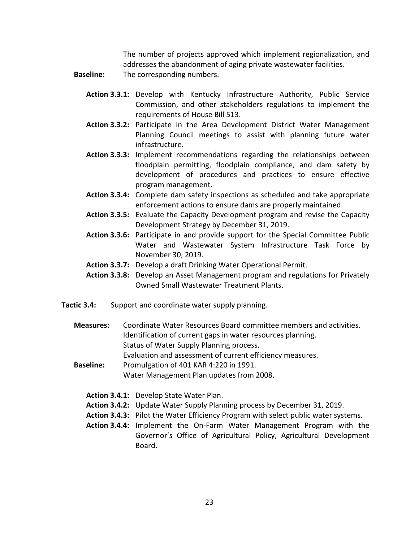The number of projects approved which implement regionalization, and addresses the abandonment of aging private wastewater facilities.

- **Baseline:** The corresponding numbers.
	- Action 3.3.1: Develop with Kentucky Infrastructure Authority, Public Service Commission, and other stakeholders regulations to implement the requirements of House Bill 513.
	- Action 3.3.2: Participate in the Area Development District Water Management Planning Council meetings to assist with planning future water infrastructure.
	- Action 3.3.3: Implement recommendations regarding the relationships between floodplain permitting, floodplain compliance, and dam safety by development of procedures and practices to ensure effective program management.
	- Action 3.3.4: Complete dam safety inspections as scheduled and take appropriate enforcement actions to ensure dams are properly maintained.
	- Action 3.3.5: Evaluate the Capacity Development program and revise the Capacity Development Strategy by December 31, 2019.
	- Action 3.3.6: Participate in and provide support for the Special Committee Public Water and Wastewater System Infrastructure Task Force by November 30, 2019.
	- Action 3.3.7: Develop a draft Drinking Water Operational Permit.
	- Action 3.3.8: Develop an Asset Management program and regulations for Privately Owned Small Wastewater Treatment Plants.
- Tactic 3.4: Support and coordinate water supply planning.
	- Measures: Coordinate Water Resources Board committee members and activities. Identification of current gaps in water resources planning. Status of Water Supply Planning process. Evaluation and assessment of current efficiency measures.
	- Baseline: Promulgation of 401 KAR 4:220 in 1991. Water Management Plan updates from 2008.
		- Action 3.4.1: Develop State Water Plan.
		- Action 3.4.2: Update Water Supply Planning process by December 31, 2019.
		- Action 3.4.3: Pilot the Water Efficiency Program with select public water systems.
		- Action 3.4.4: Implement the On-Farm Water Management Program with the Governor's Office of Agricultural Policy, Agricultural Development Board.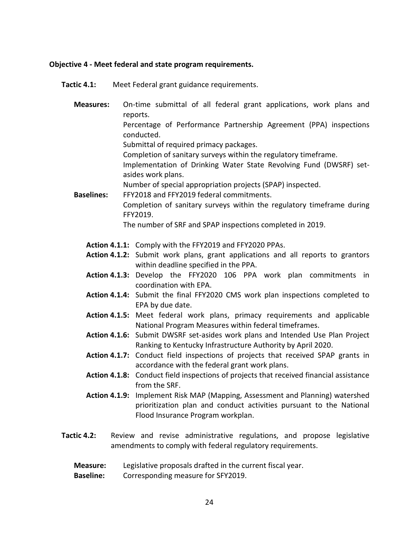#### Objective 4 - Meet federal and state program requirements.

Tactic 4.1: Meet Federal grant guidance requirements.

Measures: On-time submittal of all federal grant applications, work plans and reports. Percentage of Performance Partnership Agreement (PPA) inspections conducted. Submittal of required primacy packages. Completion of sanitary surveys within the regulatory timeframe. Implementation of Drinking Water State Revolving Fund (DWSRF) setasides work plans. Number of special appropriation projects (SPAP) inspected. Baselines: FFY2018 and FFY2019 federal commitments. Completion of sanitary surveys within the regulatory timeframe during FFY2019. The number of SRF and SPAP inspections completed in 2019.

#### Action 4.1.1: Comply with the FFY2019 and FFY2020 PPAs.

- Action 4.1.2: Submit work plans, grant applications and all reports to grantors within deadline specified in the PPA.
- Action 4.1.3: Develop the FFY2020 106 PPA work plan commitments in coordination with EPA.
- Action 4.1.4: Submit the final FFY2020 CMS work plan inspections completed to EPA by due date.
- Action 4.1.5: Meet federal work plans, primacy requirements and applicable National Program Measures within federal timeframes.
- Action 4.1.6: Submit DWSRF set-asides work plans and Intended Use Plan Project Ranking to Kentucky Infrastructure Authority by April 2020.
- Action 4.1.7: Conduct field inspections of projects that received SPAP grants in accordance with the federal grant work plans.
- Action 4.1.8: Conduct field inspections of projects that received financial assistance from the SRF.
- Action 4.1.9: Implement Risk MAP (Mapping, Assessment and Planning) watershed prioritization plan and conduct activities pursuant to the National Flood Insurance Program workplan.
- Tactic 4.2: Review and revise administrative regulations, and propose legislative amendments to comply with federal regulatory requirements.
	- **Measure:** Legislative proposals drafted in the current fiscal year.
	- **Baseline:** Corresponding measure for SFY2019.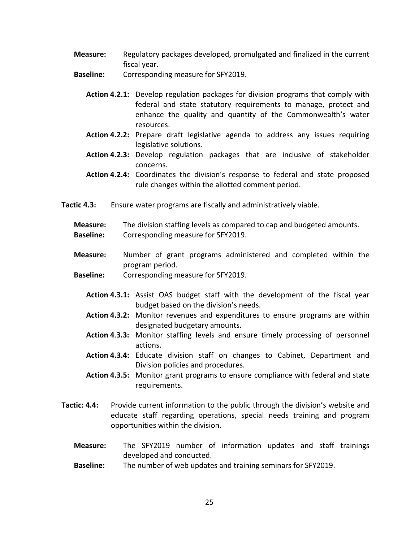- Measure: Regulatory packages developed, promulgated and finalized in the current fiscal year.
- **Baseline:** Corresponding measure for SFY2019.
	- Action 4.2.1: Develop regulation packages for division programs that comply with federal and state statutory requirements to manage, protect and enhance the quality and quantity of the Commonwealth's water resources.
	- Action 4.2.2: Prepare draft legislative agenda to address any issues requiring legislative solutions.
	- Action 4.2.3: Develop regulation packages that are inclusive of stakeholder concerns.
	- Action 4.2.4: Coordinates the division's response to federal and state proposed rule changes within the allotted comment period.
- Tactic 4.3: Ensure water programs are fiscally and administratively viable.
	- Measure: The division staffing levels as compared to cap and budgeted amounts. **Baseline:** Corresponding measure for SFY2019.
	- Measure: Number of grant programs administered and completed within the program period.
	- Baseline: Corresponding measure for SFY2019.
		- Action 4.3.1: Assist OAS budget staff with the development of the fiscal year budget based on the division's needs.
		- Action 4.3.2: Monitor revenues and expenditures to ensure programs are within designated budgetary amounts.
		- Action 4.3.3: Monitor staffing levels and ensure timely processing of personnel actions.
		- Action 4.3.4: Educate division staff on changes to Cabinet, Department and Division policies and procedures.
		- Action 4.3.5: Monitor grant programs to ensure compliance with federal and state requirements.
- Tactic: 4.4: Provide current information to the public through the division's website and educate staff regarding operations, special needs training and program opportunities within the division.
	- Measure: The SFY2019 number of information updates and staff trainings developed and conducted.
	- Baseline: The number of web updates and training seminars for SFY2019.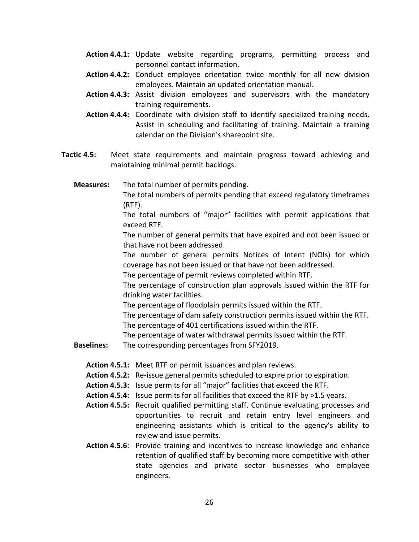- Action 4.4.1: Update website regarding programs, permitting process and personnel contact information.
- Action 4.4.2: Conduct employee orientation twice monthly for all new division employees. Maintain an updated orientation manual.
- Action 4.4.3: Assist division employees and supervisors with the mandatory training requirements.
- Action 4.4.4: Coordinate with division staff to identify specialized training needs. Assist in scheduling and facilitating of training. Maintain a training calendar on the Division's sharepoint site.
- Tactic 4.5: Meet state requirements and maintain progress toward achieving and maintaining minimal permit backlogs.
	- Measures: The total number of permits pending.

 The total numbers of permits pending that exceed regulatory timeframes (RTF).

 The total numbers of "major" facilities with permit applications that exceed RTF.

 The number of general permits that have expired and not been issued or that have not been addressed.

 The number of general permits Notices of Intent (NOIs) for which coverage has not been issued or that have not been addressed.

The percentage of permit reviews completed within RTF.

The percentage of construction plan approvals issued within the RTF for drinking water facilities.

The percentage of floodplain permits issued within the RTF.

The percentage of dam safety construction permits issued within the RTF.

The percentage of 401 certifications issued within the RTF.

The percentage of water withdrawal permits issued within the RTF.

**Baselines:** The corresponding percentages from SFY2019.

Action 4.5.1: Meet RTF on permit issuances and plan reviews.

- Action 4.5.2: Re-issue general permits scheduled to expire prior to expiration.
- Action 4.5.3: Issue permits for all "major" facilities that exceed the RTF.
- Action 4.5.4: Issue permits for all facilities that exceed the RTF by >1.5 years.
- Action 4.5.5: Recruit qualified permitting staff. Continue evaluating processes and opportunities to recruit and retain entry level engineers and engineering assistants which is critical to the agency's ability to review and issue permits.
- Action 4.5.6: Provide training and incentives to increase knowledge and enhance retention of qualified staff by becoming more competitive with other state agencies and private sector businesses who employee engineers.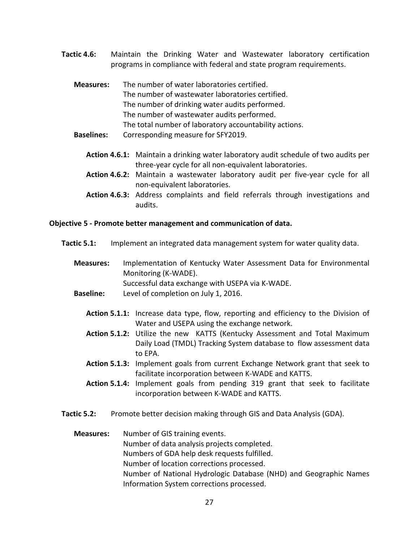- Tactic 4.6: Maintain the Drinking Water and Wastewater laboratory certification programs in compliance with federal and state program requirements.
	- Measures: The number of water laboratories certified. The number of wastewater laboratories certified. The number of drinking water audits performed. The number of wastewater audits performed. The total number of laboratory accountability actions.
	- Baselines: Corresponding measure for SFY2019.
		- Action 4.6.1: Maintain a drinking water laboratory audit schedule of two audits per three-year cycle for all non-equivalent laboratories.
		- Action 4.6.2: Maintain a wastewater laboratory audit per five-year cycle for all non-equivalent laboratories.
		- Action 4.6.3: Address complaints and field referrals through investigations and audits.

#### Objective 5 - Promote better management and communication of data.

- Tactic 5.1: Implement an integrated data management system for water quality data.
	- Measures: Implementation of Kentucky Water Assessment Data for Environmental Monitoring (K-WADE). Successful data exchange with USEPA via K-WADE.
	- Baseline: Level of completion on July 1, 2016.
		- Action 5.1.1: Increase data type, flow, reporting and efficiency to the Division of Water and USEPA using the exchange network.
		- Action 5.1.2: Utilize the new KATTS (Kentucky Assessment and Total Maximum Daily Load (TMDL) Tracking System database to flow assessment data to EPA.
		- Action 5.1.3: Implement goals from current Exchange Network grant that seek to facilitate incorporation between K-WADE and KATTS.
		- Action 5.1.4: Implement goals from pending 319 grant that seek to facilitate incorporation between K-WADE and KATTS.
- Tactic 5.2: Promote better decision making through GIS and Data Analysis (GDA).
	- Measures: Number of GIS training events. Number of data analysis projects completed. Numbers of GDA help desk requests fulfilled. Number of location corrections processed. Number of National Hydrologic Database (NHD) and Geographic Names Information System corrections processed.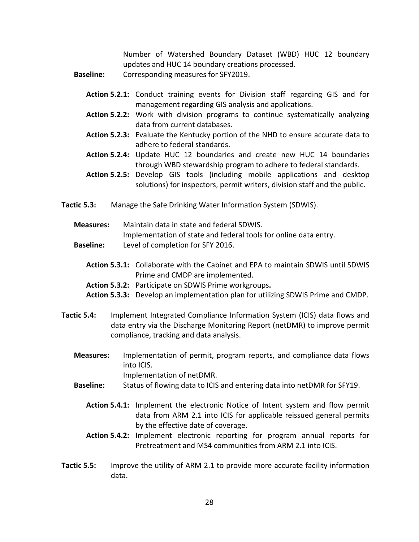Number of Watershed Boundary Dataset (WBD) HUC 12 boundary updates and HUC 14 boundary creations processed.

Baseline: Corresponding measures for SFY2019.

- Action 5.2.1: Conduct training events for Division staff regarding GIS and for management regarding GIS analysis and applications.
- Action 5.2.2: Work with division programs to continue systematically analyzing data from current databases.
- Action 5.2.3: Evaluate the Kentucky portion of the NHD to ensure accurate data to adhere to federal standards.
- Action 5.2.4: Update HUC 12 boundaries and create new HUC 14 boundaries through WBD stewardship program to adhere to federal standards.
- Action 5.2.5: Develop GIS tools (including mobile applications and desktop solutions) for inspectors, permit writers, division staff and the public.
- Tactic 5.3: Manage the Safe Drinking Water Information System (SDWIS).
	- Measures: Maintain data in state and federal SDWIS. Implementation of state and federal tools for online data entry. Baseline: Level of completion for SFY 2016.
		- Action 5.3.1: Collaborate with the Cabinet and EPA to maintain SDWIS until SDWIS Prime and CMDP are implemented.
		- Action 5.3.2: Participate on SDWIS Prime workgroups.
		- Action 5.3.3: Develop an implementation plan for utilizing SDWIS Prime and CMDP.
- Tactic 5.4: Implement Integrated Compliance Information System (ICIS) data flows and data entry via the Discharge Monitoring Report (netDMR) to improve permit compliance, tracking and data analysis.
	- Measures: Implementation of permit, program reports, and compliance data flows into ICIS. Implementation of netDMR.
	- Baseline: Status of flowing data to ICIS and entering data into netDMR for SFY19.
		- Action 5.4.1: Implement the electronic Notice of Intent system and flow permit data from ARM 2.1 into ICIS for applicable reissued general permits by the effective date of coverage.
		- Action 5.4.2: Implement electronic reporting for program annual reports for Pretreatment and MS4 communities from ARM 2.1 into ICIS.
- Tactic 5.5: Improve the utility of ARM 2.1 to provide more accurate facility information data.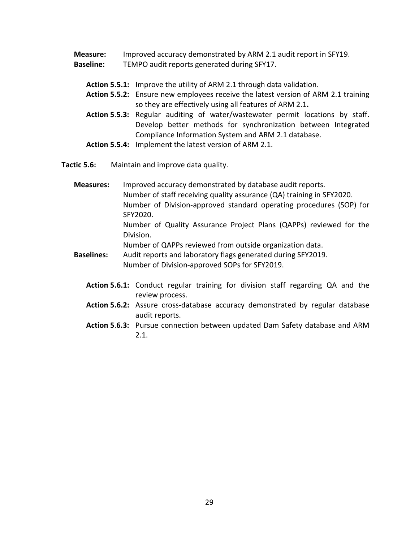Measure: Improved accuracy demonstrated by ARM 2.1 audit report in SFY19.

- Baseline: TEMPO audit reports generated during SFY17.
	- Action 5.5.1: Improve the utility of ARM 2.1 through data validation.
	- Action 5.5.2: Ensure new employees receive the latest version of ARM 2.1 training so they are effectively using all features of ARM 2.1.
	- Action 5.5.3: Regular auditing of water/wastewater permit locations by staff. Develop better methods for synchronization between Integrated Compliance Information System and ARM 2.1 database.
	- Action 5.5.4: Implement the latest version of ARM 2.1.

Tactic 5.6: Maintain and improve data quality.

Measures: Improved accuracy demonstrated by database audit reports. Number of staff receiving quality assurance (QA) training in SFY2020. Number of Division-approved standard operating procedures (SOP) for SFY2020. Number of Quality Assurance Project Plans (QAPPs) reviewed for the Division.

Number of QAPPs reviewed from outside organization data.

- Baselines: Audit reports and laboratory flags generated during SFY2019. Number of Division-approved SOPs for SFY2019.
	- Action 5.6.1: Conduct regular training for division staff regarding QA and the review process.
	- Action 5.6.2: Assure cross-database accuracy demonstrated by regular database audit reports.
	- Action 5.6.3: Pursue connection between updated Dam Safety database and ARM 2.1.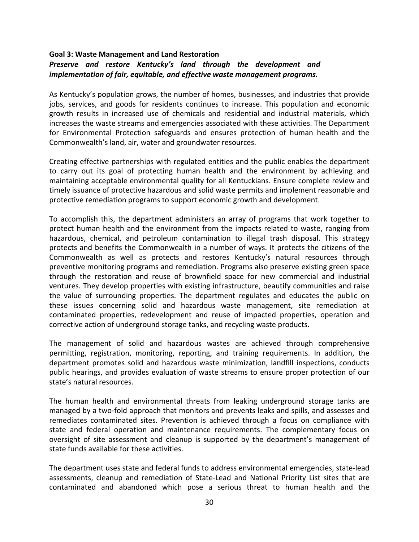## Goal 3: Waste Management and Land Restoration Preserve and restore Kentucky's land through the development and implementation of fair, equitable, and effective waste management programs.

As Kentucky's population grows, the number of homes, businesses, and industries that provide jobs, services, and goods for residents continues to increase. This population and economic growth results in increased use of chemicals and residential and industrial materials, which increases the waste streams and emergencies associated with these activities. The Department for Environmental Protection safeguards and ensures protection of human health and the Commonwealth's land, air, water and groundwater resources.

Creating effective partnerships with regulated entities and the public enables the department to carry out its goal of protecting human health and the environment by achieving and maintaining acceptable environmental quality for all Kentuckians. Ensure complete review and timely issuance of protective hazardous and solid waste permits and implement reasonable and protective remediation programs to support economic growth and development.

To accomplish this, the department administers an array of programs that work together to protect human health and the environment from the impacts related to waste, ranging from hazardous, chemical, and petroleum contamination to illegal trash disposal. This strategy protects and benefits the Commonwealth in a number of ways. It protects the citizens of the Commonwealth as well as protects and restores Kentucky's natural resources through preventive monitoring programs and remediation. Programs also preserve existing green space through the restoration and reuse of brownfield space for new commercial and industrial ventures. They develop properties with existing infrastructure, beautify communities and raise the value of surrounding properties. The department regulates and educates the public on these issues concerning solid and hazardous waste management, site remediation at contaminated properties, redevelopment and reuse of impacted properties, operation and corrective action of underground storage tanks, and recycling waste products.

The management of solid and hazardous wastes are achieved through comprehensive permitting, registration, monitoring, reporting, and training requirements. In addition, the department promotes solid and hazardous waste minimization, landfill inspections, conducts public hearings, and provides evaluation of waste streams to ensure proper protection of our state's natural resources.

The human health and environmental threats from leaking underground storage tanks are managed by a two-fold approach that monitors and prevents leaks and spills, and assesses and remediates contaminated sites. Prevention is achieved through a focus on compliance with state and federal operation and maintenance requirements. The complementary focus on oversight of site assessment and cleanup is supported by the department's management of state funds available for these activities.

The department uses state and federal funds to address environmental emergencies, state-lead assessments, cleanup and remediation of State-Lead and National Priority List sites that are contaminated and abandoned which pose a serious threat to human health and the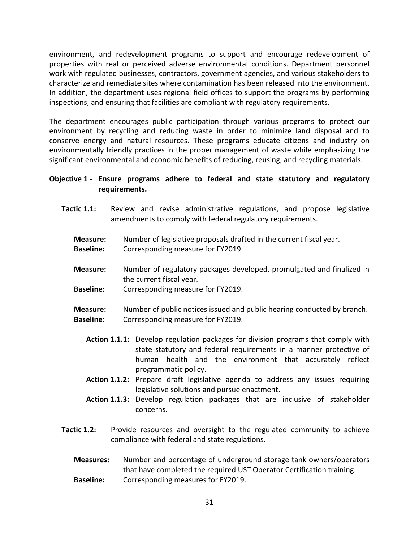environment, and redevelopment programs to support and encourage redevelopment of properties with real or perceived adverse environmental conditions. Department personnel work with regulated businesses, contractors, government agencies, and various stakeholders to characterize and remediate sites where contamination has been released into the environment. In addition, the department uses regional field offices to support the programs by performing inspections, and ensuring that facilities are compliant with regulatory requirements.

The department encourages public participation through various programs to protect our environment by recycling and reducing waste in order to minimize land disposal and to conserve energy and natural resources. These programs educate citizens and industry on environmentally friendly practices in the proper management of waste while emphasizing the significant environmental and economic benefits of reducing, reusing, and recycling materials.

## Objective 1 - Ensure programs adhere to federal and state statutory and regulatory requirements.

- Tactic 1.1: Review and revise administrative regulations, and propose legislative amendments to comply with federal regulatory requirements.
	- Measure: Number of legislative proposals drafted in the current fiscal year.
	- **Baseline:** Corresponding measure for FY2019.
	- Measure: Number of regulatory packages developed, promulgated and finalized in the current fiscal year.
	- **Baseline:** Corresponding measure for FY2019.
	- Measure: Number of public notices issued and public hearing conducted by branch. Baseline: Corresponding measure for FY2019.
		- Action 1.1.1: Develop regulation packages for division programs that comply with state statutory and federal requirements in a manner protective of human health and the environment that accurately reflect programmatic policy.
		- Action 1.1.2: Prepare draft legislative agenda to address any issues requiring legislative solutions and pursue enactment.
		- Action 1.1.3: Develop regulation packages that are inclusive of stakeholder concerns.
- Tactic 1.2: Provide resources and oversight to the regulated community to achieve compliance with federal and state regulations.
	- Measures: Number and percentage of underground storage tank owners/operators that have completed the required UST Operator Certification training. Baseline: Corresponding measures for FY2019.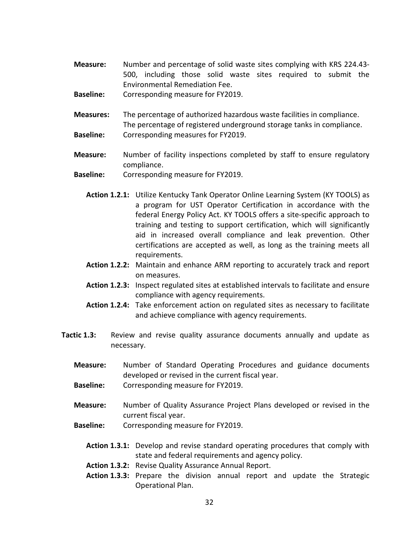- Measure: Number and percentage of solid waste sites complying with KRS 224.43- 500, including those solid waste sites required to submit the Environmental Remediation Fee.
- Baseline: Corresponding measure for FY2019.
- Measures: The percentage of authorized hazardous waste facilities in compliance. The percentage of registered underground storage tanks in compliance. **Baseline:** Corresponding measures for FY2019.
- Measure: Number of facility inspections completed by staff to ensure regulatory compliance.
- **Baseline:** Corresponding measure for FY2019.
	- Action 1.2.1: Utilize Kentucky Tank Operator Online Learning System (KY TOOLS) as a program for UST Operator Certification in accordance with the federal Energy Policy Act. KY TOOLS offers a site-specific approach to training and testing to support certification, which will significantly aid in increased overall compliance and leak prevention. Other certifications are accepted as well, as long as the training meets all requirements.
	- Action 1.2.2: Maintain and enhance ARM reporting to accurately track and report on measures.
	- Action 1.2.3: Inspect regulated sites at established intervals to facilitate and ensure compliance with agency requirements.
	- Action 1.2.4: Take enforcement action on regulated sites as necessary to facilitate and achieve compliance with agency requirements.
- Tactic 1.3: Review and revise quality assurance documents annually and update as necessary.
	- Measure: Number of Standard Operating Procedures and guidance documents developed or revised in the current fiscal year.
	- Baseline: Corresponding measure for FY2019.
	- Measure: Number of Quality Assurance Project Plans developed or revised in the current fiscal year.
	- Baseline: Corresponding measure for FY2019.
		- Action 1.3.1: Develop and revise standard operating procedures that comply with state and federal requirements and agency policy.
		- Action 1.3.2: Revise Quality Assurance Annual Report.
		- Action 1.3.3: Prepare the division annual report and update the Strategic Operational Plan.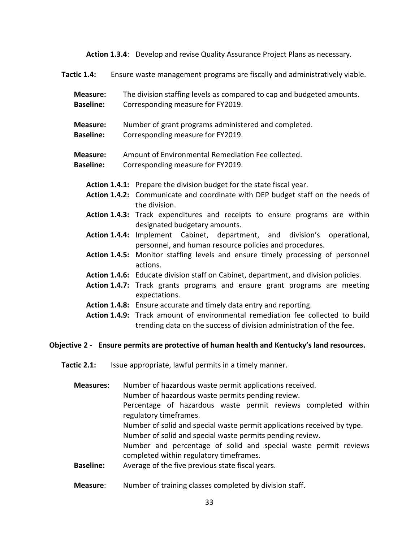Action 1.3.4: Develop and revise Quality Assurance Project Plans as necessary.

Tactic 1.4: Ensure waste management programs are fiscally and administratively viable.

- Measure: The division staffing levels as compared to cap and budgeted amounts. Baseline: Corresponding measure for FY2019.
- Measure: Number of grant programs administered and completed.
- Baseline: Corresponding measure for FY2019.

## Measure: Amount of Environmental Remediation Fee collected.

- **Baseline:** Corresponding measure for FY2019.
	- Action 1.4.1: Prepare the division budget for the state fiscal year.
	- Action 1.4.2: Communicate and coordinate with DEP budget staff on the needs of the division.
	- Action 1.4.3: Track expenditures and receipts to ensure programs are within designated budgetary amounts.
	- Action 1.4.4: Implement Cabinet, department, and division's operational, personnel, and human resource policies and procedures.
	- Action 1.4.5: Monitor staffing levels and ensure timely processing of personnel actions.
	- Action 1.4.6: Educate division staff on Cabinet, department, and division policies.
	- Action 1.4.7: Track grants programs and ensure grant programs are meeting expectations.
	- Action 1.4.8: Ensure accurate and timely data entry and reporting.
	- Action 1.4.9: Track amount of environmental remediation fee collected to build trending data on the success of division administration of the fee.

#### Objective 2 - Ensure permits are protective of human health and Kentucky's land resources.

Tactic 2.1: Issue appropriate, lawful permits in a timely manner.

| <b>Measures:</b> | Number of hazardous waste permit applications received.<br>Number of hazardous waste permits pending review. |  |  |
|------------------|--------------------------------------------------------------------------------------------------------------|--|--|
|                  | Percentage of hazardous waste permit reviews completed within<br>regulatory timeframes.                      |  |  |
|                  | Number of solid and special waste permit applications received by type.                                      |  |  |
|                  | Number of solid and special waste permits pending review.                                                    |  |  |
|                  | Number and percentage of solid and special waste permit reviews<br>completed within regulatory timeframes.   |  |  |
| <b>Baseline:</b> | Average of the five previous state fiscal years.                                                             |  |  |
| Measure:         | Number of training classes completed by division staff.                                                      |  |  |

33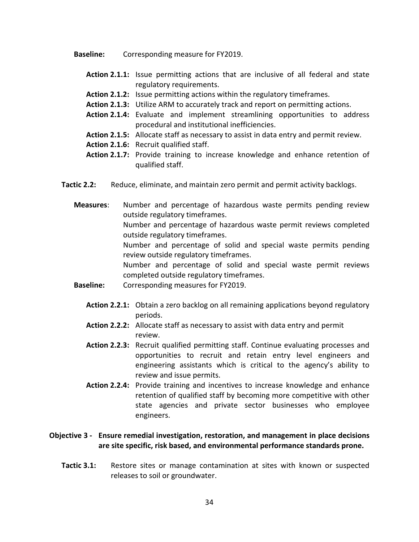Baseline: Corresponding measure for FY2019.

- Action 2.1.1: Issue permitting actions that are inclusive of all federal and state regulatory requirements.
- Action 2.1.2: Issue permitting actions within the regulatory timeframes.
- Action 2.1.3: Utilize ARM to accurately track and report on permitting actions.
- Action 2.1.4: Evaluate and implement streamlining opportunities to address procedural and institutional inefficiencies.
- Action 2.1.5: Allocate staff as necessary to assist in data entry and permit review.
- Action 2.1.6: Recruit qualified staff.
- Action 2.1.7: Provide training to increase knowledge and enhance retention of qualified staff.
- Tactic 2.2: Reduce, eliminate, and maintain zero permit and permit activity backlogs.

Measures: Number and percentage of hazardous waste permits pending review outside regulatory timeframes. Number and percentage of hazardous waste permit reviews completed outside regulatory timeframes. Number and percentage of solid and special waste permits pending review outside regulatory timeframes. Number and percentage of solid and special waste permit reviews completed outside regulatory timeframes.

- Baseline: Corresponding measures for FY2019.
	- Action 2.2.1: Obtain a zero backlog on all remaining applications beyond regulatory periods.
	- Action 2.2.2: Allocate staff as necessary to assist with data entry and permit review.
	- Action 2.2.3: Recruit qualified permitting staff. Continue evaluating processes and opportunities to recruit and retain entry level engineers and engineering assistants which is critical to the agency's ability to review and issue permits.
	- Action 2.2.4: Provide training and incentives to increase knowledge and enhance retention of qualified staff by becoming more competitive with other state agencies and private sector businesses who employee engineers.

## Objective 3 - Ensure remedial investigation, restoration, and management in place decisions are site specific, risk based, and environmental performance standards prone.

Tactic 3.1: Restore sites or manage contamination at sites with known or suspected releases to soil or groundwater.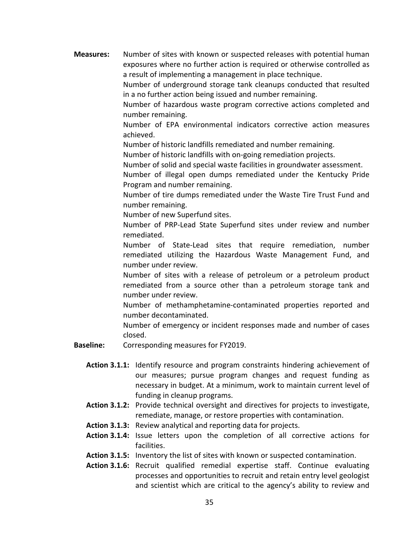Measures: Number of sites with known or suspected releases with potential human exposures where no further action is required or otherwise controlled as a result of implementing a management in place technique.

> Number of underground storage tank cleanups conducted that resulted in a no further action being issued and number remaining.

> Number of hazardous waste program corrective actions completed and number remaining.

> Number of EPA environmental indicators corrective action measures achieved.

Number of historic landfills remediated and number remaining.

Number of historic landfills with on-going remediation projects.

Number of solid and special waste facilities in groundwater assessment.

Number of illegal open dumps remediated under the Kentucky Pride Program and number remaining.

Number of tire dumps remediated under the Waste Tire Trust Fund and number remaining.

Number of new Superfund sites.

Number of PRP-Lead State Superfund sites under review and number remediated.

Number of State-Lead sites that require remediation, number remediated utilizing the Hazardous Waste Management Fund, and number under review.

Number of sites with a release of petroleum or a petroleum product remediated from a source other than a petroleum storage tank and number under review.

Number of methamphetamine-contaminated properties reported and number decontaminated.

Number of emergency or incident responses made and number of cases closed.

- **Baseline:** Corresponding measures for FY2019.
	- Action 3.1.1: Identify resource and program constraints hindering achievement of our measures; pursue program changes and request funding as necessary in budget. At a minimum, work to maintain current level of funding in cleanup programs.
	- Action 3.1.2: Provide technical oversight and directives for projects to investigate, remediate, manage, or restore properties with contamination.
	- Action 3.1.3: Review analytical and reporting data for projects.
	- Action 3.1.4: Issue letters upon the completion of all corrective actions for facilities.
	- Action 3.1.5: Inventory the list of sites with known or suspected contamination.
	- Action 3.1.6: Recruit qualified remedial expertise staff. Continue evaluating processes and opportunities to recruit and retain entry level geologist and scientist which are critical to the agency's ability to review and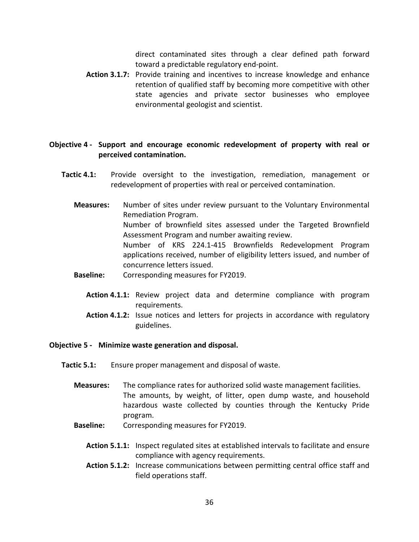direct contaminated sites through a clear defined path forward toward a predictable regulatory end-point.

 Action 3.1.7: Provide training and incentives to increase knowledge and enhance retention of qualified staff by becoming more competitive with other state agencies and private sector businesses who employee environmental geologist and scientist.

### Objective 4 - Support and encourage economic redevelopment of property with real or perceived contamination.

- Tactic 4.1: Provide oversight to the investigation, remediation, management or redevelopment of properties with real or perceived contamination.
	- Measures: Number of sites under review pursuant to the Voluntary Environmental Remediation Program. Number of brownfield sites assessed under the Targeted Brownfield Assessment Program and number awaiting review. Number of KRS 224.1-415 Brownfields Redevelopment Program applications received, number of eligibility letters issued, and number of concurrence letters issued. Baseline: Corresponding measures for FY2019.
		- Action 4.1.1: Review project data and determine compliance with program requirements.
		- Action 4.1.2: Issue notices and letters for projects in accordance with regulatory guidelines.

#### Objective 5 - Minimize waste generation and disposal.

- Tactic 5.1: Ensure proper management and disposal of waste.
	- Measures: The compliance rates for authorized solid waste management facilities. The amounts, by weight, of litter, open dump waste, and household hazardous waste collected by counties through the Kentucky Pride program.
	- Baseline: Corresponding measures for FY2019.
		- Action 5.1.1: Inspect regulated sites at established intervals to facilitate and ensure compliance with agency requirements.
		- Action 5.1.2: Increase communications between permitting central office staff and field operations staff.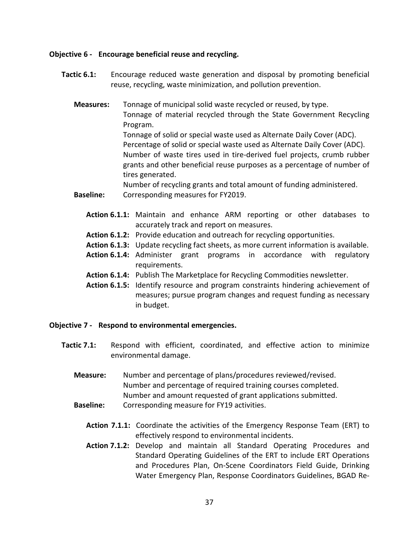### Objective 6 - Encourage beneficial reuse and recycling.

- Tactic 6.1: Encourage reduced waste generation and disposal by promoting beneficial reuse, recycling, waste minimization, and pollution prevention.
	- Measures: Tonnage of municipal solid waste recycled or reused, by type. Tonnage of material recycled through the State Government Recycling Program. Tonnage of solid or special waste used as Alternate Daily Cover (ADC). Percentage of solid or special waste used as Alternate Daily Cover (ADC). Number of waste tires used in tire-derived fuel projects, crumb rubber grants and other beneficial reuse purposes as a percentage of number of tires generated. Number of recycling grants and total amount of funding administered.
	- **Baseline:** Corresponding measures for FY2019.
		- Action 6.1.1: Maintain and enhance ARM reporting or other databases to accurately track and report on measures.
		- Action 6.1.2: Provide education and outreach for recycling opportunities.
		- Action 6.1.3: Update recycling fact sheets, as more current information is available.
		- Action 6.1.4: Administer grant programs in accordance with regulatory requirements.
		- Action 6.1.4: Publish The Marketplace for Recycling Commodities newsletter.
		- Action 6.1.5: Identify resource and program constraints hindering achievement of measures; pursue program changes and request funding as necessary in budget.

### Objective 7 - Respond to environmental emergencies.

- Tactic 7.1: Respond with efficient, coordinated, and effective action to minimize environmental damage.
	- Measure: Number and percentage of plans/procedures reviewed/revised. Number and percentage of required training courses completed. Number and amount requested of grant applications submitted.
	- **Baseline:** Corresponding measure for FY19 activities.
		- Action 7.1.1: Coordinate the activities of the Emergency Response Team (ERT) to effectively respond to environmental incidents.
		- Action 7.1.2: Develop and maintain all Standard Operating Procedures and Standard Operating Guidelines of the ERT to include ERT Operations and Procedures Plan, On-Scene Coordinators Field Guide, Drinking Water Emergency Plan, Response Coordinators Guidelines, BGAD Re-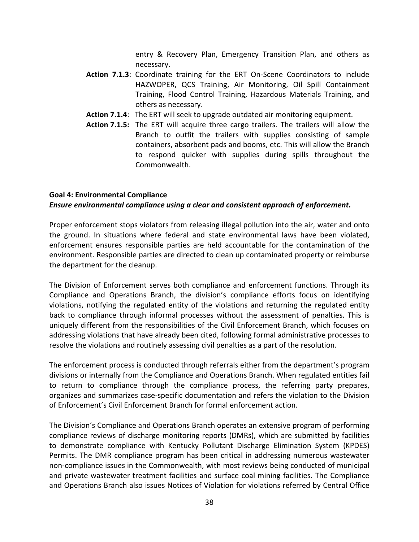entry & Recovery Plan, Emergency Transition Plan, and others as necessary.

- Action 7.1.3: Coordinate training for the ERT On-Scene Coordinators to include HAZWOPER, QCS Training, Air Monitoring, Oil Spill Containment Training, Flood Control Training, Hazardous Materials Training, and others as necessary.
- Action 7.1.4: The ERT will seek to upgrade outdated air monitoring equipment.
- Action 7.1.5: The ERT will acquire three cargo trailers. The trailers will allow the Branch to outfit the trailers with supplies consisting of sample containers, absorbent pads and booms, etc. This will allow the Branch to respond quicker with supplies during spills throughout the Commonwealth.

### Goal 4: Environmental Compliance

## Ensure environmental compliance using a clear and consistent approach of enforcement.

Proper enforcement stops violators from releasing illegal pollution into the air, water and onto the ground. In situations where federal and state environmental laws have been violated, enforcement ensures responsible parties are held accountable for the contamination of the environment. Responsible parties are directed to clean up contaminated property or reimburse the department for the cleanup.

The Division of Enforcement serves both compliance and enforcement functions. Through its Compliance and Operations Branch, the division's compliance efforts focus on identifying violations, notifying the regulated entity of the violations and returning the regulated entity back to compliance through informal processes without the assessment of penalties. This is uniquely different from the responsibilities of the Civil Enforcement Branch, which focuses on addressing violations that have already been cited, following formal administrative processes to resolve the violations and routinely assessing civil penalties as a part of the resolution.

The enforcement process is conducted through referrals either from the department's program divisions or internally from the Compliance and Operations Branch. When regulated entities fail to return to compliance through the compliance process, the referring party prepares, organizes and summarizes case-specific documentation and refers the violation to the Division of Enforcement's Civil Enforcement Branch for formal enforcement action.

The Division's Compliance and Operations Branch operates an extensive program of performing compliance reviews of discharge monitoring reports (DMRs), which are submitted by facilities to demonstrate compliance with Kentucky Pollutant Discharge Elimination System (KPDES) Permits. The DMR compliance program has been critical in addressing numerous wastewater non-compliance issues in the Commonwealth, with most reviews being conducted of municipal and private wastewater treatment facilities and surface coal mining facilities. The Compliance and Operations Branch also issues Notices of Violation for violations referred by Central Office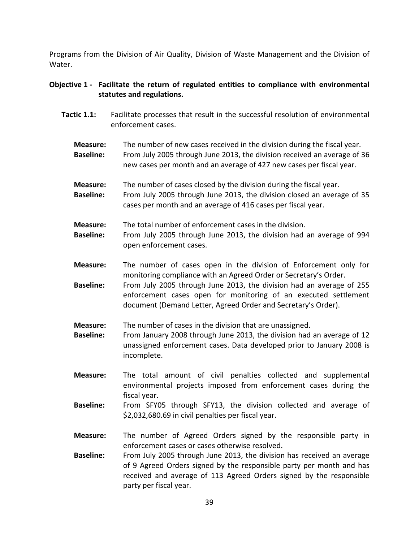Programs from the Division of Air Quality, Division of Waste Management and the Division of Water.

# Objective 1 - Facilitate the return of regulated entities to compliance with environmental statutes and regulations.

- Tactic 1.1: Facilitate processes that result in the successful resolution of environmental enforcement cases.
	- Measure: The number of new cases received in the division during the fiscal year. Baseline: From July 2005 through June 2013, the division received an average of 36 new cases per month and an average of 427 new cases per fiscal year.
	- Measure: The number of cases closed by the division during the fiscal year. Baseline: From July 2005 through June 2013, the division closed an average of 35 cases per month and an average of 416 cases per fiscal year.

Measure: The total number of enforcement cases in the division.

- Baseline: From July 2005 through June 2013, the division had an average of 994 open enforcement cases.
- Measure: The number of cases open in the division of Enforcement only for monitoring compliance with an Agreed Order or Secretary's Order.
- Baseline: From July 2005 through June 2013, the division had an average of 255 enforcement cases open for monitoring of an executed settlement document (Demand Letter, Agreed Order and Secretary's Order).

**Measure:** The number of cases in the division that are unassigned.

- Baseline: From January 2008 through June 2013, the division had an average of 12 unassigned enforcement cases. Data developed prior to January 2008 is incomplete.
- Measure: The total amount of civil penalties collected and supplemental environmental projects imposed from enforcement cases during the fiscal year.
- Baseline: From SFY05 through SFY13, the division collected and average of \$2,032,680.69 in civil penalties per fiscal year.
- Measure: The number of Agreed Orders signed by the responsible party in enforcement cases or cases otherwise resolved.
- Baseline: From July 2005 through June 2013, the division has received an average of 9 Agreed Orders signed by the responsible party per month and has received and average of 113 Agreed Orders signed by the responsible party per fiscal year.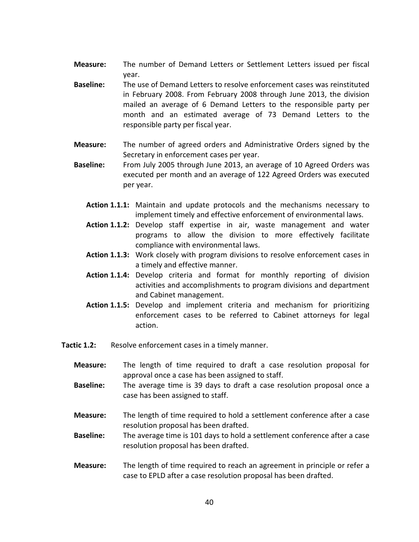- Measure: The number of Demand Letters or Settlement Letters issued per fiscal year.
- Baseline: The use of Demand Letters to resolve enforcement cases was reinstituted in February 2008. From February 2008 through June 2013, the division mailed an average of 6 Demand Letters to the responsible party per month and an estimated average of 73 Demand Letters to the responsible party per fiscal year.
- Measure: The number of agreed orders and Administrative Orders signed by the Secretary in enforcement cases per year.
- Baseline: From July 2005 through June 2013, an average of 10 Agreed Orders was executed per month and an average of 122 Agreed Orders was executed per year.
	- Action 1.1.1: Maintain and update protocols and the mechanisms necessary to implement timely and effective enforcement of environmental laws.
	- Action 1.1.2: Develop staff expertise in air, waste management and water programs to allow the division to more effectively facilitate compliance with environmental laws.
	- Action 1.1.3: Work closely with program divisions to resolve enforcement cases in a timely and effective manner.
	- Action 1.1.4: Develop criteria and format for monthly reporting of division activities and accomplishments to program divisions and department and Cabinet management.
	- Action 1.1.5: Develop and implement criteria and mechanism for prioritizing enforcement cases to be referred to Cabinet attorneys for legal action.
- **Tactic 1.2:** Resolve enforcement cases in a timely manner.
	- Measure: The length of time required to draft a case resolution proposal for approval once a case has been assigned to staff.
	- **Baseline:** The average time is 39 days to draft a case resolution proposal once a case has been assigned to staff.
	- Measure: The length of time required to hold a settlement conference after a case resolution proposal has been drafted.
	- Baseline: The average time is 101 days to hold a settlement conference after a case resolution proposal has been drafted.
	- Measure: The length of time required to reach an agreement in principle or refer a case to EPLD after a case resolution proposal has been drafted.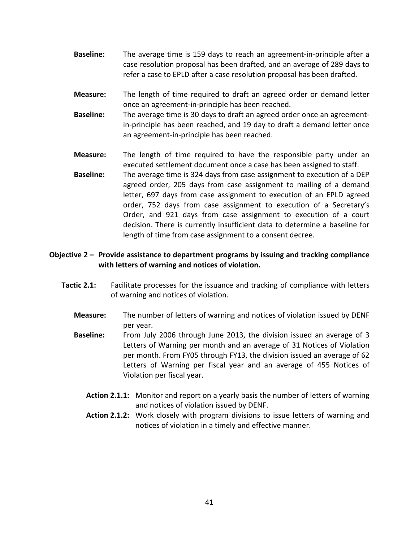- Baseline: The average time is 159 days to reach an agreement-in-principle after a case resolution proposal has been drafted, and an average of 289 days to refer a case to EPLD after a case resolution proposal has been drafted.
- Measure: The length of time required to draft an agreed order or demand letter once an agreement-in-principle has been reached.
- Baseline: The average time is 30 days to draft an agreed order once an agreementin-principle has been reached, and 19 day to draft a demand letter once an agreement-in-principle has been reached.
- Measure: The length of time required to have the responsible party under an executed settlement document once a case has been assigned to staff. Baseline: The average time is 324 days from case assignment to execution of a DEP agreed order, 205 days from case assignment to mailing of a demand letter, 697 days from case assignment to execution of an EPLD agreed order, 752 days from case assignment to execution of a Secretary's Order, and 921 days from case assignment to execution of a court decision. There is currently insufficient data to determine a baseline for length of time from case assignment to a consent decree.

# Objective 2 – Provide assistance to department programs by issuing and tracking compliance with letters of warning and notices of violation.

- Tactic 2.1: Facilitate processes for the issuance and tracking of compliance with letters of warning and notices of violation.
	- Measure: The number of letters of warning and notices of violation issued by DENF per year.
	- Baseline: From July 2006 through June 2013, the division issued an average of 3 Letters of Warning per month and an average of 31 Notices of Violation per month. From FY05 through FY13, the division issued an average of 62 Letters of Warning per fiscal year and an average of 455 Notices of Violation per fiscal year.
		- Action 2.1.1: Monitor and report on a yearly basis the number of letters of warning and notices of violation issued by DENF.
		- Action 2.1.2: Work closely with program divisions to issue letters of warning and notices of violation in a timely and effective manner.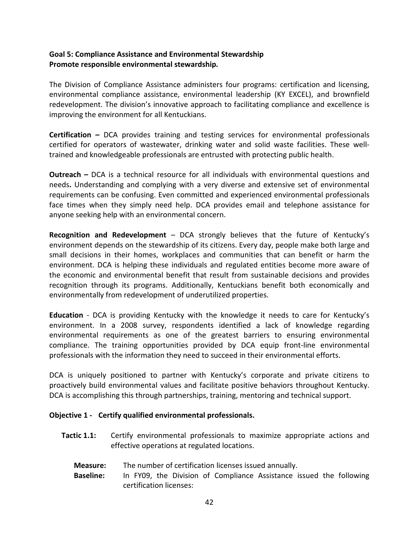# Goal 5: Compliance Assistance and Environmental Stewardship Promote responsible environmental stewardship.

The Division of Compliance Assistance administers four programs: certification and licensing, environmental compliance assistance, environmental leadership (KY EXCEL), and brownfield redevelopment. The division's innovative approach to facilitating compliance and excellence is improving the environment for all Kentuckians.

Certification – DCA provides training and testing services for environmental professionals certified for operators of wastewater, drinking water and solid waste facilities. These welltrained and knowledgeable professionals are entrusted with protecting public health.

Outreach – DCA is a technical resource for all individuals with environmental questions and needs. Understanding and complying with a very diverse and extensive set of environmental requirements can be confusing. Even committed and experienced environmental professionals face times when they simply need help. DCA provides email and telephone assistance for anyone seeking help with an environmental concern.

Recognition and Redevelopment - DCA strongly believes that the future of Kentucky's environment depends on the stewardship of its citizens. Every day, people make both large and small decisions in their homes, workplaces and communities that can benefit or harm the environment. DCA is helping these individuals and regulated entities become more aware of the economic and environmental benefit that result from sustainable decisions and provides recognition through its programs. Additionally, Kentuckians benefit both economically and environmentally from redevelopment of underutilized properties.

Education - DCA is providing Kentucky with the knowledge it needs to care for Kentucky's environment. In a 2008 survey, respondents identified a lack of knowledge regarding environmental requirements as one of the greatest barriers to ensuring environmental compliance. The training opportunities provided by DCA equip front-line environmental professionals with the information they need to succeed in their environmental efforts.

DCA is uniquely positioned to partner with Kentucky's corporate and private citizens to proactively build environmental values and facilitate positive behaviors throughout Kentucky. DCA is accomplishing this through partnerships, training, mentoring and technical support.

# Objective 1 - Certify qualified environmental professionals.

- Tactic 1.1: Certify environmental professionals to maximize appropriate actions and effective operations at regulated locations.
	- Measure: The number of certification licenses issued annually.
	- Baseline: In FY09, the Division of Compliance Assistance issued the following certification licenses: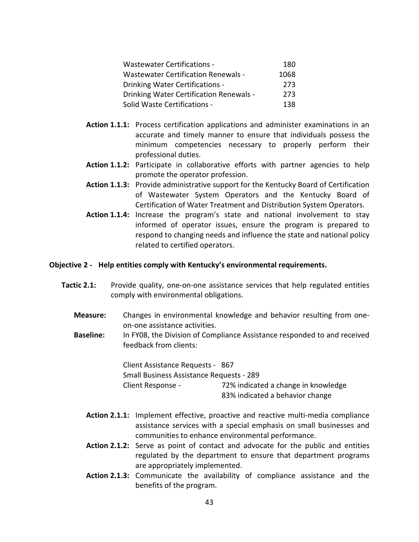| <b>Wastewater Certifications -</b>         | 180  |
|--------------------------------------------|------|
| <b>Wastewater Certification Renewals -</b> | 1068 |
| <b>Drinking Water Certifications -</b>     | 273  |
| Drinking Water Certification Renewals -    | 273  |
| Solid Waste Certifications -               | 138  |

- Action 1.1.1: Process certification applications and administer examinations in an accurate and timely manner to ensure that individuals possess the minimum competencies necessary to properly perform their professional duties.
- Action 1.1.2: Participate in collaborative efforts with partner agencies to help promote the operator profession.
- Action 1.1.3: Provide administrative support for the Kentucky Board of Certification of Wastewater System Operators and the Kentucky Board of Certification of Water Treatment and Distribution System Operators.
- Action 1.1.4: Increase the program's state and national involvement to stay informed of operator issues, ensure the program is prepared to respond to changing needs and influence the state and national policy related to certified operators.

## Objective 2 - Help entities comply with Kentucky's environmental requirements.

- Tactic 2.1: Provide quality, one-on-one assistance services that help regulated entities comply with environmental obligations.
	- Measure: Changes in environmental knowledge and behavior resulting from oneon-one assistance activities.
	- Baseline: In FY08, the Division of Compliance Assistance responded to and received feedback from clients:

 Client Assistance Requests - 867 Small Business Assistance Requests - 289 Client Response - 72% indicated a change in knowledge 83% indicated a behavior change

- Action 2.1.1: Implement effective, proactive and reactive multi-media compliance assistance services with a special emphasis on small businesses and communities to enhance environmental performance.
- Action 2.1.2: Serve as point of contact and advocate for the public and entities regulated by the department to ensure that department programs are appropriately implemented.
- Action 2.1.3: Communicate the availability of compliance assistance and the benefits of the program.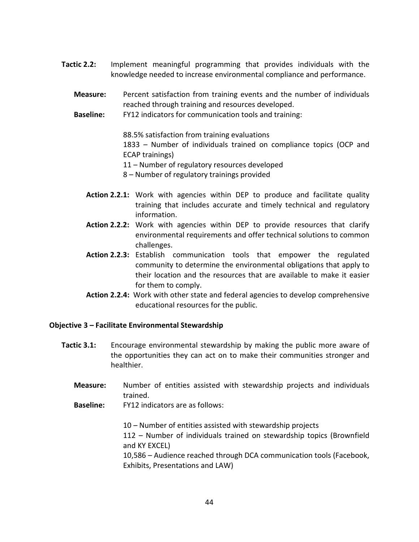- Tactic 2.2: Implement meaningful programming that provides individuals with the knowledge needed to increase environmental compliance and performance.
	- Measure: Percent satisfaction from training events and the number of individuals reached through training and resources developed.
	- Baseline: FY12 indicators for communication tools and training:

88.5% satisfaction from training evaluations 1833 – Number of individuals trained on compliance topics (OCP and ECAP trainings)

11 – Number of regulatory resources developed

- 8 Number of regulatory trainings provided
- Action 2.2.1: Work with agencies within DEP to produce and facilitate quality training that includes accurate and timely technical and regulatory information.
- Action 2.2.2: Work with agencies within DEP to provide resources that clarify environmental requirements and offer technical solutions to common challenges.
- Action 2.2.3: Establish communication tools that empower the regulated community to determine the environmental obligations that apply to their location and the resources that are available to make it easier for them to comply.
- Action 2.2.4: Work with other state and federal agencies to develop comprehensive educational resources for the public.

### Objective 3 – Facilitate Environmental Stewardship

- Tactic 3.1: Encourage environmental stewardship by making the public more aware of the opportunities they can act on to make their communities stronger and healthier.
	- Measure: Number of entities assisted with stewardship projects and individuals trained.
	- Baseline: FY12 indicators are as follows:

 10 – Number of entities assisted with stewardship projects 112 – Number of individuals trained on stewardship topics (Brownfield and KY EXCEL) 10,586 – Audience reached through DCA communication tools (Facebook, Exhibits, Presentations and LAW)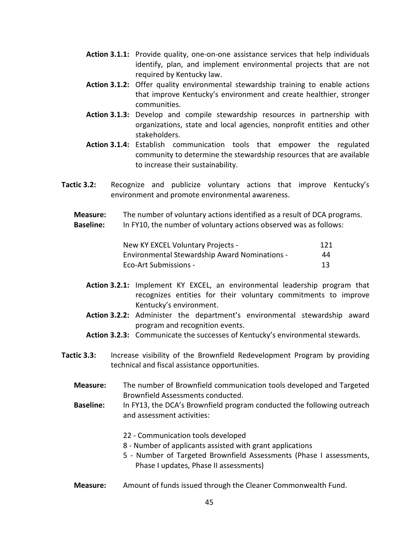- Action 3.1.1: Provide quality, one-on-one assistance services that help individuals identify, plan, and implement environmental projects that are not required by Kentucky law.
- Action 3.1.2: Offer quality environmental stewardship training to enable actions that improve Kentucky's environment and create healthier, stronger communities.
- Action 3.1.3: Develop and compile stewardship resources in partnership with organizations, state and local agencies, nonprofit entities and other stakeholders.
- Action 3.1.4: Establish communication tools that empower the regulated community to determine the stewardship resources that are available to increase their sustainability.
- Tactic 3.2: Recognize and publicize voluntary actions that improve Kentucky's environment and promote environmental awareness.
	- Measure: The number of voluntary actions identified as a result of DCA programs. Baseline: In FY10, the number of voluntary actions observed was as follows:

| New KY EXCEL Voluntary Projects -                    | 121 |
|------------------------------------------------------|-----|
| <b>Environmental Stewardship Award Nominations -</b> | 44  |
| Eco-Art Submissions -                                | 13  |

- Action 3.2.1: Implement KY EXCEL, an environmental leadership program that recognizes entities for their voluntary commitments to improve Kentucky's environment.
- Action 3.2.2: Administer the department's environmental stewardship award program and recognition events.
- Action 3.2.3: Communicate the successes of Kentucky's environmental stewards.
- Tactic 3.3: Increase visibility of the Brownfield Redevelopment Program by providing technical and fiscal assistance opportunities.
	- Measure: The number of Brownfield communication tools developed and Targeted Brownfield Assessments conducted.
	- Baseline: In FY13, the DCA's Brownfield program conducted the following outreach and assessment activities:
		- 22 Communication tools developed
		- 8 Number of applicants assisted with grant applications
		- 5 Number of Targeted Brownfield Assessments (Phase I assessments, Phase I updates, Phase II assessments)
	- Measure: Amount of funds issued through the Cleaner Commonwealth Fund.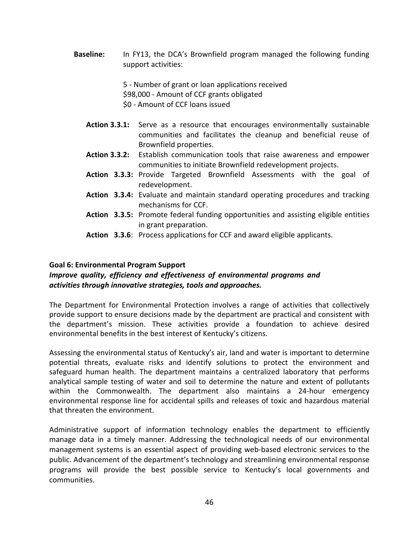Baseline: In FY13, the DCA's Brownfield program managed the following funding support activities:

> 5 - Number of grant or loan applications received \$98,000 - Amount of CCF grants obligated \$0 - Amount of CCF loans issued

- Action 3.3.1: Serve as a resource that encourages environmentally sustainable communities and facilitates the cleanup and beneficial reuse of Brownfield properties.
- Action 3.3.2: Establish communication tools that raise awareness and empower communities to initiate Brownfield redevelopment projects.
- Action 3.3.3: Provide Targeted Brownfield Assessments with the goal of redevelopment.
- Action 3.3.4: Evaluate and maintain standard operating procedures and tracking mechanisms for CCF.
- Action 3.3.5: Promote federal funding opportunities and assisting eligible entities in grant preparation.
- Action 3.3.6: Process applications for CCF and award eligible applicants.

### Goal 6: Environmental Program Support

# Improve quality, efficiency and effectiveness of environmental programs and activities through innovative strategies, tools and approaches.

The Department for Environmental Protection involves a range of activities that collectively provide support to ensure decisions made by the department are practical and consistent with the department's mission. These activities provide a foundation to achieve desired environmental benefits in the best interest of Kentucky's citizens.

Assessing the environmental status of Kentucky's air, land and water is important to determine potential threats, evaluate risks and identify solutions to protect the environment and safeguard human health. The department maintains a centralized laboratory that performs analytical sample testing of water and soil to determine the nature and extent of pollutants within the Commonwealth. The department also maintains a 24-hour emergency environmental response line for accidental spills and releases of toxic and hazardous material that threaten the environment.

Administrative support of information technology enables the department to efficiently manage data in a timely manner. Addressing the technological needs of our environmental management systems is an essential aspect of providing web-based electronic services to the public. Advancement of the department's technology and streamlining environmental response programs will provide the best possible service to Kentucky's local governments and communities.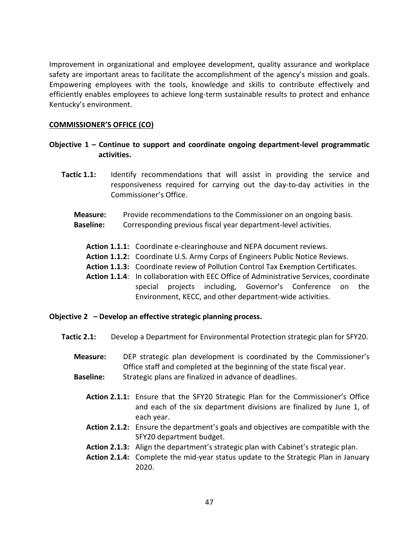Improvement in organizational and employee development, quality assurance and workplace safety are important areas to facilitate the accomplishment of the agency's mission and goals. Empowering employees with the tools, knowledge and skills to contribute effectively and efficiently enables employees to achieve long-term sustainable results to protect and enhance Kentucky's environment.

### COMMISSIONER'S OFFICE (CO)

# Objective 1 – Continue to support and coordinate ongoing department-level programmatic activities.

- **Tactic 1.1:** Identify recommendations that will assist in providing the service and responsiveness required for carrying out the day-to-day activities in the Commissioner's Office.
	- **Measure:** Provide recommendations to the Commissioner on an ongoing basis.
	- Baseline: Corresponding previous fiscal year department-level activities.
		- Action 1.1.1: Coordinate e-clearinghouse and NEPA document reviews.
		- Action 1.1.2: Coordinate U.S. Army Corps of Engineers Public Notice Reviews.
		- Action 1.1.3: Coordinate review of Pollution Control Tax Exemption Certificates.
		- Action 1.1.4: In collaboration with EEC Office of Administrative Services, coordinate special projects including, Governor's Conference on the Environment, KECC, and other department-wide activities.

### Objective 2 – Develop an effective strategic planning process.

- Tactic 2.1: Develop a Department for Environmental Protection strategic plan for SFY20.
	- Measure: DEP strategic plan development is coordinated by the Commissioner's Office staff and completed at the beginning of the state fiscal year.
	- Baseline: Strategic plans are finalized in advance of deadlines.
		- Action 2.1.1: Ensure that the SFY20 Strategic Plan for the Commissioner's Office and each of the six department divisions are finalized by June 1, of each year.
		- Action 2.1.2: Ensure the department's goals and objectives are compatible with the SFY20 department budget.
		- Action 2.1.3: Align the department's strategic plan with Cabinet's strategic plan.
		- Action 2.1.4: Complete the mid-year status update to the Strategic Plan in January 2020.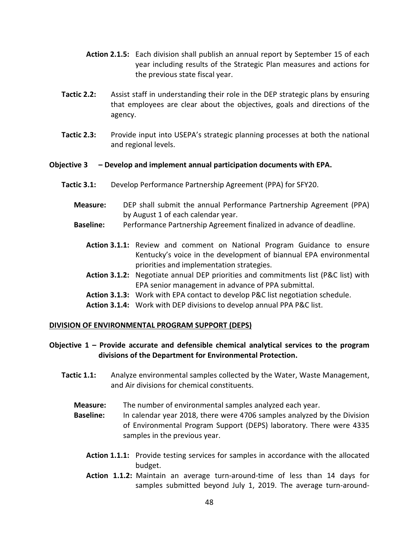- Action 2.1.5: Each division shall publish an annual report by September 15 of each year including results of the Strategic Plan measures and actions for the previous state fiscal year.
- Tactic 2.2: Assist staff in understanding their role in the DEP strategic plans by ensuring that employees are clear about the objectives, goals and directions of the agency.
- Tactic 2.3: Provide input into USEPA's strategic planning processes at both the national and regional levels.

### Objective 3 – Develop and implement annual participation documents with EPA.

- Tactic 3.1: Develop Performance Partnership Agreement (PPA) for SFY20.
	- Measure: DEP shall submit the annual Performance Partnership Agreement (PPA) by August 1 of each calendar year.
	- Baseline: Performance Partnership Agreement finalized in advance of deadline.
		- Action 3.1.1: Review and comment on National Program Guidance to ensure Kentucky's voice in the development of biannual EPA environmental priorities and implementation strategies.
		- Action 3.1.2: Negotiate annual DEP priorities and commitments list (P&C list) with EPA senior management in advance of PPA submittal.
		- Action 3.1.3: Work with EPA contact to develop P&C list negotiation schedule.
		- Action 3.1.4: Work with DEP divisions to develop annual PPA P&C list.

### DIVISION OF ENVIRONMENTAL PROGRAM SUPPORT (DEPS)

## Objective  $1$  – Provide accurate and defensible chemical analytical services to the program divisions of the Department for Environmental Protection.

- **Tactic 1.1:** Analyze environmental samples collected by the Water, Waste Management, and Air divisions for chemical constituents.
	- Measure: The number of environmental samples analyzed each year.
	- Baseline: In calendar year 2018, there were 4706 samples analyzed by the Division of Environmental Program Support (DEPS) laboratory. There were 4335 samples in the previous year.
		- Action 1.1.1: Provide testing services for samples in accordance with the allocated budget.
		- Action 1.1.2: Maintain an average turn-around-time of less than 14 days for samples submitted beyond July 1, 2019. The average turn-around-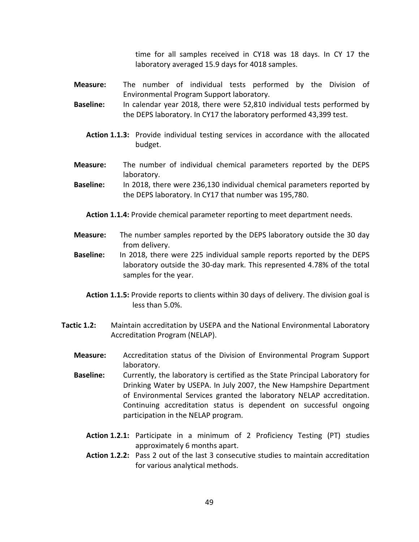time for all samples received in CY18 was 18 days. In CY 17 the laboratory averaged 15.9 days for 4018 samples.

- Measure: The number of individual tests performed by the Division of Environmental Program Support laboratory.
- Baseline: In calendar year 2018, there were 52,810 individual tests performed by the DEPS laboratory. In CY17 the laboratory performed 43,399 test.
	- Action 1.1.3: Provide individual testing services in accordance with the allocated budget.
- Measure: The number of individual chemical parameters reported by the DEPS laboratory.
- Baseline: In 2018, there were 236,130 individual chemical parameters reported by the DEPS laboratory. In CY17 that number was 195,780.

Action 1.1.4: Provide chemical parameter reporting to meet department needs.

- Measure: The number samples reported by the DEPS laboratory outside the 30 day from delivery.
- Baseline: In 2018, there were 225 individual sample reports reported by the DEPS laboratory outside the 30-day mark. This represented 4.78% of the total samples for the year.
	- Action 1.1.5: Provide reports to clients within 30 days of delivery. The division goal is less than 5.0%.
- **Tactic 1.2:** Maintain accreditation by USEPA and the National Environmental Laboratory Accreditation Program (NELAP).
	- Measure: Accreditation status of the Division of Environmental Program Support laboratory.
	- Baseline: Currently, the laboratory is certified as the State Principal Laboratory for Drinking Water by USEPA. In July 2007, the New Hampshire Department of Environmental Services granted the laboratory NELAP accreditation. Continuing accreditation status is dependent on successful ongoing participation in the NELAP program.
		- Action 1.2.1: Participate in a minimum of 2 Proficiency Testing (PT) studies approximately 6 months apart.
		- Action 1.2.2: Pass 2 out of the last 3 consecutive studies to maintain accreditation for various analytical methods.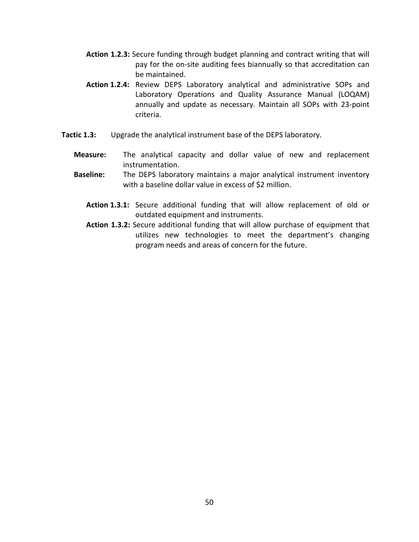- Action 1.2.3: Secure funding through budget planning and contract writing that will pay for the on-site auditing fees biannually so that accreditation can be maintained.
- Action 1.2.4: Review DEPS Laboratory analytical and administrative SOPs and Laboratory Operations and Quality Assurance Manual (LOQAM) annually and update as necessary. Maintain all SOPs with 23-point criteria.
- Tactic 1.3: Upgrade the analytical instrument base of the DEPS laboratory.
	- Measure: The analytical capacity and dollar value of new and replacement instrumentation.
	- Baseline: The DEPS laboratory maintains a major analytical instrument inventory with a baseline dollar value in excess of \$2 million.
		- Action 1.3.1: Secure additional funding that will allow replacement of old or outdated equipment and instruments.
		- Action 1.3.2: Secure additional funding that will allow purchase of equipment that utilizes new technologies to meet the department's changing program needs and areas of concern for the future.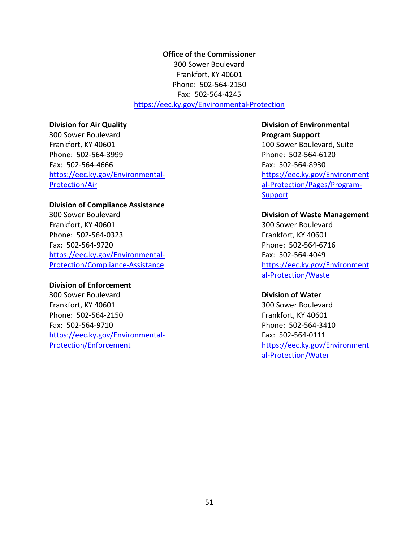Office of the Commissioner 300 Sower Boulevard Frankfort, KY 40601 Phone: 502-564-2150 Fax: 502-564-4245 https://eec.ky.gov/Environmental-Protection

### Division for Air Quality

300 Sower Boulevard Frankfort, KY 40601 Phone: 502-564-3999 Fax: 502-564-4666 https://eec.ky.gov/Environmental-Protection/Air

### Division of Compliance Assistance

300 Sower Boulevard Frankfort, KY 40601 Phone: 502-564-0323 Fax: 502-564-9720 https://eec.ky.gov/Environmental-Protection/Compliance-Assistance

### Division of Enforcement

300 Sower Boulevard Frankfort, KY 40601 Phone: 502-564-2150 Fax: 502-564-9710 https://eec.ky.gov/Environmental-Protection/Enforcement

# Division of Environmental Program Support

100 Sower Boulevard, Suite Phone: 502-564-6120 Fax: 502-564-8930 https://eec.ky.gov/Environment al-Protection/Pages/Program-**Support** 

#### Division of Waste Management

300 Sower Boulevard Frankfort, KY 40601 Phone: 502-564-6716 Fax: 502-564-4049 https://eec.ky.gov/Environment al-Protection/Waste

#### Division of Water

300 Sower Boulevard Frankfort, KY 40601 Phone: 502-564-3410 Fax: 502-564-0111 https://eec.ky.gov/Environment al-Protection/Water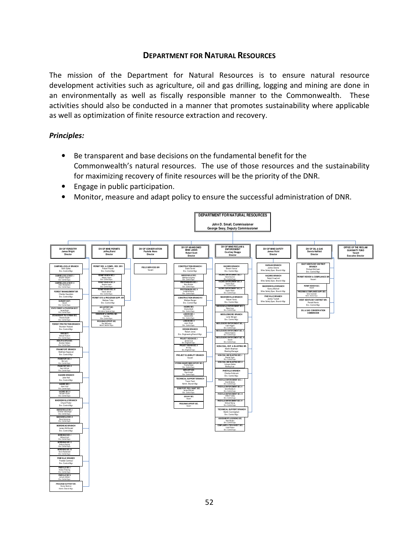# DEPARTMENT FOR NATURAL RESOURCES

The mission of the Department for Natural Resources is to ensure natural resource development activities such as agriculture, oil and gas drilling, logging and mining are done in an environmentally as well as fiscally responsible manner to the Commonwealth. These activities should also be conducted in a manner that promotes sustainability where applicable as well as optimization of finite resource extraction and recovery.

## Principles:

- Be transparent and base decisions on the fundamental benefit for the Commonwealth's natural resources. The use of those resources and the sustainability for maximizing recovery of finite resources will be the priority of the DNR.
- Engage in public participation.
- Monitor, measure and adapt policy to ensure the successful administration of DNR.

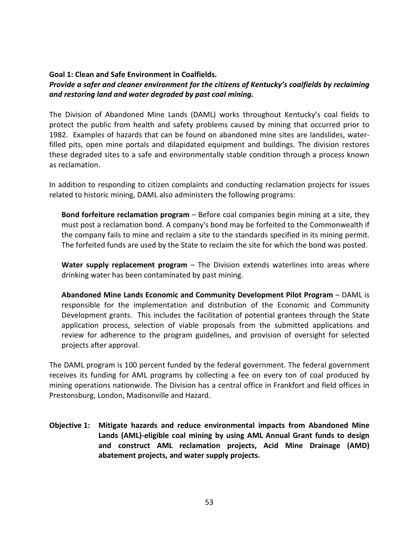## Goal 1: Clean and Safe Environment in Coalfields.

## Provide a safer and cleaner environment for the citizens of Kentucky's coalfields by reclaiming and restoring land and water degraded by past coal mining.

The Division of Abandoned Mine Lands (DAML) works throughout Kentucky's coal fields to protect the public from health and safety problems caused by mining that occurred prior to 1982. Examples of hazards that can be found on abandoned mine sites are landslides, waterfilled pits, open mine portals and dilapidated equipment and buildings. The division restores these degraded sites to a safe and environmentally stable condition through a process known as reclamation.

In addition to responding to citizen complaints and conducting reclamation projects for issues related to historic mining, DAML also administers the following programs:

Bond forfeiture reclamation program – Before coal companies begin mining at a site, they must post a reclamation bond. A company's bond may be forfeited to the Commonwealth if the company fails to mine and reclaim a site to the standards specified in its mining permit. The forfeited funds are used by the State to reclaim the site for which the bond was posted.

Water supply replacement program  $-$  The Division extends waterlines into areas where drinking water has been contaminated by past mining.

Abandoned Mine Lands Economic and Community Development Pilot Program – DAML is responsible for the implementation and distribution of the Economic and Community Development grants. This includes the facilitation of potential grantees through the State application process, selection of viable proposals from the submitted applications and review for adherence to the program guidelines, and provision of oversight for selected projects after approval.

The DAML program is 100 percent funded by the federal government. The federal government receives its funding for AML programs by collecting a fee on every ton of coal produced by mining operations nationwide. The Division has a central office in Frankfort and field offices in Prestonsburg, London, Madisonville and Hazard.

Objective 1: Mitigate hazards and reduce environmental impacts from Abandoned Mine Lands (AML)-eligible coal mining by using AML Annual Grant funds to design and construct AML reclamation projects, Acid Mine Drainage (AMD) abatement projects, and water supply projects.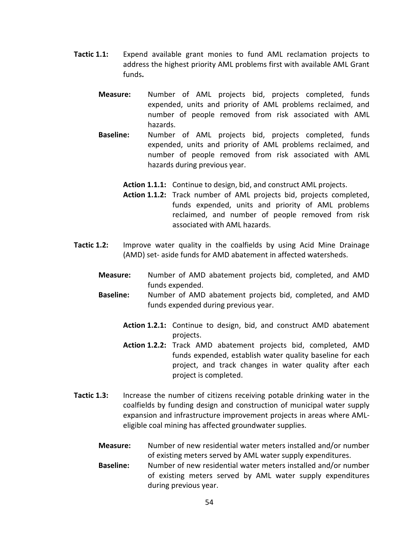- Tactic 1.1: Expend available grant monies to fund AML reclamation projects to address the highest priority AML problems first with available AML Grant funds.
	- Measure: Number of AML projects bid, projects completed, funds expended, units and priority of AML problems reclaimed, and number of people removed from risk associated with AML hazards.
	- Baseline: Number of AML projects bid, projects completed, funds expended, units and priority of AML problems reclaimed, and number of people removed from risk associated with AML hazards during previous year.

Action 1.1.1: Continue to design, bid, and construct AML projects.

- Action 1.1.2: Track number of AML projects bid, projects completed, funds expended, units and priority of AML problems reclaimed, and number of people removed from risk associated with AML hazards.
- Tactic 1.2: Improve water quality in the coalfields by using Acid Mine Drainage (AMD) set- aside funds for AMD abatement in affected watersheds.
	- Measure: Number of AMD abatement projects bid, completed, and AMD funds expended.
	- Baseline: Number of AMD abatement projects bid, completed, and AMD funds expended during previous year.
		- Action 1.2.1: Continue to design, bid, and construct AMD abatement projects.
		- Action 1.2.2: Track AMD abatement projects bid, completed, AMD funds expended, establish water quality baseline for each project, and track changes in water quality after each project is completed.
- Tactic 1.3: Increase the number of citizens receiving potable drinking water in the coalfields by funding design and construction of municipal water supply expansion and infrastructure improvement projects in areas where AMLeligible coal mining has affected groundwater supplies.
	- Measure: Number of new residential water meters installed and/or number of existing meters served by AML water supply expenditures.
	- Baseline: Number of new residential water meters installed and/or number of existing meters served by AML water supply expenditures during previous year.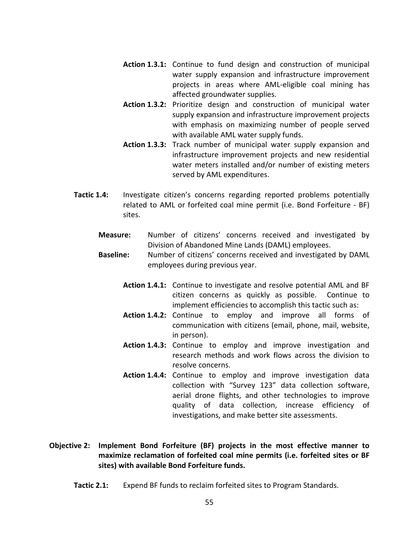- Action 1.3.1: Continue to fund design and construction of municipal water supply expansion and infrastructure improvement projects in areas where AML-eligible coal mining has affected groundwater supplies.
- Action 1.3.2: Prioritize design and construction of municipal water supply expansion and infrastructure improvement projects with emphasis on maximizing number of people served with available AML water supply funds.
- Action 1.3.3: Track number of municipal water supply expansion and infrastructure improvement projects and new residential water meters installed and/or number of existing meters served by AML expenditures.
- Tactic 1.4: Investigate citizen's concerns regarding reported problems potentially related to AML or forfeited coal mine permit (i.e. Bond Forfeiture - BF) sites.
	- Measure: Number of citizens' concerns received and investigated by Division of Abandoned Mine Lands (DAML) employees.
	- Baseline: Number of citizens' concerns received and investigated by DAML employees during previous year.
		- Action 1.4.1: Continue to investigate and resolve potential AML and BF citizen concerns as quickly as possible. Continue to implement efficiencies to accomplish this tactic such as:
		- Action 1.4.2: Continue to employ and improve all forms of communication with citizens (email, phone, mail, website, in person).
		- Action 1.4.3: Continue to employ and improve investigation and research methods and work flows across the division to resolve concerns.
		- Action 1.4.4: Continue to employ and improve investigation data collection with "Survey 123" data collection software, aerial drone flights, and other technologies to improve quality of data collection, increase efficiency of investigations, and make better site assessments.
- Objective 2: Implement Bond Forfeiture (BF) projects in the most effective manner to maximize reclamation of forfeited coal mine permits (i.e. forfeited sites or BF sites) with available Bond Forfeiture funds.
	- Tactic 2.1: Expend BF funds to reclaim forfeited sites to Program Standards.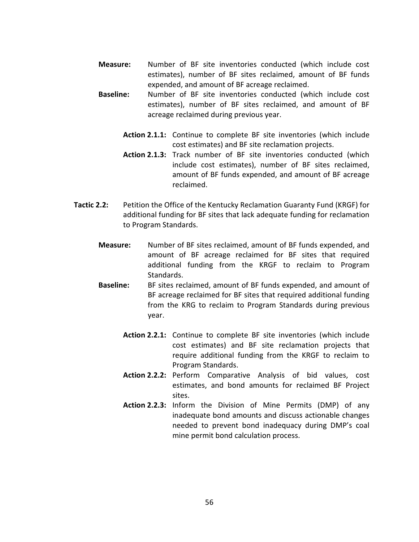- Measure: Number of BF site inventories conducted (which include cost estimates), number of BF sites reclaimed, amount of BF funds expended, and amount of BF acreage reclaimed.
- Baseline: Number of BF site inventories conducted (which include cost estimates), number of BF sites reclaimed, and amount of BF acreage reclaimed during previous year.
	- Action 2.1.1: Continue to complete BF site inventories (which include cost estimates) and BF site reclamation projects.
	- Action 2.1.3: Track number of BF site inventories conducted (which include cost estimates), number of BF sites reclaimed, amount of BF funds expended, and amount of BF acreage reclaimed.
- Tactic 2.2: Petition the Office of the Kentucky Reclamation Guaranty Fund (KRGF) for additional funding for BF sites that lack adequate funding for reclamation to Program Standards.
	- Measure: Number of BF sites reclaimed, amount of BF funds expended, and amount of BF acreage reclaimed for BF sites that required additional funding from the KRGF to reclaim to Program Standards.
	- Baseline: BF sites reclaimed, amount of BF funds expended, and amount of BF acreage reclaimed for BF sites that required additional funding from the KRG to reclaim to Program Standards during previous year.
		- Action 2.2.1: Continue to complete BF site inventories (which include cost estimates) and BF site reclamation projects that require additional funding from the KRGF to reclaim to Program Standards.
		- Action 2.2.2: Perform Comparative Analysis of bid values, cost estimates, and bond amounts for reclaimed BF Project sites.
		- Action 2.2.3: Inform the Division of Mine Permits (DMP) of any inadequate bond amounts and discuss actionable changes needed to prevent bond inadequacy during DMP's coal mine permit bond calculation process.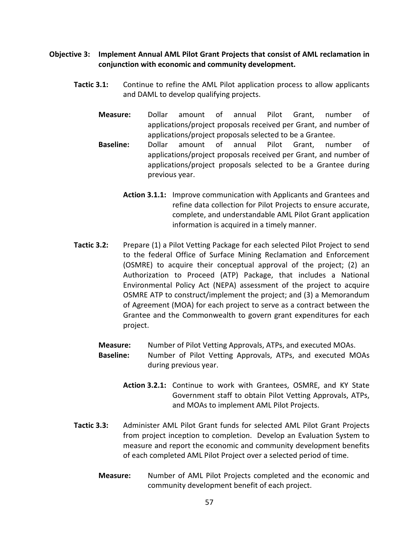- Objective 3: Implement Annual AML Pilot Grant Projects that consist of AML reclamation in conjunction with economic and community development.
	- Tactic 3.1: Continue to refine the AML Pilot application process to allow applicants and DAML to develop qualifying projects.
		- Measure: Dollar amount of annual Pilot Grant, number of applications/project proposals received per Grant, and number of applications/project proposals selected to be a Grantee.
		- Baseline: Dollar amount of annual Pilot Grant, number of applications/project proposals received per Grant, and number of applications/project proposals selected to be a Grantee during previous year.
			- Action 3.1.1: Improve communication with Applicants and Grantees and refine data collection for Pilot Projects to ensure accurate, complete, and understandable AML Pilot Grant application information is acquired in a timely manner.
	- Tactic 3.2: Prepare (1) a Pilot Vetting Package for each selected Pilot Project to send to the federal Office of Surface Mining Reclamation and Enforcement (OSMRE) to acquire their conceptual approval of the project; (2) an Authorization to Proceed (ATP) Package, that includes a National Environmental Policy Act (NEPA) assessment of the project to acquire OSMRE ATP to construct/implement the project; and (3) a Memorandum of Agreement (MOA) for each project to serve as a contract between the Grantee and the Commonwealth to govern grant expenditures for each project.

Measure: Number of Pilot Vetting Approvals, ATPs, and executed MOAs.

- Baseline: Number of Pilot Vetting Approvals, ATPs, and executed MOAs during previous year.
	- Action 3.2.1: Continue to work with Grantees, OSMRE, and KY State Government staff to obtain Pilot Vetting Approvals, ATPs, and MOAs to implement AML Pilot Projects.
- Tactic 3.3: Administer AML Pilot Grant funds for selected AML Pilot Grant Projects from project inception to completion. Develop an Evaluation System to measure and report the economic and community development benefits of each completed AML Pilot Project over a selected period of time.
	- Measure: Number of AML Pilot Projects completed and the economic and community development benefit of each project.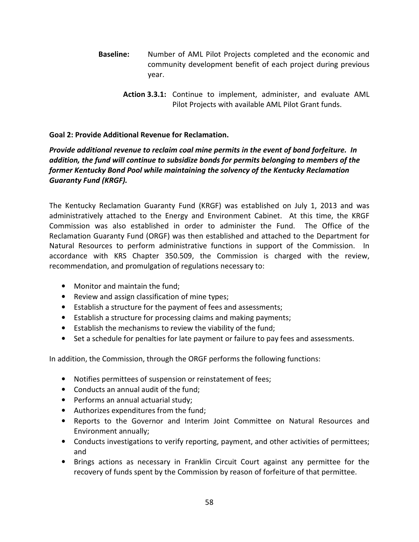- Baseline: Number of AML Pilot Projects completed and the economic and community development benefit of each project during previous year.
	- Action 3.3.1: Continue to implement, administer, and evaluate AML Pilot Projects with available AML Pilot Grant funds.

# Goal 2: Provide Additional Revenue for Reclamation.

# Provide additional revenue to reclaim coal mine permits in the event of bond forfeiture. In addition, the fund will continue to subsidize bonds for permits belonging to members of the former Kentucky Bond Pool while maintaining the solvency of the Kentucky Reclamation Guaranty Fund (KRGF).

The Kentucky Reclamation Guaranty Fund (KRGF) was established on July 1, 2013 and was administratively attached to the Energy and Environment Cabinet. At this time, the KRGF Commission was also established in order to administer the Fund. The Office of the Reclamation Guaranty Fund (ORGF) was then established and attached to the Department for Natural Resources to perform administrative functions in support of the Commission. In accordance with KRS Chapter 350.509, the Commission is charged with the review, recommendation, and promulgation of regulations necessary to:

- Monitor and maintain the fund;
- Review and assign classification of mine types;
- Establish a structure for the payment of fees and assessments;
- Establish a structure for processing claims and making payments;
- Establish the mechanisms to review the viability of the fund;
- Set a schedule for penalties for late payment or failure to pay fees and assessments.

In addition, the Commission, through the ORGF performs the following functions:

- Notifies permittees of suspension or reinstatement of fees;
- Conducts an annual audit of the fund;
- Performs an annual actuarial study;
- Authorizes expenditures from the fund;
- Reports to the Governor and Interim Joint Committee on Natural Resources and Environment annually;
- Conducts investigations to verify reporting, payment, and other activities of permittees; and
- Brings actions as necessary in Franklin Circuit Court against any permittee for the recovery of funds spent by the Commission by reason of forfeiture of that permittee.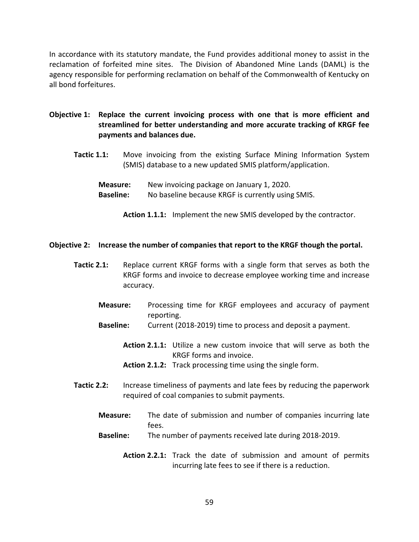In accordance with its statutory mandate, the Fund provides additional money to assist in the reclamation of forfeited mine sites. The Division of Abandoned Mine Lands (DAML) is the agency responsible for performing reclamation on behalf of the Commonwealth of Kentucky on all bond forfeitures.

- Objective 1: Replace the current invoicing process with one that is more efficient and streamlined for better understanding and more accurate tracking of KRGF fee payments and balances due.
	- Tactic 1.1: Move invoicing from the existing Surface Mining Information System (SMIS) database to a new updated SMIS platform/application.

Measure: New invoicing package on January 1, 2020. Baseline: No baseline because KRGF is currently using SMIS.

Action 1.1.1: Implement the new SMIS developed by the contractor.

### Objective 2: Increase the number of companies that report to the KRGF though the portal.

- Tactic 2.1: Replace current KRGF forms with a single form that serves as both the KRGF forms and invoice to decrease employee working time and increase accuracy.
	- Measure: Processing time for KRGF employees and accuracy of payment reporting.
	- **Baseline:** Current (2018-2019) time to process and deposit a payment.
		- Action 2.1.1: Utilize a new custom invoice that will serve as both the KRGF forms and invoice.
		- Action 2.1.2: Track processing time using the single form.
- Tactic 2.2: Increase timeliness of payments and late fees by reducing the paperwork required of coal companies to submit payments.
	- Measure: The date of submission and number of companies incurring late fees.
	- Baseline: The number of payments received late during 2018-2019.
		- Action 2.2.1: Track the date of submission and amount of permits incurring late fees to see if there is a reduction.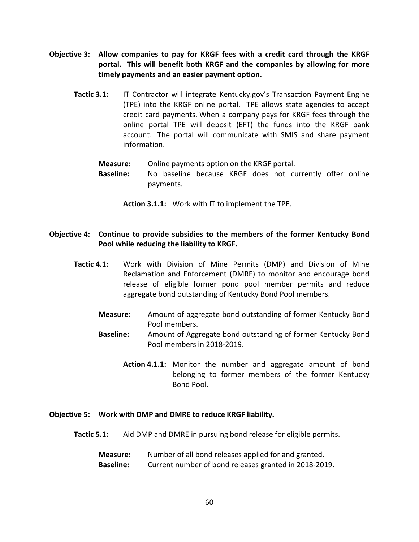- Objective 3: Allow companies to pay for KRGF fees with a credit card through the KRGF portal. This will benefit both KRGF and the companies by allowing for more timely payments and an easier payment option.
	- Tactic 3.1: IT Contractor will integrate Kentucky.gov's Transaction Payment Engine (TPE) into the KRGF online portal. TPE allows state agencies to accept credit card payments. When a company pays for KRGF fees through the online portal TPE will deposit (EFT) the funds into the KRGF bank account. The portal will communicate with SMIS and share payment information.

Measure: Online payments option on the KRGF portal.

Baseline: No baseline because KRGF does not currently offer online payments.

Action 3.1.1: Work with IT to implement the TPE.

## Objective 4: Continue to provide subsidies to the members of the former Kentucky Bond Pool while reducing the liability to KRGF.

- Tactic 4.1: Work with Division of Mine Permits (DMP) and Division of Mine Reclamation and Enforcement (DMRE) to monitor and encourage bond release of eligible former pond pool member permits and reduce aggregate bond outstanding of Kentucky Bond Pool members.
	- Measure: Amount of aggregate bond outstanding of former Kentucky Bond Pool members.
	- Baseline: Amount of Aggregate bond outstanding of former Kentucky Bond Pool members in 2018-2019.
		- Action 4.1.1: Monitor the number and aggregate amount of bond belonging to former members of the former Kentucky Bond Pool.

### Objective 5: Work with DMP and DMRE to reduce KRGF liability.

- Tactic 5.1: Aid DMP and DMRE in pursuing bond release for eligible permits.
	- Measure: Number of all bond releases applied for and granted. Baseline: Current number of bond releases granted in 2018-2019.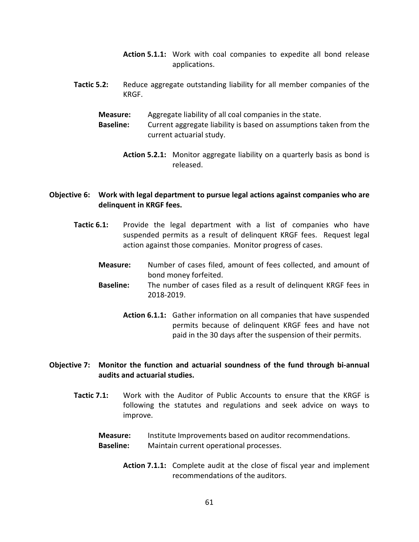- Action 5.1.1: Work with coal companies to expedite all bond release applications.
- Tactic 5.2: Reduce aggregate outstanding liability for all member companies of the KRGF.
	- Measure: Aggregate liability of all coal companies in the state.
	- Baseline: Current aggregate liability is based on assumptions taken from the current actuarial study.
		- Action 5.2.1: Monitor aggregate liability on a quarterly basis as bond is released.

### Objective 6: Work with legal department to pursue legal actions against companies who are delinquent in KRGF fees.

- Tactic 6.1: Provide the legal department with a list of companies who have suspended permits as a result of delinquent KRGF fees. Request legal action against those companies. Monitor progress of cases.
	- Measure: Number of cases filed, amount of fees collected, and amount of bond money forfeited.
	- Baseline: The number of cases filed as a result of delinquent KRGF fees in 2018-2019.
		- Action 6.1.1: Gather information on all companies that have suspended permits because of delinquent KRGF fees and have not paid in the 30 days after the suspension of their permits.

### Objective 7: Monitor the function and actuarial soundness of the fund through bi-annual audits and actuarial studies.

Tactic 7.1: Work with the Auditor of Public Accounts to ensure that the KRGF is following the statutes and regulations and seek advice on ways to improve.

Measure: Institute Improvements based on auditor recommendations. Baseline: Maintain current operational processes.

> Action 7.1.1: Complete audit at the close of fiscal year and implement recommendations of the auditors.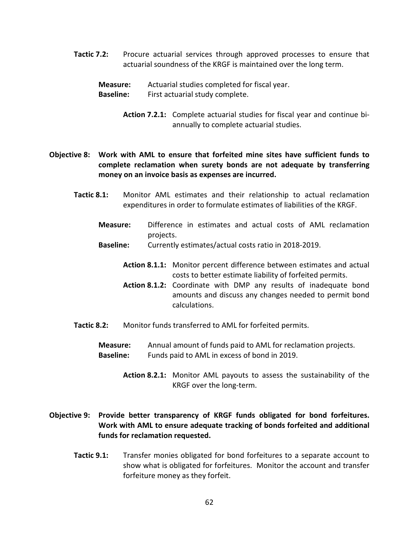**Tactic 7.2:** Procure actuarial services through approved processes to ensure that actuarial soundness of the KRGF is maintained over the long term.

Measure: Actuarial studies completed for fiscal year.

Baseline: First actuarial study complete.

Action 7.2.1: Complete actuarial studies for fiscal year and continue biannually to complete actuarial studies.

Objective 8: Work with AML to ensure that forfeited mine sites have sufficient funds to complete reclamation when surety bonds are not adequate by transferring money on an invoice basis as expenses are incurred.

- Tactic 8.1: Monitor AML estimates and their relationship to actual reclamation expenditures in order to formulate estimates of liabilities of the KRGF.
	- Measure: Difference in estimates and actual costs of AML reclamation projects.
	- Baseline: Currently estimates/actual costs ratio in 2018-2019.
		- Action 8.1.1: Monitor percent difference between estimates and actual costs to better estimate liability of forfeited permits.
		- Action 8.1.2: Coordinate with DMP any results of inadequate bond amounts and discuss any changes needed to permit bond calculations.
- Tactic 8.2: Monitor funds transferred to AML for forfeited permits.
	- Measure: Annual amount of funds paid to AML for reclamation projects. Baseline: Funds paid to AML in excess of bond in 2019.
		- Action 8.2.1: Monitor AML payouts to assess the sustainability of the KRGF over the long-term.
- Objective 9: Provide better transparency of KRGF funds obligated for bond forfeitures. Work with AML to ensure adequate tracking of bonds forfeited and additional funds for reclamation requested.
	- Tactic 9.1: Transfer monies obligated for bond forfeitures to a separate account to show what is obligated for forfeitures. Monitor the account and transfer forfeiture money as they forfeit.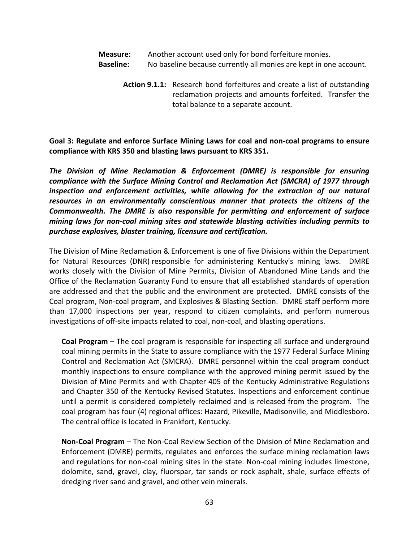- Measure: Another account used only for bond forfeiture monies.
- Baseline: No baseline because currently all monies are kept in one account.
	- Action 9.1.1: Research bond forfeitures and create a list of outstanding reclamation projects and amounts forfeited. Transfer the total balance to a separate account.

Goal 3: Regulate and enforce Surface Mining Laws for coal and non-coal programs to ensure compliance with KRS 350 and blasting laws pursuant to KRS 351.

The Division of Mine Reclamation & Enforcement (DMRE) is responsible for ensuring compliance with the Surface Mining Control and Reclamation Act (SMCRA) of 1977 through inspection and enforcement activities, while allowing for the extraction of our natural resources in an environmentally conscientious manner that protects the citizens of the Commonwealth. The DMRE is also responsible for permitting and enforcement of surface mining laws for non-coal mining sites and statewide blasting activities including permits to purchase explosives, blaster training, licensure and certification.

The Division of Mine Reclamation & Enforcement is one of five Divisions within the Department for Natural Resources (DNR) responsible for administering Kentucky's mining laws. DMRE works closely with the Division of Mine Permits, Division of Abandoned Mine Lands and the Office of the Reclamation Guaranty Fund to ensure that all established standards of operation are addressed and that the public and the environment are protected. DMRE consists of the Coal program, Non-coal program, and Explosives & Blasting Section. DMRE staff perform more than 17,000 inspections per year, respond to citizen complaints, and perform numerous investigations of off-site impacts related to coal, non-coal, and blasting operations.

Coal Program – The coal program is responsible for inspecting all surface and underground coal mining permits in the State to assure compliance with the 1977 Federal Surface Mining Control and Reclamation Act (SMCRA). DMRE personnel within the coal program conduct monthly inspections to ensure compliance with the approved mining permit issued by the Division of Mine Permits and with Chapter 405 of the Kentucky Administrative Regulations and Chapter 350 of the Kentucky Revised Statutes. Inspections and enforcement continue until a permit is considered completely reclaimed and is released from the program. The coal program has four (4) regional offices: Hazard, Pikeville, Madisonville, and Middlesboro. The central office is located in Frankfort, Kentucky.

Non-Coal Program – The Non-Coal Review Section of the Division of Mine Reclamation and Enforcement (DMRE) permits, regulates and enforces the surface mining reclamation laws and regulations for non-coal mining sites in the state. Non-coal mining includes limestone, dolomite, sand, gravel, clay, fluorspar, tar sands or rock asphalt, shale, surface effects of dredging river sand and gravel, and other vein minerals.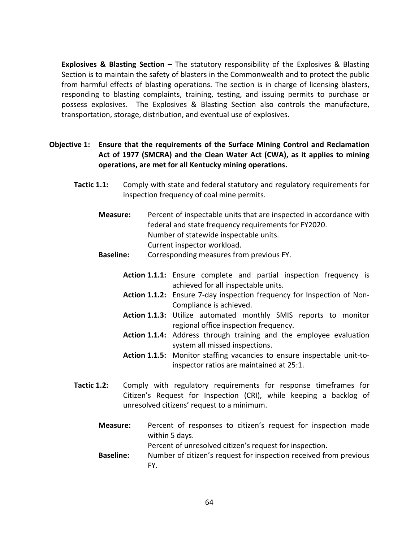**Explosives & Blasting Section –** The statutory responsibility of the Explosives & Blasting Section is to maintain the safety of blasters in the Commonwealth and to protect the public from harmful effects of blasting operations. The section is in charge of licensing blasters, responding to blasting complaints, training, testing, and issuing permits to purchase or possess explosives. The Explosives & Blasting Section also controls the manufacture, transportation, storage, distribution, and eventual use of explosives.

Objective 1: Ensure that the requirements of the Surface Mining Control and Reclamation Act of 1977 (SMCRA) and the Clean Water Act (CWA), as it applies to mining operations, are met for all Kentucky mining operations.

- Tactic 1.1: Comply with state and federal statutory and regulatory requirements for inspection frequency of coal mine permits.
	- Measure: Percent of inspectable units that are inspected in accordance with federal and state frequency requirements for FY2020. Number of statewide inspectable units. Current inspector workload.
	- Baseline: Corresponding measures from previous FY.
		- Action 1.1.1: Ensure complete and partial inspection frequency is achieved for all inspectable units.
		- Action 1.1.2: Ensure 7-day inspection frequency for Inspection of Non-Compliance is achieved.
		- Action 1.1.3: Utilize automated monthly SMIS reports to monitor regional office inspection frequency.
		- Action 1.1.4: Address through training and the employee evaluation system all missed inspections.
		- Action 1.1.5: Monitor staffing vacancies to ensure inspectable unit-toinspector ratios are maintained at 25:1.
- Tactic 1.2: Comply with regulatory requirements for response timeframes for Citizen's Request for Inspection (CRI), while keeping a backlog of unresolved citizens' request to a minimum.
	- Measure: Percent of responses to citizen's request for inspection made within 5 days. Percent of unresolved citizen's request for inspection.
	- Baseline: Number of citizen's request for inspection received from previous FY.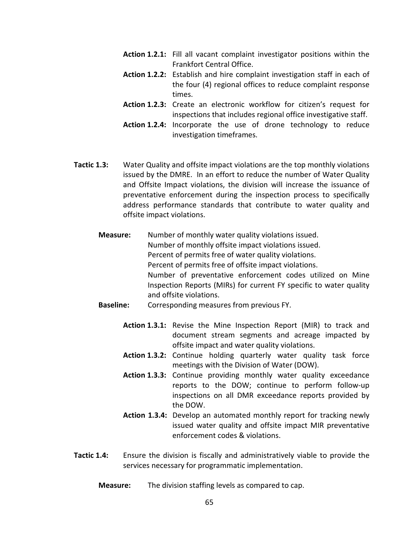- Action 1.2.1: Fill all vacant complaint investigator positions within the Frankfort Central Office.
- Action 1.2.2: Establish and hire complaint investigation staff in each of the four (4) regional offices to reduce complaint response times.
- Action 1.2.3: Create an electronic workflow for citizen's request for inspections that includes regional office investigative staff.
- Action 1.2.4: Incorporate the use of drone technology to reduce investigation timeframes.
- Tactic 1.3: Water Quality and offsite impact violations are the top monthly violations issued by the DMRE. In an effort to reduce the number of Water Quality and Offsite Impact violations, the division will increase the issuance of preventative enforcement during the inspection process to specifically address performance standards that contribute to water quality and offsite impact violations.
	- Measure: Number of monthly water quality violations issued. Number of monthly offsite impact violations issued. Percent of permits free of water quality violations. Percent of permits free of offsite impact violations. Number of preventative enforcement codes utilized on Mine Inspection Reports (MIRs) for current FY specific to water quality and offsite violations.
	- Baseline: Corresponding measures from previous FY.
		- Action 1.3.1: Revise the Mine Inspection Report (MIR) to track and document stream segments and acreage impacted by offsite impact and water quality violations.
		- Action 1.3.2: Continue holding quarterly water quality task force meetings with the Division of Water (DOW).
		- Action 1.3.3: Continue providing monthly water quality exceedance reports to the DOW; continue to perform follow-up inspections on all DMR exceedance reports provided by the DOW.
		- Action 1.3.4: Develop an automated monthly report for tracking newly issued water quality and offsite impact MIR preventative enforcement codes & violations.
- Tactic 1.4: Ensure the division is fiscally and administratively viable to provide the services necessary for programmatic implementation.
	- **Measure:** The division staffing levels as compared to cap.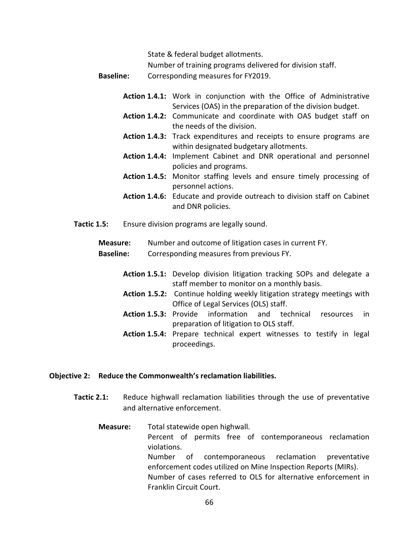State & federal budget allotments. Number of training programs delivered for division staff. Baseline: Corresponding measures for FY2019.

- Action 1.4.1: Work in conjunction with the Office of Administrative Services (OAS) in the preparation of the division budget.
- Action 1.4.2: Communicate and coordinate with OAS budget staff on the needs of the division.
- Action 1.4.3: Track expenditures and receipts to ensure programs are within designated budgetary allotments.
- Action 1.4.4: Implement Cabinet and DNR operational and personnel policies and programs.
- Action 1.4.5: Monitor staffing levels and ensure timely processing of personnel actions.
- Action 1.4.6: Educate and provide outreach to division staff on Cabinet and DNR policies.
- Tactic 1.5: Ensure division programs are legally sound.

Measure: Number and outcome of litigation cases in current FY. **Baseline:** Corresponding measures from previous FY.

- Action 1.5.1: Develop division litigation tracking SOPs and delegate a staff member to monitor on a monthly basis.
- Action 1.5.2: Continue holding weekly litigation strategy meetings with Office of Legal Services (OLS) staff.
- Action 1.5.3: Provide information and technical resources in preparation of litigation to OLS staff.
- Action 1.5.4: Prepare technical expert witnesses to testify in legal proceedings.

### Objective 2: Reduce the Commonwealth's reclamation liabilities.

- Tactic 2.1: Reduce highwall reclamation liabilities through the use of preventative and alternative enforcement.
	- Measure: Total statewide open highwall. Percent of permits free of contemporaneous reclamation violations. Number of contemporaneous reclamation preventative enforcement codes utilized on Mine Inspection Reports (MIRs). Number of cases referred to OLS for alternative enforcement in Franklin Circuit Court.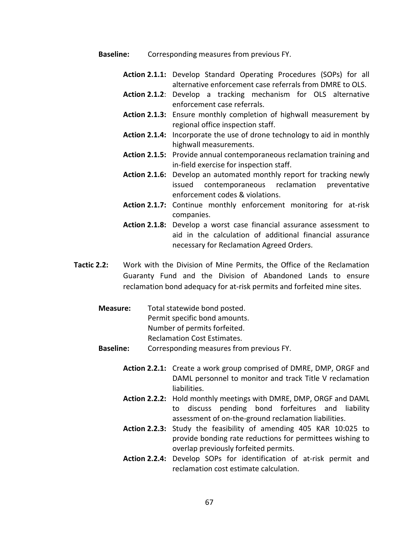- **Baseline:** Corresponding measures from previous FY.
	- Action 2.1.1: Develop Standard Operating Procedures (SOPs) for all alternative enforcement case referrals from DMRE to OLS.
	- Action 2.1.2: Develop a tracking mechanism for OLS alternative enforcement case referrals.
	- Action 2.1.3: Ensure monthly completion of highwall measurement by regional office inspection staff.
	- Action 2.1.4: Incorporate the use of drone technology to aid in monthly highwall measurements.
	- Action 2.1.5: Provide annual contemporaneous reclamation training and in-field exercise for inspection staff.
	- Action 2.1.6: Develop an automated monthly report for tracking newly issued contemporaneous reclamation preventative enforcement codes & violations.
	- Action 2.1.7: Continue monthly enforcement monitoring for at-risk companies.
	- Action 2.1.8: Develop a worst case financial assurance assessment to aid in the calculation of additional financial assurance necessary for Reclamation Agreed Orders.
- Tactic 2.2: Work with the Division of Mine Permits, the Office of the Reclamation Guaranty Fund and the Division of Abandoned Lands to ensure reclamation bond adequacy for at-risk permits and forfeited mine sites.
	- Measure: Total statewide bond posted. Permit specific bond amounts. Number of permits forfeited. Reclamation Cost Estimates.
	- Baseline: Corresponding measures from previous FY.
		- Action 2.2.1: Create a work group comprised of DMRE, DMP, ORGF and DAML personnel to monitor and track Title V reclamation liabilities.
		- Action 2.2.2: Hold monthly meetings with DMRE, DMP, ORGF and DAML to discuss pending bond forfeitures and liability assessment of on-the-ground reclamation liabilities.
		- Action 2.2.3: Study the feasibility of amending 405 KAR 10:025 to provide bonding rate reductions for permittees wishing to overlap previously forfeited permits.
		- Action 2.2.4: Develop SOPs for identification of at-risk permit and reclamation cost estimate calculation.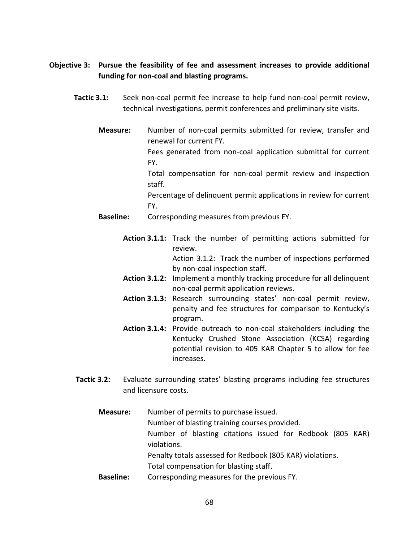# Objective 3: Pursue the feasibility of fee and assessment increases to provide additional funding for non-coal and blasting programs.

- Tactic 3.1: Seek non-coal permit fee increase to help fund non-coal permit review, technical investigations, permit conferences and preliminary site visits.
	- Measure: Number of non-coal permits submitted for review, transfer and renewal for current FY.

Fees generated from non-coal application submittal for current FY.

Total compensation for non-coal permit review and inspection staff.

Percentage of delinquent permit applications in review for current FY.

- Baseline: Corresponding measures from previous FY.
	- Action 3.1.1: Track the number of permitting actions submitted for review. Action 3.1.2: Track the number of inspections performed

by non-coal inspection staff.

- Action 3.1.2: Implement a monthly tracking procedure for all delinquent non-coal permit application reviews.
- Action 3.1.3: Research surrounding states' non-coal permit review, penalty and fee structures for comparison to Kentucky's program.
- Action 3.1.4: Provide outreach to non-coal stakeholders including the Kentucky Crushed Stone Association (KCSA) regarding potential revision to 405 KAR Chapter 5 to allow for fee increases.
- Tactic 3.2: Evaluate surrounding states' blasting programs including fee structures and licensure costs.
	- Measure: Number of permits to purchase issued. Number of blasting training courses provided. Number of blasting citations issued for Redbook (805 KAR) violations. Penalty totals assessed for Redbook (805 KAR) violations. Total compensation for blasting staff. Baseline: Corresponding measures for the previous FY.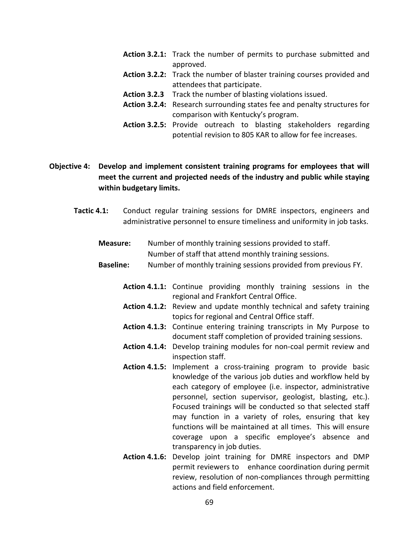- Action 3.2.1: Track the number of permits to purchase submitted and approved.
- Action 3.2.2: Track the number of blaster training courses provided and attendees that participate.
- Action 3.2.3 Track the number of blasting violations issued.
- Action 3.2.4: Research surrounding states fee and penalty structures for comparison with Kentucky's program.
- Action 3.2.5: Provide outreach to blasting stakeholders regarding potential revision to 805 KAR to allow for fee increases.

# Objective 4: Develop and implement consistent training programs for employees that will meet the current and projected needs of the industry and public while staying within budgetary limits.

Tactic 4.1: Conduct regular training sessions for DMRE inspectors, engineers and administrative personnel to ensure timeliness and uniformity in job tasks.

| <b>Measure:</b> | Number of monthly training sessions provided to staff. |
|-----------------|--------------------------------------------------------|
|                 | Number of staff that attend monthly training sessions. |

- Baseline: Number of monthly training sessions provided from previous FY.
	- Action 4.1.1: Continue providing monthly training sessions in the regional and Frankfort Central Office.
	- Action 4.1.2: Review and update monthly technical and safety training topics for regional and Central Office staff.
	- Action 4.1.3: Continue entering training transcripts in My Purpose to document staff completion of provided training sessions.
	- Action 4.1.4: Develop training modules for non-coal permit review and inspection staff.
	- Action 4.1.5: Implement a cross-training program to provide basic knowledge of the various job duties and workflow held by each category of employee (i.e. inspector, administrative personnel, section supervisor, geologist, blasting, etc.). Focused trainings will be conducted so that selected staff may function in a variety of roles, ensuring that key functions will be maintained at all times. This will ensure coverage upon a specific employee's absence and transparency in job duties.
	- Action 4.1.6: Develop joint training for DMRE inspectors and DMP permit reviewers to enhance coordination during permit review, resolution of non-compliances through permitting actions and field enforcement.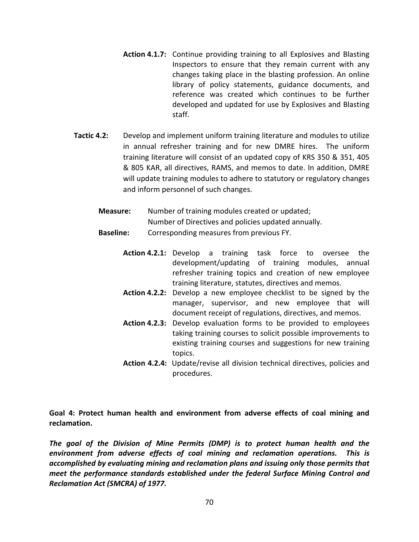- Action 4.1.7: Continue providing training to all Explosives and Blasting Inspectors to ensure that they remain current with any changes taking place in the blasting profession. An online library of policy statements, guidance documents, and reference was created which continues to be further developed and updated for use by Explosives and Blasting staff.
- Tactic 4.2: Develop and implement uniform training literature and modules to utilize in annual refresher training and for new DMRE hires. The uniform training literature will consist of an updated copy of KRS 350 & 351, 405 & 805 KAR, all directives, RAMS, and memos to date. In addition, DMRE will update training modules to adhere to statutory or regulatory changes and inform personnel of such changes.
	- Measure: Number of training modules created or updated; Number of Directives and policies updated annually.
	- Baseline: Corresponding measures from previous FY.
		- Action 4.2.1: Develop a training task force to oversee the development/updating of training modules, annual refresher training topics and creation of new employee training literature, statutes, directives and memos.
		- Action 4.2.2: Develop a new employee checklist to be signed by the manager, supervisor, and new employee that will document receipt of regulations, directives, and memos.
		- Action 4.2.3: Develop evaluation forms to be provided to employees taking training courses to solicit possible improvements to existing training courses and suggestions for new training topics.
		- Action 4.2.4: Update/revise all division technical directives, policies and procedures.

Goal 4: Protect human health and environment from adverse effects of coal mining and reclamation.

The goal of the Division of Mine Permits (DMP) is to protect human health and the environment from adverse effects of coal mining and reclamation operations. This is accomplished by evaluating mining and reclamation plans and issuing only those permits that meet the performance standards established under the federal Surface Mining Control and Reclamation Act (SMCRA) of 1977.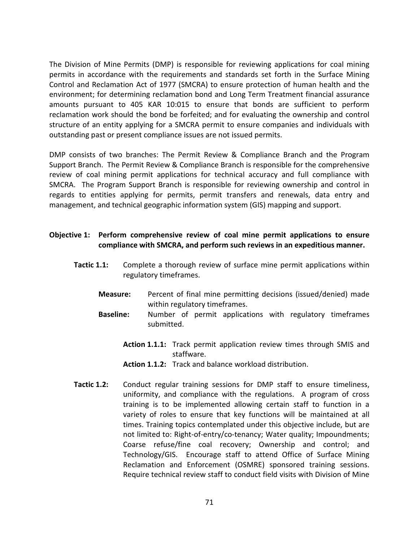The Division of Mine Permits (DMP) is responsible for reviewing applications for coal mining permits in accordance with the requirements and standards set forth in the Surface Mining Control and Reclamation Act of 1977 (SMCRA) to ensure protection of human health and the environment; for determining reclamation bond and Long Term Treatment financial assurance amounts pursuant to 405 KAR 10:015 to ensure that bonds are sufficient to perform reclamation work should the bond be forfeited; and for evaluating the ownership and control structure of an entity applying for a SMCRA permit to ensure companies and individuals with outstanding past or present compliance issues are not issued permits.

DMP consists of two branches: The Permit Review & Compliance Branch and the Program Support Branch. The Permit Review & Compliance Branch is responsible for the comprehensive review of coal mining permit applications for technical accuracy and full compliance with SMCRA. The Program Support Branch is responsible for reviewing ownership and control in regards to entities applying for permits, permit transfers and renewals, data entry and management, and technical geographic information system (GIS) mapping and support.

## Objective 1: Perform comprehensive review of coal mine permit applications to ensure compliance with SMCRA, and perform such reviews in an expeditious manner.

- **Tactic 1.1:** Complete a thorough review of surface mine permit applications within regulatory timeframes.
	- Measure: Percent of final mine permitting decisions (issued/denied) made within regulatory timeframes.
	- Baseline: Number of permit applications with regulatory timeframes submitted.
		- Action 1.1.1: Track permit application review times through SMIS and staffware.
		- Action 1.1.2: Track and balance workload distribution.
- Tactic 1.2: Conduct regular training sessions for DMP staff to ensure timeliness, uniformity, and compliance with the regulations. A program of cross training is to be implemented allowing certain staff to function in a variety of roles to ensure that key functions will be maintained at all times. Training topics contemplated under this objective include, but are not limited to: Right-of-entry/co-tenancy; Water quality; Impoundments; Coarse refuse/fine coal recovery; Ownership and control; and Technology/GIS. Encourage staff to attend Office of Surface Mining Reclamation and Enforcement (OSMRE) sponsored training sessions. Require technical review staff to conduct field visits with Division of Mine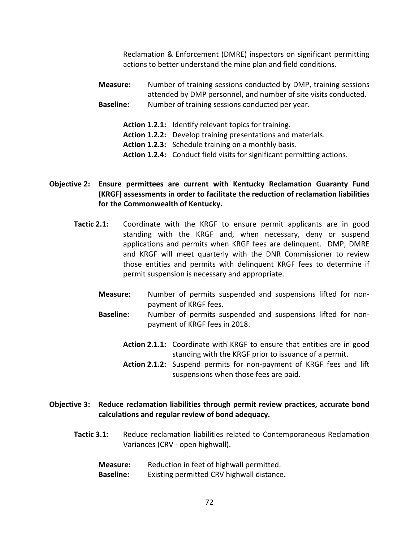Reclamation & Enforcement (DMRE) inspectors on significant permitting actions to better understand the mine plan and field conditions.

Measure: Number of training sessions conducted by DMP, training sessions attended by DMP personnel, and number of site visits conducted. **Baseline:** Number of training sessions conducted per year.

- Action 1.2.1: Identify relevant topics for training.
- Action 1.2.2: Develop training presentations and materials.
- Action 1.2.3: Schedule training on a monthly basis.
- Action 1.2.4: Conduct field visits for significant permitting actions.

## Objective 2: Ensure permittees are current with Kentucky Reclamation Guaranty Fund (KRGF) assessments in order to facilitate the reduction of reclamation liabilities for the Commonwealth of Kentucky.

- Tactic 2.1: Coordinate with the KRGF to ensure permit applicants are in good standing with the KRGF and, when necessary, deny or suspend applications and permits when KRGF fees are delinquent. DMP, DMRE and KRGF will meet quarterly with the DNR Commissioner to review those entities and permits with delinquent KRGF fees to determine if permit suspension is necessary and appropriate.
	- Measure: Number of permits suspended and suspensions lifted for nonpayment of KRGF fees.
	- Baseline: Number of permits suspended and suspensions lifted for nonpayment of KRGF fees in 2018.
		- Action 2.1.1: Coordinate with KRGF to ensure that entities are in good standing with the KRGF prior to issuance of a permit.
		- Action 2.1.2: Suspend permits for non-payment of KRGF fees and lift suspensions when those fees are paid.

### Objective 3: Reduce reclamation liabilities through permit review practices, accurate bond calculations and regular review of bond adequacy.

- Tactic 3.1: Reduce reclamation liabilities related to Contemporaneous Reclamation Variances (CRV - open highwall).
	- Measure: Reduction in feet of highwall permitted. Baseline: Existing permitted CRV highwall distance.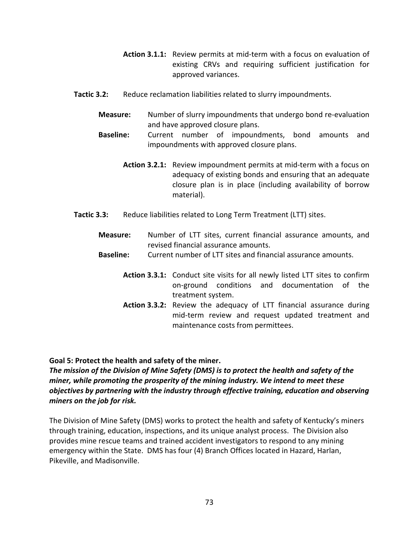- Action 3.1.1: Review permits at mid-term with a focus on evaluation of existing CRVs and requiring sufficient justification for approved variances.
- Tactic 3.2: Reduce reclamation liabilities related to slurry impoundments.
	- Measure: Number of slurry impoundments that undergo bond re-evaluation and have approved closure plans.
	- Baseline: Current number of impoundments, bond amounts and impoundments with approved closure plans.
		- Action 3.2.1: Review impoundment permits at mid-term with a focus on adequacy of existing bonds and ensuring that an adequate closure plan is in place (including availability of borrow material).
- Tactic 3.3: Reduce liabilities related to Long Term Treatment (LTT) sites.
	- Measure: Number of LTT sites, current financial assurance amounts, and revised financial assurance amounts.
	- Baseline: Current number of LTT sites and financial assurance amounts.
		- Action 3.3.1: Conduct site visits for all newly listed LTT sites to confirm on-ground conditions and documentation of the treatment system.
		- Action 3.3.2: Review the adequacy of LTT financial assurance during mid-term review and request updated treatment and maintenance costs from permittees.

### Goal 5: Protect the health and safety of the miner.

The mission of the Division of Mine Safety (DMS) is to protect the health and safety of the miner, while promoting the prosperity of the mining industry. We intend to meet these objectives by partnering with the industry through effective training, education and observing miners on the job for risk.

The Division of Mine Safety (DMS) works to protect the health and safety of Kentucky's miners through training, education, inspections, and its unique analyst process. The Division also provides mine rescue teams and trained accident investigators to respond to any mining emergency within the State. DMS has four (4) Branch Offices located in Hazard, Harlan, Pikeville, and Madisonville.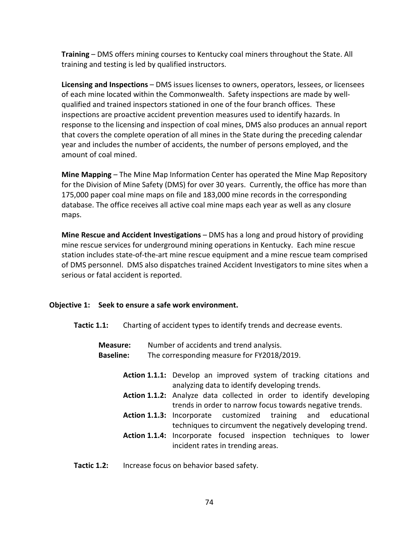Training – DMS offers mining courses to Kentucky coal miners throughout the State. All training and testing is led by qualified instructors.

Licensing and Inspections – DMS issues licenses to owners, operators, lessees, or licensees of each mine located within the Commonwealth. Safety inspections are made by wellqualified and trained inspectors stationed in one of the four branch offices. These inspections are proactive accident prevention measures used to identify hazards. In response to the licensing and inspection of coal mines, DMS also produces an annual report that covers the complete operation of all mines in the State during the preceding calendar year and includes the number of accidents, the number of persons employed, and the amount of coal mined.

Mine Mapping – The Mine Map Information Center has operated the Mine Map Repository for the Division of Mine Safety (DMS) for over 30 years. Currently, the office has more than 175,000 paper coal mine maps on file and 183,000 mine records in the corresponding database. The office receives all active coal mine maps each year as well as any closure maps.

Mine Rescue and Accident Investigations – DMS has a long and proud history of providing mine rescue services for underground mining operations in Kentucky. Each mine rescue station includes state-of-the-art mine rescue equipment and a mine rescue team comprised of DMS personnel. DMS also dispatches trained Accident Investigators to mine sites when a serious or fatal accident is reported.

## Objective 1: Seek to ensure a safe work environment.

Tactic 1.1: Charting of accident types to identify trends and decrease events.

| <b>Measure:</b>  |                                            | Number of accidents and trend analysis.                                                                             |  |  |  |
|------------------|--------------------------------------------|---------------------------------------------------------------------------------------------------------------------|--|--|--|
| <b>Baseline:</b> | The corresponding measure for FY2018/2019. |                                                                                                                     |  |  |  |
|                  |                                            | Action 1.1.1: Develop an improved system of tracking citations and<br>analyzing data to identify developing trends. |  |  |  |
|                  |                                            | Action 1.1.2: Analyze data collected in order to identify developing                                                |  |  |  |
|                  |                                            | trends in order to narrow focus towards negative trends.                                                            |  |  |  |
|                  |                                            | <b>Action 1.1.3:</b> Incorporate customized training and educational                                                |  |  |  |
|                  |                                            | techniques to circumvent the negatively developing trend.                                                           |  |  |  |
|                  |                                            | Action 1.1.4: Incorporate focused inspection techniques to lower                                                    |  |  |  |
|                  |                                            | incident rates in trending areas.                                                                                   |  |  |  |

Tactic 1.2: Increase focus on behavior based safety.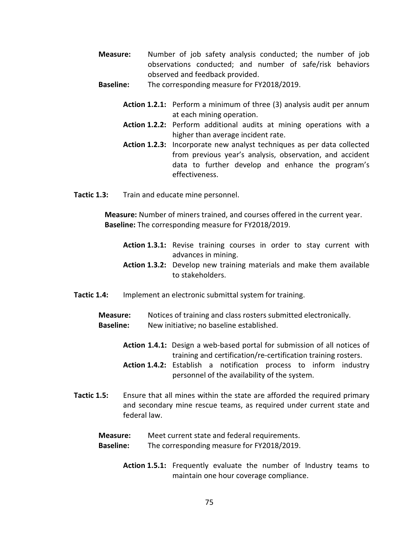- Measure: Number of job safety analysis conducted; the number of job observations conducted; and number of safe/risk behaviors observed and feedback provided.
- **Baseline:** The corresponding measure for FY2018/2019.
	- Action 1.2.1: Perform a minimum of three (3) analysis audit per annum at each mining operation.
	- Action 1.2.2: Perform additional audits at mining operations with a higher than average incident rate.
	- Action 1.2.3: Incorporate new analyst techniques as per data collected from previous year's analysis, observation, and accident data to further develop and enhance the program's effectiveness.
- Tactic 1.3: Train and educate mine personnel.

Measure: Number of miners trained, and courses offered in the current year. Baseline: The corresponding measure for FY2018/2019.

- Action 1.3.1: Revise training courses in order to stay current with advances in mining.
- Action 1.3.2: Develop new training materials and make them available to stakeholders.
- Tactic 1.4: Implement an electronic submittal system for training.
	- Measure: Notices of training and class rosters submitted electronically. Baseline: New initiative; no baseline established.
		- Action 1.4.1: Design a web-based portal for submission of all notices of training and certification/re-certification training rosters.
		- Action 1.4.2: Establish a notification process to inform industry personnel of the availability of the system.
- Tactic 1.5: Ensure that all mines within the state are afforded the required primary and secondary mine rescue teams, as required under current state and federal law.

Measure: Meet current state and federal requirements.

- Baseline: The corresponding measure for FY2018/2019.
	- Action 1.5.1: Frequently evaluate the number of Industry teams to maintain one hour coverage compliance.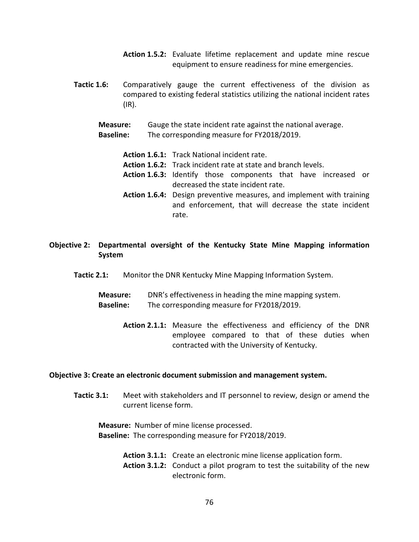- Action 1.5.2: Evaluate lifetime replacement and update mine rescue equipment to ensure readiness for mine emergencies.
- Tactic 1.6: Comparatively gauge the current effectiveness of the division as compared to existing federal statistics utilizing the national incident rates (IR).
	- Measure: Gauge the state incident rate against the national average.
	- Baseline: The corresponding measure for FY2018/2019.
		- Action 1.6.1: Track National incident rate.
		- Action 1.6.2: Track incident rate at state and branch levels.
		- Action 1.6.3: Identify those components that have increased or decreased the state incident rate.
		- Action 1.6.4: Design preventive measures, and implement with training and enforcement, that will decrease the state incident rate.
- Objective 2: Departmental oversight of the Kentucky State Mine Mapping information System
	- Tactic 2.1: Monitor the DNR Kentucky Mine Mapping Information System.
		- Measure: DNR's effectiveness in heading the mine mapping system. Baseline: The corresponding measure for FY2018/2019.
			- Action 2.1.1: Measure the effectiveness and efficiency of the DNR employee compared to that of these duties when contracted with the University of Kentucky.

#### Objective 3: Create an electronic document submission and management system.

Tactic 3.1: Meet with stakeholders and IT personnel to review, design or amend the current license form.

Measure: Number of mine license processed. Baseline: The corresponding measure for FY2018/2019.

- Action 3.1.1: Create an electronic mine license application form.
- Action 3.1.2: Conduct a pilot program to test the suitability of the new electronic form.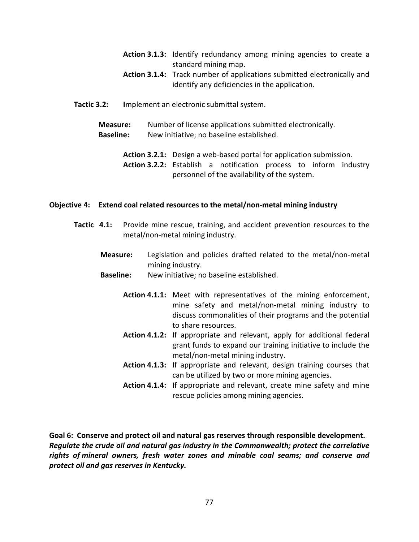- Action 3.1.3: Identify redundancy among mining agencies to create a standard mining map.
- Action 3.1.4: Track number of applications submitted electronically and identify any deficiencies in the application.
- Tactic 3.2: Implement an electronic submittal system.
	- Measure: Number of license applications submitted electronically. Baseline: New initiative; no baseline established.

Action 3.2.1: Design a web-based portal for application submission.

Action 3.2.2: Establish a notification process to inform industry personnel of the availability of the system.

#### Objective 4: Extend coal related resources to the metal/non-metal mining industry

- Tactic 4.1: Provide mine rescue, training, and accident prevention resources to the metal/non-metal mining industry.
	- Measure: Legislation and policies drafted related to the metal/non-metal mining industry.
	- Baseline: New initiative; no baseline established.
		- Action 4.1.1: Meet with representatives of the mining enforcement, mine safety and metal/non-metal mining industry to discuss commonalities of their programs and the potential to share resources.
		- Action 4.1.2: If appropriate and relevant, apply for additional federal grant funds to expand our training initiative to include the metal/non-metal mining industry.
		- Action 4.1.3: If appropriate and relevant, design training courses that can be utilized by two or more mining agencies.
		- Action 4.1.4: If appropriate and relevant, create mine safety and mine rescue policies among mining agencies.

Goal 6: Conserve and protect oil and natural gas reserves through responsible development. Regulate the crude oil and natural gas industry in the Commonwealth; protect the correlative rights of mineral owners, fresh water zones and minable coal seams; and conserve and protect oil and gas reserves in Kentucky.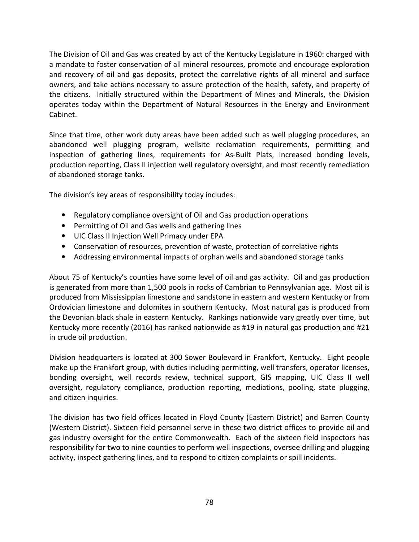The Division of Oil and Gas was created by act of the Kentucky Legislature in 1960: charged with a mandate to foster conservation of all mineral resources, promote and encourage exploration and recovery of oil and gas deposits, protect the correlative rights of all mineral and surface owners, and take actions necessary to assure protection of the health, safety, and property of the citizens. Initially structured within the Department of Mines and Minerals, the Division operates today within the Department of Natural Resources in the Energy and Environment Cabinet.

Since that time, other work duty areas have been added such as well plugging procedures, an abandoned well plugging program, wellsite reclamation requirements, permitting and inspection of gathering lines, requirements for As-Built Plats, increased bonding levels, production reporting, Class II injection well regulatory oversight, and most recently remediation of abandoned storage tanks.

The division's key areas of responsibility today includes:

- Regulatory compliance oversight of Oil and Gas production operations
- Permitting of Oil and Gas wells and gathering lines
- UIC Class II Injection Well Primacy under EPA
- Conservation of resources, prevention of waste, protection of correlative rights
- Addressing environmental impacts of orphan wells and abandoned storage tanks

About 75 of Kentucky's counties have some level of oil and gas activity. Oil and gas production is generated from more than 1,500 pools in rocks of Cambrian to Pennsylvanian age. Most oil is produced from Mississippian limestone and sandstone in eastern and western Kentucky or from Ordovician limestone and dolomites in southern Kentucky. Most natural gas is produced from the Devonian black shale in eastern Kentucky. Rankings nationwide vary greatly over time, but Kentucky more recently (2016) has ranked nationwide as #19 in natural gas production and #21 in crude oil production.

Division headquarters is located at 300 Sower Boulevard in Frankfort, Kentucky. Eight people make up the Frankfort group, with duties including permitting, well transfers, operator licenses, bonding oversight, well records review, technical support, GIS mapping, UIC Class II well oversight, regulatory compliance, production reporting, mediations, pooling, state plugging, and citizen inquiries.

The division has two field offices located in Floyd County (Eastern District) and Barren County (Western District). Sixteen field personnel serve in these two district offices to provide oil and gas industry oversight for the entire Commonwealth. Each of the sixteen field inspectors has responsibility for two to nine counties to perform well inspections, oversee drilling and plugging activity, inspect gathering lines, and to respond to citizen complaints or spill incidents.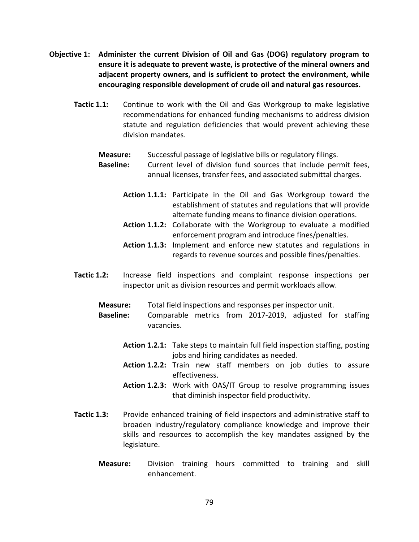- Objective 1: Administer the current Division of Oil and Gas (DOG) regulatory program to ensure it is adequate to prevent waste, is protective of the mineral owners and adjacent property owners, and is sufficient to protect the environment, while encouraging responsible development of crude oil and natural gas resources.
	- Tactic 1.1: Continue to work with the Oil and Gas Workgroup to make legislative recommendations for enhanced funding mechanisms to address division statute and regulation deficiencies that would prevent achieving these division mandates.

#### Measure: Successful passage of legislative bills or regulatory filings.

Baseline: Current level of division fund sources that include permit fees, annual licenses, transfer fees, and associated submittal charges.

- Action 1.1.1: Participate in the Oil and Gas Workgroup toward the establishment of statutes and regulations that will provide alternate funding means to finance division operations.
- Action 1.1.2: Collaborate with the Workgroup to evaluate a modified enforcement program and introduce fines/penalties.
- Action 1.1.3: Implement and enforce new statutes and regulations in regards to revenue sources and possible fines/penalties.
- Tactic 1.2: Increase field inspections and complaint response inspections per inspector unit as division resources and permit workloads allow.
	- Measure: Total field inspections and responses per inspector unit.
	- Baseline: Comparable metrics from 2017-2019, adjusted for staffing vacancies.
		- Action 1.2.1: Take steps to maintain full field inspection staffing, posting jobs and hiring candidates as needed.
		- Action 1.2.2: Train new staff members on job duties to assure effectiveness.
		- Action 1.2.3: Work with OAS/IT Group to resolve programming issues that diminish inspector field productivity.
- Tactic 1.3: Provide enhanced training of field inspectors and administrative staff to broaden industry/regulatory compliance knowledge and improve their skills and resources to accomplish the key mandates assigned by the legislature.
	- Measure: Division training hours committed to training and skill enhancement.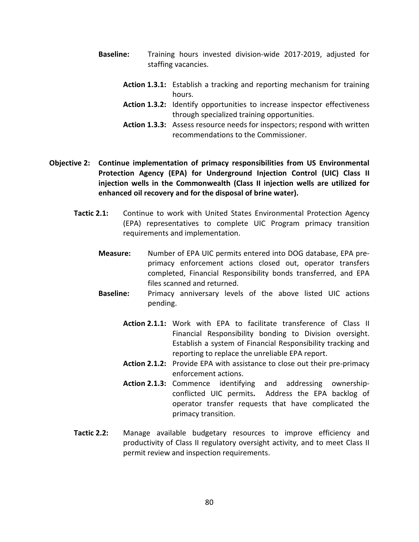- Baseline: Training hours invested division-wide 2017-2019, adjusted for staffing vacancies.
	- Action 1.3.1: Establish a tracking and reporting mechanism for training hours.
	- Action 1.3.2: Identify opportunities to increase inspector effectiveness through specialized training opportunities.
	- Action 1.3.3: Assess resource needs for inspectors; respond with written recommendations to the Commissioner.
- Objective 2: Continue implementation of primacy responsibilities from US Environmental Protection Agency (EPA) for Underground Injection Control (UIC) Class II injection wells in the Commonwealth (Class II injection wells are utilized for enhanced oil recovery and for the disposal of brine water).
	- Tactic 2.1: Continue to work with United States Environmental Protection Agency (EPA) representatives to complete UIC Program primacy transition requirements and implementation.
		- Measure: Number of EPA UIC permits entered into DOG database, EPA preprimacy enforcement actions closed out, operator transfers completed, Financial Responsibility bonds transferred, and EPA files scanned and returned.
		- Baseline: Primacy anniversary levels of the above listed UIC actions pending.
			- Action 2.1.1: Work with EPA to facilitate transference of Class II Financial Responsibility bonding to Division oversight. Establish a system of Financial Responsibility tracking and reporting to replace the unreliable EPA report.
			- Action 2.1.2: Provide EPA with assistance to close out their pre-primacy enforcement actions.
			- Action 2.1.3: Commence identifying and addressing ownershipconflicted UIC permits. Address the EPA backlog of operator transfer requests that have complicated the primacy transition.
	- Tactic 2.2: Manage available budgetary resources to improve efficiency and productivity of Class II regulatory oversight activity, and to meet Class II permit review and inspection requirements.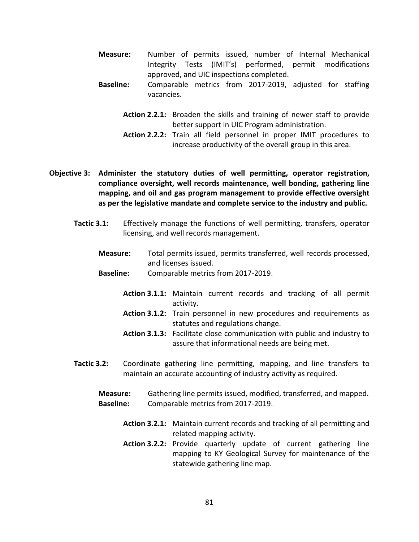- Measure: Number of permits issued, number of Internal Mechanical Integrity Tests (IMIT's) performed, permit modifications approved, and UIC inspections completed.
- Baseline: Comparable metrics from 2017-2019, adjusted for staffing vacancies.
	- Action 2.2.1: Broaden the skills and training of newer staff to provide better support in UIC Program administration.
	- Action 2.2.2: Train all field personnel in proper IMIT procedures to increase productivity of the overall group in this area.
- Objective 3: Administer the statutory duties of well permitting, operator registration, compliance oversight, well records maintenance, well bonding, gathering line mapping, and oil and gas program management to provide effective oversight as per the legislative mandate and complete service to the industry and public.
	- Tactic 3.1: Effectively manage the functions of well permitting, transfers, operator licensing, and well records management.
		- Measure: Total permits issued, permits transferred, well records processed, and licenses issued.
		- Baseline: Comparable metrics from 2017-2019.
			- Action 3.1.1: Maintain current records and tracking of all permit activity.
			- Action 3.1.2: Train personnel in new procedures and requirements as statutes and regulations change.
			- Action 3.1.3: Facilitate close communication with public and industry to assure that informational needs are being met.
	- Tactic 3.2: Coordinate gathering line permitting, mapping, and line transfers to maintain an accurate accounting of industry activity as required.
		- Measure: Gathering line permits issued, modified, transferred, and mapped. Baseline: Comparable metrics from 2017-2019.
			- Action 3.2.1: Maintain current records and tracking of all permitting and related mapping activity.
			- Action 3.2.2: Provide quarterly update of current gathering line mapping to KY Geological Survey for maintenance of the statewide gathering line map.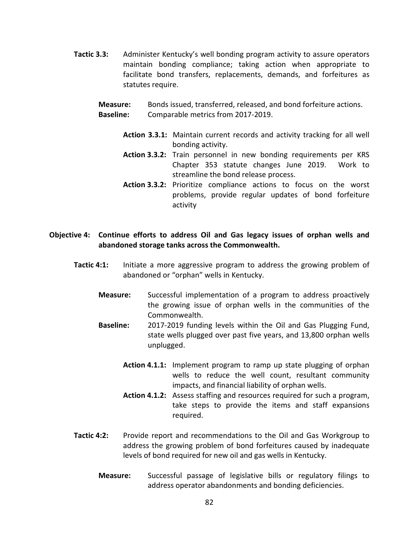Tactic 3.3: Administer Kentucky's well bonding program activity to assure operators maintain bonding compliance; taking action when appropriate to facilitate bond transfers, replacements, demands, and forfeitures as statutes require.

Measure: Bonds issued, transferred, released, and bond forfeiture actions. Baseline: Comparable metrics from 2017-2019.

- Action 3.3.1: Maintain current records and activity tracking for all well bonding activity.
- Action 3.3.2: Train personnel in new bonding requirements per KRS Chapter 353 statute changes June 2019. Work to streamline the bond release process.
- Action 3.3.2: Prioritize compliance actions to focus on the worst problems, provide regular updates of bond forfeiture activity

#### Objective 4: Continue efforts to address Oil and Gas legacy issues of orphan wells and abandoned storage tanks across the Commonwealth.

- Tactic 4:1: Initiate a more aggressive program to address the growing problem of abandoned or "orphan" wells in Kentucky.
	- Measure: Successful implementation of a program to address proactively the growing issue of orphan wells in the communities of the Commonwealth.
	- Baseline: 2017-2019 funding levels within the Oil and Gas Plugging Fund, state wells plugged over past five years, and 13,800 orphan wells unplugged.
		- Action 4.1.1: Implement program to ramp up state plugging of orphan wells to reduce the well count, resultant community impacts, and financial liability of orphan wells.
		- Action 4.1.2: Assess staffing and resources required for such a program, take steps to provide the items and staff expansions required.
- Tactic 4:2: Provide report and recommendations to the Oil and Gas Workgroup to address the growing problem of bond forfeitures caused by inadequate levels of bond required for new oil and gas wells in Kentucky.
	- Measure: Successful passage of legislative bills or regulatory filings to address operator abandonments and bonding deficiencies.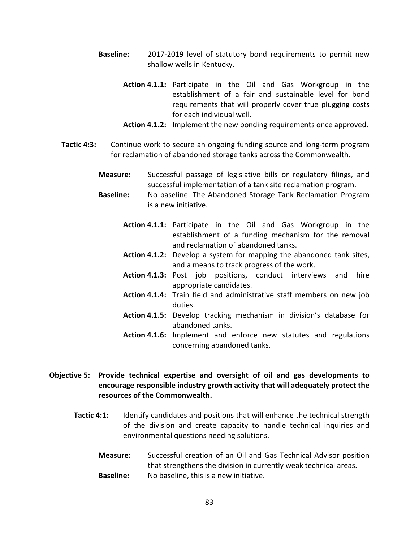- Baseline: 2017-2019 level of statutory bond requirements to permit new shallow wells in Kentucky.
	- Action 4.1.1: Participate in the Oil and Gas Workgroup in the establishment of a fair and sustainable level for bond requirements that will properly cover true plugging costs for each individual well.
	- Action 4.1.2: Implement the new bonding requirements once approved.
- Tactic 4:3: Continue work to secure an ongoing funding source and long-term program for reclamation of abandoned storage tanks across the Commonwealth.
	- Measure: Successful passage of legislative bills or regulatory filings, and successful implementation of a tank site reclamation program.
	- Baseline: No baseline. The Abandoned Storage Tank Reclamation Program is a new initiative.
		- Action 4.1.1: Participate in the Oil and Gas Workgroup in the establishment of a funding mechanism for the removal and reclamation of abandoned tanks.
		- Action 4.1.2: Develop a system for mapping the abandoned tank sites, and a means to track progress of the work.
		- Action 4.1.3: Post job positions, conduct interviews and hire appropriate candidates.
		- Action 4.1.4: Train field and administrative staff members on new job duties.
		- Action 4.1.5: Develop tracking mechanism in division's database for abandoned tanks.
		- Action 4.1.6: Implement and enforce new statutes and regulations concerning abandoned tanks.

## Objective 5: Provide technical expertise and oversight of oil and gas developments to encourage responsible industry growth activity that will adequately protect the resources of the Commonwealth.

- Tactic 4:1: Identify candidates and positions that will enhance the technical strength of the division and create capacity to handle technical inquiries and environmental questions needing solutions.
	- Measure: Successful creation of an Oil and Gas Technical Advisor position that strengthens the division in currently weak technical areas. Baseline: No baseline, this is a new initiative.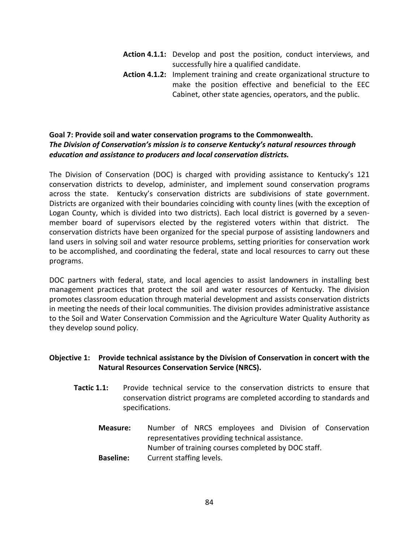- Action 4.1.1: Develop and post the position, conduct interviews, and successfully hire a qualified candidate.
- Action 4.1.2: Implement training and create organizational structure to make the position effective and beneficial to the EEC Cabinet, other state agencies, operators, and the public.

# Goal 7: Provide soil and water conservation programs to the Commonwealth. The Division of Conservation's mission is to conserve Kentucky's natural resources through education and assistance to producers and local conservation districts.

The Division of Conservation (DOC) is charged with providing assistance to Kentucky's 121 conservation districts to develop, administer, and implement sound conservation programs across the state. Kentucky's conservation districts are subdivisions of state government. Districts are organized with their boundaries coinciding with county lines (with the exception of Logan County, which is divided into two districts). Each local district is governed by a sevenmember board of supervisors elected by the registered voters within that district. The conservation districts have been organized for the special purpose of assisting landowners and land users in solving soil and water resource problems, setting priorities for conservation work to be accomplished, and coordinating the federal, state and local resources to carry out these programs.

DOC partners with federal, state, and local agencies to assist landowners in installing best management practices that protect the soil and water resources of Kentucky. The division promotes classroom education through material development and assists conservation districts in meeting the needs of their local communities. The division provides administrative assistance to the Soil and Water Conservation Commission and the Agriculture Water Quality Authority as they develop sound policy.

# Objective 1: Provide technical assistance by the Division of Conservation in concert with the Natural Resources Conservation Service (NRCS).

- Tactic 1.1: Provide technical service to the conservation districts to ensure that conservation district programs are completed according to standards and specifications.
	- Measure: Number of NRCS employees and Division of Conservation representatives providing technical assistance. Number of training courses completed by DOC staff. Baseline: Current staffing levels.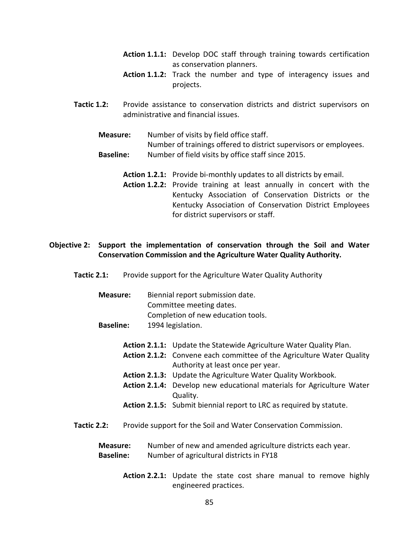- Action 1.1.1: Develop DOC staff through training towards certification as conservation planners.
- Action 1.1.2: Track the number and type of interagency issues and projects.
- **Tactic 1.2:** Provide assistance to conservation districts and district supervisors on administrative and financial issues.
	- Measure: Number of visits by field office staff. Number of trainings offered to district supervisors or employees. Baseline: Number of field visits by office staff since 2015.
		- Action 1.2.1: Provide bi-monthly updates to all districts by email.
		- Action 1.2.2: Provide training at least annually in concert with the Kentucky Association of Conservation Districts or the Kentucky Association of Conservation District Employees for district supervisors or staff.

# Objective 2: Support the implementation of conservation through the Soil and Water Conservation Commission and the Agriculture Water Quality Authority.

Tactic 2.1: Provide support for the Agriculture Water Quality Authority

| Measure:         | Biennial report submission date.   |
|------------------|------------------------------------|
|                  | Committee meeting dates.           |
|                  | Completion of new education tools. |
| <b>Baseline:</b> | 1994 legislation.                  |

- Action 2.1.1: Update the Statewide Agriculture Water Quality Plan.
- Action 2.1.2: Convene each committee of the Agriculture Water Quality Authority at least once per year.
- Action 2.1.3: Update the Agriculture Water Quality Workbook.
- Action 2.1.4: Develop new educational materials for Agriculture Water Quality.
- Action 2.1.5: Submit biennial report to LRC as required by statute.
- Tactic 2.2: Provide support for the Soil and Water Conservation Commission.

| <b>Measure:</b>  | Number of new and amended agriculture districts each year. |
|------------------|------------------------------------------------------------|
| <b>Baseline:</b> | Number of agricultural districts in FY18                   |

Action 2.2.1: Update the state cost share manual to remove highly engineered practices.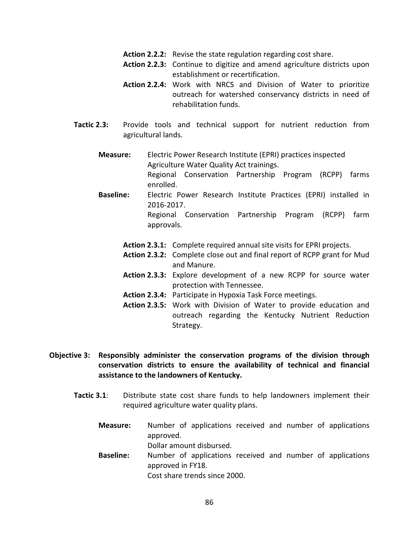- Action 2.2.2: Revise the state regulation regarding cost share.
- Action 2.2.3: Continue to digitize and amend agriculture districts upon establishment or recertification.
- Action 2.2.4: Work with NRCS and Division of Water to prioritize outreach for watershed conservancy districts in need of rehabilitation funds.
- Tactic 2.3: Provide tools and technical support for nutrient reduction from agricultural lands.
	- Measure: Electric Power Research Institute (EPRI) practices inspected Agriculture Water Quality Act trainings.

Regional Conservation Partnership Program (RCPP) farms enrolled.

Baseline: Electric Power Research Institute Practices (EPRI) installed in 2016-2017.

Regional Conservation Partnership Program (RCPP) farm approvals.

- Action 2.3.1: Complete required annual site visits for EPRI projects.
- Action 2.3.2: Complete close out and final report of RCPP grant for Mud and Manure.
- Action 2.3.3: Explore development of a new RCPP for source water protection with Tennessee.
- Action 2.3.4: Participate in Hypoxia Task Force meetings.
- Action 2.3.5: Work with Division of Water to provide education and outreach regarding the Kentucky Nutrient Reduction Strategy.
- Objective 3: Responsibly administer the conservation programs of the division through conservation districts to ensure the availability of technical and financial assistance to the landowners of Kentucky.
	- Tactic 3.1: Distribute state cost share funds to help landowners implement their required agriculture water quality plans.
		- Measure: Number of applications received and number of applications approved. Dollar amount disbursed.
		- Baseline: Number of applications received and number of applications approved in FY18. Cost share trends since 2000.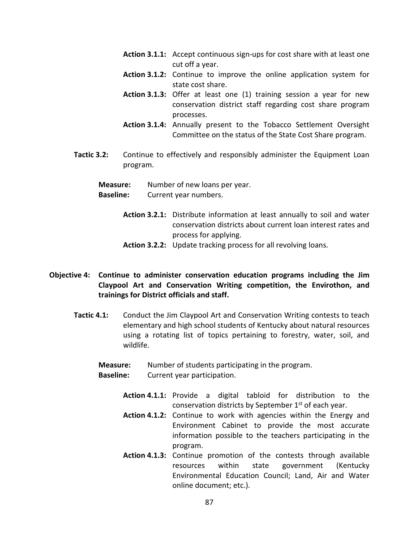- Action 3.1.1: Accept continuous sign-ups for cost share with at least one cut off a year.
- Action 3.1.2: Continue to improve the online application system for state cost share.
- Action 3.1.3: Offer at least one (1) training session a year for new conservation district staff regarding cost share program processes.
- Action 3.1.4: Annually present to the Tobacco Settlement Oversight Committee on the status of the State Cost Share program.
- Tactic 3.2: Continue to effectively and responsibly administer the Equipment Loan program.

Measure: Number of new loans per year.

- Baseline: Current year numbers.
	- Action 3.2.1: Distribute information at least annually to soil and water conservation districts about current loan interest rates and process for applying.
	- Action 3.2.2: Update tracking process for all revolving loans.
- Objective 4: Continue to administer conservation education programs including the Jim Claypool Art and Conservation Writing competition, the Envirothon, and trainings for District officials and staff.
	- Tactic 4.1: Conduct the Jim Claypool Art and Conservation Writing contests to teach elementary and high school students of Kentucky about natural resources using a rotating list of topics pertaining to forestry, water, soil, and wildlife.

Measure: Number of students participating in the program.

- Baseline: Current year participation.
	- Action 4.1.1: Provide a digital tabloid for distribution to the conservation districts by September  $1<sup>st</sup>$  of each year.
	- Action 4.1.2: Continue to work with agencies within the Energy and Environment Cabinet to provide the most accurate information possible to the teachers participating in the program.
	- Action 4.1.3: Continue promotion of the contests through available resources within state government (Kentucky Environmental Education Council; Land, Air and Water online document; etc.).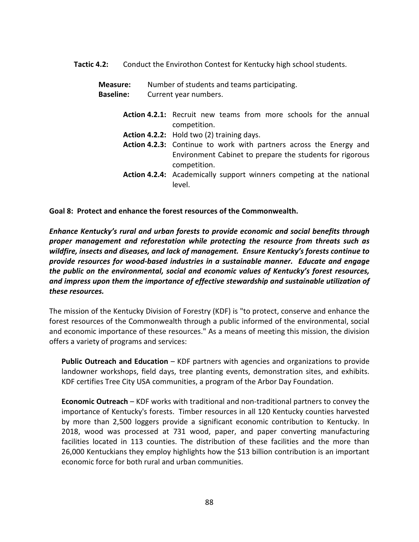Tactic 4.2: Conduct the Envirothon Contest for Kentucky high school students.

Measure: Number of students and teams participating. Baseline: Current year numbers.

- Action 4.2.1: Recruit new teams from more schools for the annual competition.
- Action 4.2.2: Hold two (2) training days.
- Action 4.2.3: Continue to work with partners across the Energy and Environment Cabinet to prepare the students for rigorous competition.
- Action 4.2.4: Academically support winners competing at the national level.

Goal 8: Protect and enhance the forest resources of the Commonwealth.

Enhance Kentucky's rural and urban forests to provide economic and social benefits through proper management and reforestation while protecting the resource from threats such as wildfire, insects and diseases, and lack of management. Ensure Kentucky's forests continue to provide resources for wood-based industries in a sustainable manner. Educate and engage the public on the environmental, social and economic values of Kentucky's forest resources, and impress upon them the importance of effective stewardship and sustainable utilization of these resources.

The mission of the Kentucky Division of Forestry (KDF) is "to protect, conserve and enhance the forest resources of the Commonwealth through a public informed of the environmental, social and economic importance of these resources." As a means of meeting this mission, the division offers a variety of programs and services:

Public Outreach and Education – KDF partners with agencies and organizations to provide landowner workshops, field days, tree planting events, demonstration sites, and exhibits. KDF certifies Tree City USA communities, a program of the Arbor Day Foundation.

Economic Outreach – KDF works with traditional and non-traditional partners to convey the importance of Kentucky's forests. Timber resources in all 120 Kentucky counties harvested by more than 2,500 loggers provide a significant economic contribution to Kentucky. In 2018, wood was processed at 731 wood, paper, and paper converting manufacturing facilities located in 113 counties. The distribution of these facilities and the more than 26,000 Kentuckians they employ highlights how the \$13 billion contribution is an important economic force for both rural and urban communities.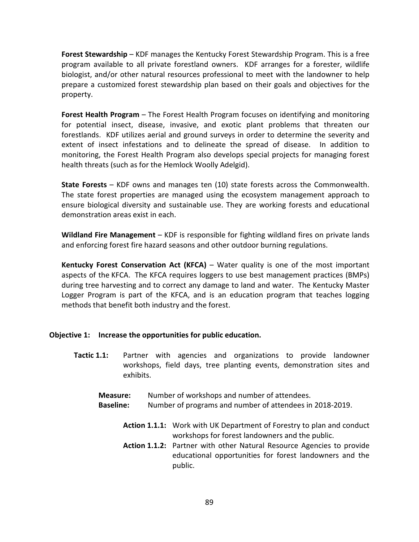Forest Stewardship – KDF manages the Kentucky Forest Stewardship Program. This is a free program available to all private forestland owners. KDF arranges for a forester, wildlife biologist, and/or other natural resources professional to meet with the landowner to help prepare a customized forest stewardship plan based on their goals and objectives for the property.

Forest Health Program – The Forest Health Program focuses on identifying and monitoring for potential insect, disease, invasive, and exotic plant problems that threaten our forestlands. KDF utilizes aerial and ground surveys in order to determine the severity and extent of insect infestations and to delineate the spread of disease. In addition to monitoring, the Forest Health Program also develops special projects for managing forest health threats (such as for the Hemlock Woolly Adelgid).

State Forests – KDF owns and manages ten (10) state forests across the Commonwealth. The state forest properties are managed using the ecosystem management approach to ensure biological diversity and sustainable use. They are working forests and educational demonstration areas exist in each.

Wildland Fire Management – KDF is responsible for fighting wildland fires on private lands and enforcing forest fire hazard seasons and other outdoor burning regulations.

Kentucky Forest Conservation Act (KFCA) – Water quality is one of the most important aspects of the KFCA. The KFCA requires loggers to use best management practices (BMPs) during tree harvesting and to correct any damage to land and water. The Kentucky Master Logger Program is part of the KFCA, and is an education program that teaches logging methods that benefit both industry and the forest.

### Objective 1: Increase the opportunities for public education.

- Tactic 1.1: Partner with agencies and organizations to provide landowner workshops, field days, tree planting events, demonstration sites and exhibits.
	- Measure: Number of workshops and number of attendees.
	- Baseline: Number of programs and number of attendees in 2018-2019.
		- Action 1.1.1: Work with UK Department of Forestry to plan and conduct workshops for forest landowners and the public.
		- Action 1.1.2: Partner with other Natural Resource Agencies to provide educational opportunities for forest landowners and the public.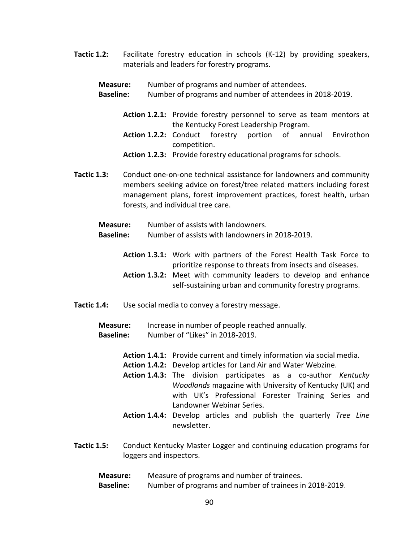Tactic 1.2: Facilitate forestry education in schools (K-12) by providing speakers, materials and leaders for forestry programs.

Measure: Number of programs and number of attendees.

- Baseline: Number of programs and number of attendees in 2018-2019.
	- Action 1.2.1: Provide forestry personnel to serve as team mentors at the Kentucky Forest Leadership Program.
	- Action 1.2.2: Conduct forestry portion of annual Envirothon competition.
	- Action 1.2.3: Provide forestry educational programs for schools.
- Tactic 1.3: Conduct one-on-one technical assistance for landowners and community members seeking advice on forest/tree related matters including forest management plans, forest improvement practices, forest health, urban forests, and individual tree care.
	- Measure: Number of assists with landowners.
	- Baseline: Number of assists with landowners in 2018-2019.
		- Action 1.3.1: Work with partners of the Forest Health Task Force to prioritize response to threats from insects and diseases.
		- Action 1.3.2: Meet with community leaders to develop and enhance self-sustaining urban and community forestry programs.
- Tactic 1.4: Use social media to convey a forestry message.

Measure: Increase in number of people reached annually. Baseline: Number of "Likes" in 2018-2019.

- Action 1.4.1: Provide current and timely information via social media.
- Action 1.4.2: Develop articles for Land Air and Water Webzine.
- Action 1.4.3: The division participates as a co-author Kentucky Woodlands magazine with University of Kentucky (UK) and with UK's Professional Forester Training Series and Landowner Webinar Series.
- Action 1.4.4: Develop articles and publish the quarterly Tree Line newsletter.
- Tactic 1.5: Conduct Kentucky Master Logger and continuing education programs for loggers and inspectors.
	- Measure: Measure of programs and number of trainees.
	- Baseline: Number of programs and number of trainees in 2018-2019.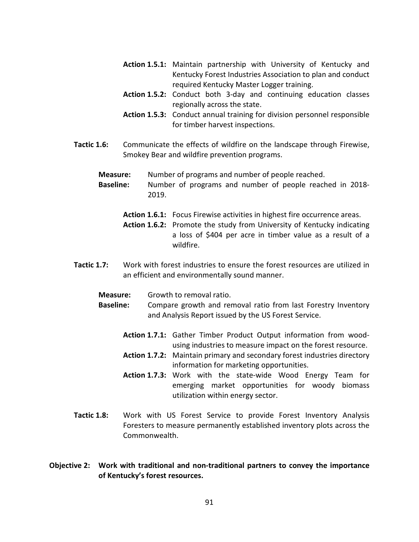- Action 1.5.1: Maintain partnership with University of Kentucky and Kentucky Forest Industries Association to plan and conduct required Kentucky Master Logger training.
- Action 1.5.2: Conduct both 3-day and continuing education classes regionally across the state.
- Action 1.5.3: Conduct annual training for division personnel responsible for timber harvest inspections.
- Tactic 1.6: Communicate the effects of wildfire on the landscape through Firewise, Smokey Bear and wildfire prevention programs.

**Measure:** Number of programs and number of people reached.

Baseline: Number of programs and number of people reached in 2018- 2019.

Action 1.6.1: Focus Firewise activities in highest fire occurrence areas.

Action 1.6.2: Promote the study from University of Kentucky indicating a loss of \$404 per acre in timber value as a result of a wildfire.

- Tactic 1.7: Work with forest industries to ensure the forest resources are utilized in an efficient and environmentally sound manner.
	- Measure: Growth to removal ratio.

Baseline: Compare growth and removal ratio from last Forestry Inventory and Analysis Report issued by the US Forest Service.

- Action 1.7.1: Gather Timber Product Output information from woodusing industries to measure impact on the forest resource.
- Action 1.7.2: Maintain primary and secondary forest industries directory information for marketing opportunities.
- Action 1.7.3: Work with the state-wide Wood Energy Team for emerging market opportunities for woody biomass utilization within energy sector.
- Tactic 1.8: Work with US Forest Service to provide Forest Inventory Analysis Foresters to measure permanently established inventory plots across the Commonwealth.
- Objective 2: Work with traditional and non-traditional partners to convey the importance of Kentucky's forest resources.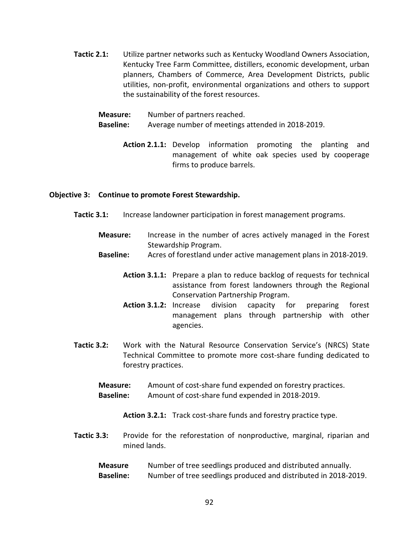- Tactic 2.1: Utilize partner networks such as Kentucky Woodland Owners Association, Kentucky Tree Farm Committee, distillers, economic development, urban planners, Chambers of Commerce, Area Development Districts, public utilities, non-profit, environmental organizations and others to support the sustainability of the forest resources.
	- Measure: Number of partners reached.
	- Baseline: Average number of meetings attended in 2018-2019.
		- Action 2.1.1: Develop information promoting the planting and management of white oak species used by cooperage firms to produce barrels.

#### Objective 3: Continue to promote Forest Stewardship.

- Tactic 3.1: Increase landowner participation in forest management programs.
	- Measure: Increase in the number of acres actively managed in the Forest Stewardship Program.
	- Baseline: Acres of forestland under active management plans in 2018-2019.
		- Action 3.1.1: Prepare a plan to reduce backlog of requests for technical assistance from forest landowners through the Regional Conservation Partnership Program.
		- Action 3.1.2: Increase division capacity for preparing forest management plans through partnership with other agencies.
- Tactic 3.2: Work with the Natural Resource Conservation Service's (NRCS) State Technical Committee to promote more cost-share funding dedicated to forestry practices.
	- Measure: Amount of cost-share fund expended on forestry practices.
	- Baseline: Amount of cost-share fund expended in 2018-2019.

Action 3.2.1: Track cost-share funds and forestry practice type.

Tactic 3.3: Provide for the reforestation of nonproductive, marginal, riparian and mined lands.

# Measure Number of tree seedlings produced and distributed annually. Baseline: Number of tree seedlings produced and distributed in 2018-2019.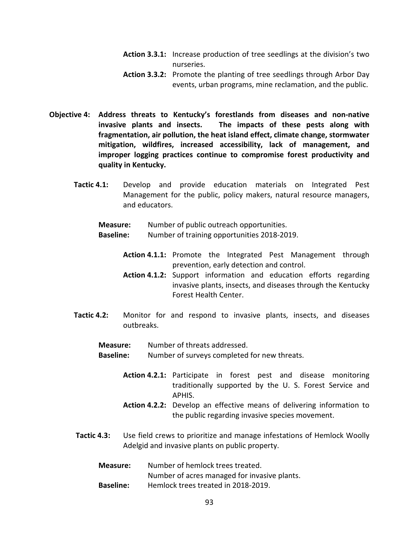- Action 3.3.1: Increase production of tree seedlings at the division's two nurseries.
- Action 3.3.2: Promote the planting of tree seedlings through Arbor Day events, urban programs, mine reclamation, and the public.
- Objective 4: Address threats to Kentucky's forestlands from diseases and non-native invasive plants and insects. The impacts of these pests along with fragmentation, air pollution, the heat island effect, climate change, stormwater mitigation, wildfires, increased accessibility, lack of management, and improper logging practices continue to compromise forest productivity and quality in Kentucky.
	- Tactic 4.1: Develop and provide education materials on Integrated Pest Management for the public, policy makers, natural resource managers, and educators.
		- Measure: Number of public outreach opportunities.
		- Baseline: Number of training opportunities 2018-2019.
			- Action 4.1.1: Promote the Integrated Pest Management through prevention, early detection and control.
			- Action 4.1.2: Support information and education efforts regarding invasive plants, insects, and diseases through the Kentucky Forest Health Center.
	- Tactic 4.2: Monitor for and respond to invasive plants, insects, and diseases outbreaks.

Measure: Number of threats addressed.

Baseline: Number of surveys completed for new threats.

- Action 4.2.1: Participate in forest pest and disease monitoring traditionally supported by the U. S. Forest Service and APHIS.
- Action 4.2.2: Develop an effective means of delivering information to the public regarding invasive species movement.
- Tactic 4.3: Use field crews to prioritize and manage infestations of Hemlock Woolly Adelgid and invasive plants on public property.
	- Measure: Number of hemlock trees treated. Number of acres managed for invasive plants. Baseline: Hemlock trees treated in 2018-2019.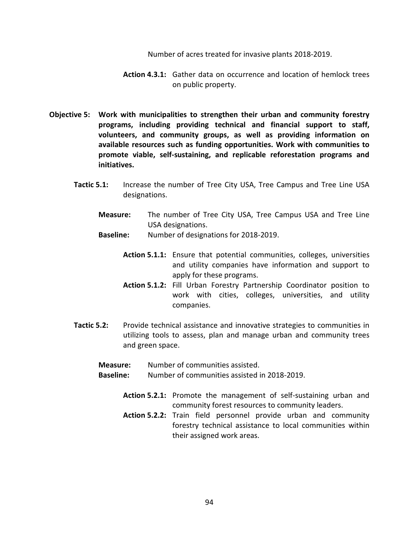Number of acres treated for invasive plants 2018-2019.

- Action 4.3.1: Gather data on occurrence and location of hemlock trees on public property.
- Objective 5: Work with municipalities to strengthen their urban and community forestry programs, including providing technical and financial support to staff, volunteers, and community groups, as well as providing information on available resources such as funding opportunities. Work with communities to promote viable, self-sustaining, and replicable reforestation programs and initiatives.
	- Tactic 5.1: Increase the number of Tree City USA, Tree Campus and Tree Line USA designations.
		- Measure: The number of Tree City USA, Tree Campus USA and Tree Line USA designations.
		- Baseline: Number of designations for 2018-2019.
			- Action 5.1.1: Ensure that potential communities, colleges, universities and utility companies have information and support to apply for these programs.
			- Action 5.1.2: Fill Urban Forestry Partnership Coordinator position to work with cities, colleges, universities, and utility companies.
	- Tactic 5.2: Provide technical assistance and innovative strategies to communities in utilizing tools to assess, plan and manage urban and community trees and green space.
		- Measure: Number of communities assisted.
		- Baseline: Number of communities assisted in 2018-2019.
			- Action 5.2.1: Promote the management of self-sustaining urban and community forest resources to community leaders.
			- Action 5.2.2: Train field personnel provide urban and community forestry technical assistance to local communities within their assigned work areas.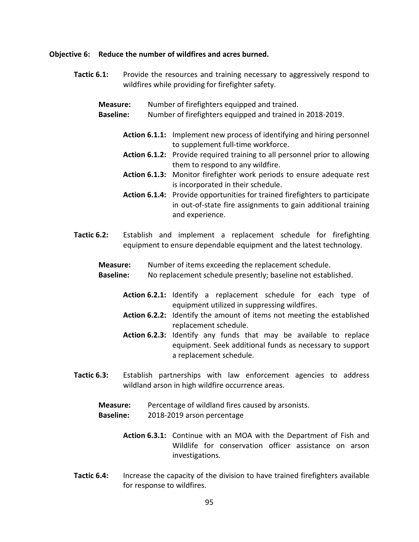#### Objective 6: Reduce the number of wildfires and acres burned.

Tactic 6.1: Provide the resources and training necessary to aggressively respond to wildfires while providing for firefighter safety.

Measure: Number of firefighters equipped and trained. Baseline: Number of firefighters equipped and trained in 2018-2019.

- Action 6.1.1: Implement new process of identifying and hiring personnel to supplement full-time workforce.
- Action 6.1.2: Provide required training to all personnel prior to allowing them to respond to any wildfire.
- Action 6.1.3: Monitor firefighter work periods to ensure adequate rest is incorporated in their schedule.
- Action 6.1.4: Provide opportunities for trained firefighters to participate in out-of-state fire assignments to gain additional training and experience.
- Tactic 6.2: Establish and implement a replacement schedule for firefighting equipment to ensure dependable equipment and the latest technology.
	- Measure: Number of items exceeding the replacement schedule.
	- Baseline: No replacement schedule presently; baseline not established.
		- Action 6.2.1: Identify a replacement schedule for each type of equipment utilized in suppressing wildfires.
		- Action 6.2.2: Identify the amount of items not meeting the established replacement schedule.
		- Action 6.2.3: Identify any funds that may be available to replace equipment. Seek additional funds as necessary to support a replacement schedule.
- Tactic 6.3: Establish partnerships with law enforcement agencies to address wildland arson in high wildfire occurrence areas.
	- Measure: Percentage of wildland fires caused by arsonists.
	- Baseline: 2018-2019 arson percentage
		- Action 6.3.1: Continue with an MOA with the Department of Fish and Wildlife for conservation officer assistance on arson investigations.
- Tactic 6.4: Increase the capacity of the division to have trained firefighters available for response to wildfires.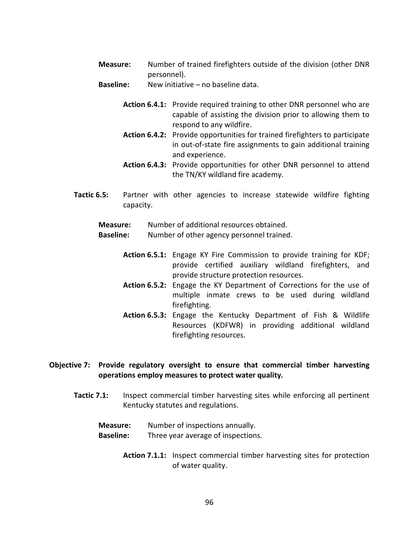- Measure: Number of trained firefighters outside of the division (other DNR personnel).
- Baseline: New initiative no baseline data.
	- Action 6.4.1: Provide required training to other DNR personnel who are capable of assisting the division prior to allowing them to respond to any wildfire.
	- Action 6.4.2: Provide opportunities for trained firefighters to participate in out-of-state fire assignments to gain additional training and experience.
	- Action 6.4.3: Provide opportunities for other DNR personnel to attend the TN/KY wildland fire academy.
- Tactic 6.5: Partner with other agencies to increase statewide wildfire fighting capacity.

Measure: Number of additional resources obtained.

- **Baseline:** Number of other agency personnel trained.
	- Action 6.5.1: Engage KY Fire Commission to provide training for KDF; provide certified auxiliary wildland firefighters, and provide structure protection resources.
	- Action 6.5.2: Engage the KY Department of Corrections for the use of multiple inmate crews to be used during wildland firefighting.
	- Action 6.5.3: Engage the Kentucky Department of Fish & Wildlife Resources (KDFWR) in providing additional wildland firefighting resources.

# Objective 7: Provide regulatory oversight to ensure that commercial timber harvesting operations employ measures to protect water quality.

- Tactic 7.1: Inspect commercial timber harvesting sites while enforcing all pertinent Kentucky statutes and regulations.
	- Measure: Number of inspections annually. Baseline: Three year average of inspections.
		- Action 7.1.1: Inspect commercial timber harvesting sites for protection of water quality.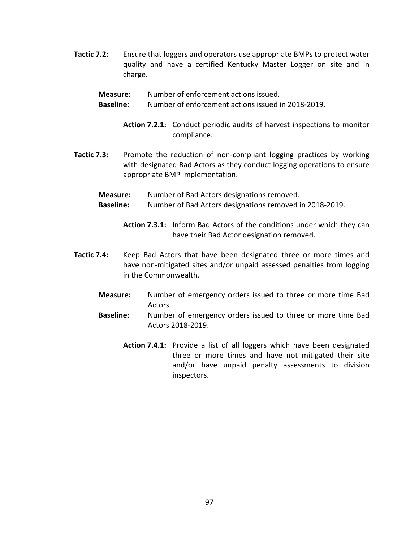- Tactic 7.2: Ensure that loggers and operators use appropriate BMPs to protect water quality and have a certified Kentucky Master Logger on site and in charge.
	- Measure: Number of enforcement actions issued.
	- Baseline: Number of enforcement actions issued in 2018-2019.
		- Action 7.2.1: Conduct periodic audits of harvest inspections to monitor compliance.
- Tactic 7.3: Promote the reduction of non-compliant logging practices by working with designated Bad Actors as they conduct logging operations to ensure appropriate BMP implementation.
	- Measure: Number of Bad Actors designations removed. Baseline: Number of Bad Actors designations removed in 2018-2019.
		- Action 7.3.1: Inform Bad Actors of the conditions under which they can have their Bad Actor designation removed.
- Tactic 7.4: Keep Bad Actors that have been designated three or more times and have non-mitigated sites and/or unpaid assessed penalties from logging in the Commonwealth.
	- Measure: Number of emergency orders issued to three or more time Bad Actors.
	- Baseline: Number of emergency orders issued to three or more time Bad Actors 2018-2019.
		- Action 7.4.1: Provide a list of all loggers which have been designated three or more times and have not mitigated their site and/or have unpaid penalty assessments to division inspectors.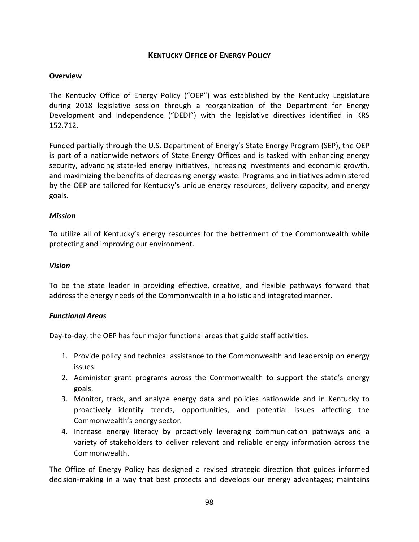# KENTUCKY OFFICE OF ENERGY POLICY

## **Overview**

The Kentucky Office of Energy Policy ("OEP") was established by the Kentucky Legislature during 2018 legislative session through a reorganization of the Department for Energy Development and Independence ("DEDI") with the legislative directives identified in KRS 152.712.

Funded partially through the U.S. Department of Energy's State Energy Program (SEP), the OEP is part of a nationwide network of State Energy Offices and is tasked with enhancing energy security, advancing state-led energy initiatives, increasing investments and economic growth, and maximizing the benefits of decreasing energy waste. Programs and initiatives administered by the OEP are tailored for Kentucky's unique energy resources, delivery capacity, and energy goals.

### Mission

To utilize all of Kentucky's energy resources for the betterment of the Commonwealth while protecting and improving our environment.

### Vision

To be the state leader in providing effective, creative, and flexible pathways forward that address the energy needs of the Commonwealth in a holistic and integrated manner.

### Functional Areas

Day-to-day, the OEP has four major functional areas that guide staff activities.

- 1. Provide policy and technical assistance to the Commonwealth and leadership on energy issues.
- 2. Administer grant programs across the Commonwealth to support the state's energy goals.
- 3. Monitor, track, and analyze energy data and policies nationwide and in Kentucky to proactively identify trends, opportunities, and potential issues affecting the Commonwealth's energy sector.
- 4. Increase energy literacy by proactively leveraging communication pathways and a variety of stakeholders to deliver relevant and reliable energy information across the Commonwealth.

The Office of Energy Policy has designed a revised strategic direction that guides informed decision-making in a way that best protects and develops our energy advantages; maintains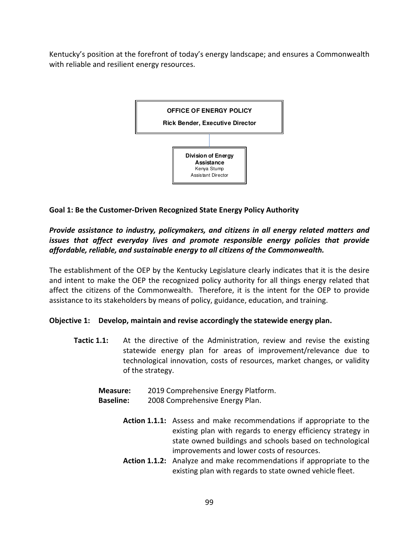Kentucky's position at the forefront of today's energy landscape; and ensures a Commonwealth with reliable and resilient energy resources.



# Goal 1: Be the Customer-Driven Recognized State Energy Policy Authority

# Provide assistance to industry, policymakers, and citizens in all energy related matters and issues that affect everyday lives and promote responsible energy policies that provide affordable, reliable, and sustainable energy to all citizens of the Commonwealth.

The establishment of the OEP by the Kentucky Legislature clearly indicates that it is the desire and intent to make the OEP the recognized policy authority for all things energy related that affect the citizens of the Commonwealth. Therefore, it is the intent for the OEP to provide assistance to its stakeholders by means of policy, guidance, education, and training.

# Objective 1: Develop, maintain and revise accordingly the statewide energy plan.

Tactic 1.1: At the directive of the Administration, review and revise the existing statewide energy plan for areas of improvement/relevance due to technological innovation, costs of resources, market changes, or validity of the strategy.

Measure: 2019 Comprehensive Energy Platform.

- Baseline: 2008 Comprehensive Energy Plan.
	- Action 1.1.1: Assess and make recommendations if appropriate to the existing plan with regards to energy efficiency strategy in state owned buildings and schools based on technological improvements and lower costs of resources.
	- Action 1.1.2: Analyze and make recommendations if appropriate to the existing plan with regards to state owned vehicle fleet.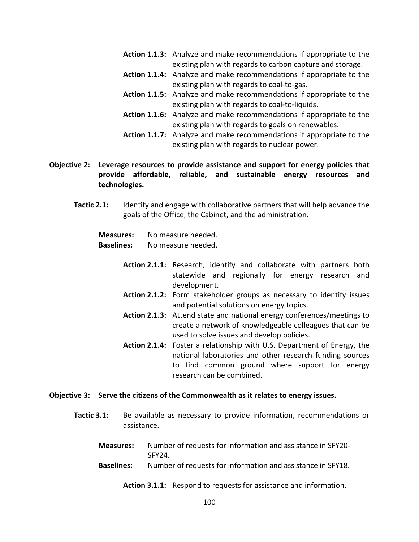- Action 1.1.3: Analyze and make recommendations if appropriate to the existing plan with regards to carbon capture and storage.
- Action 1.1.4: Analyze and make recommendations if appropriate to the existing plan with regards to coal-to-gas.
- Action 1.1.5: Analyze and make recommendations if appropriate to the existing plan with regards to coal-to-liquids.
- Action 1.1.6: Analyze and make recommendations if appropriate to the existing plan with regards to goals on renewables.
- Action 1.1.7: Analyze and make recommendations if appropriate to the existing plan with regards to nuclear power.

# Objective 2: Leverage resources to provide assistance and support for energy policies that provide affordable, reliable, and sustainable energy resources and technologies.

Tactic 2.1: Identify and engage with collaborative partners that will help advance the goals of the Office, the Cabinet, and the administration.

Measures: No measure needed.

Baselines: No measure needed.

- Action 2.1.1: Research, identify and collaborate with partners both statewide and regionally for energy research and development.
- Action 2.1.2: Form stakeholder groups as necessary to identify issues and potential solutions on energy topics.
- Action 2.1.3: Attend state and national energy conferences/meetings to create a network of knowledgeable colleagues that can be used to solve issues and develop policies.
- Action 2.1.4: Foster a relationship with U.S. Department of Energy, the national laboratories and other research funding sources to find common ground where support for energy research can be combined.

### Objective 3: Serve the citizens of the Commonwealth as it relates to energy issues.

- Tactic 3.1: Be available as necessary to provide information, recommendations or assistance.
	- Measures: Number of requests for information and assistance in SFY20- SFY24.
	- Baselines: Number of requests for information and assistance in SFY18.
		- Action 3.1.1: Respond to requests for assistance and information.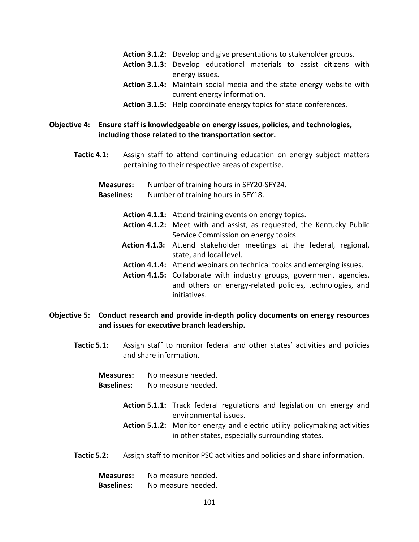- Action 3.1.2: Develop and give presentations to stakeholder groups.
- Action 3.1.3: Develop educational materials to assist citizens with energy issues.
- Action 3.1.4: Maintain social media and the state energy website with current energy information.
- Action 3.1.5: Help coordinate energy topics for state conferences.

#### Objective 4: Ensure staff is knowledgeable on energy issues, policies, and technologies, including those related to the transportation sector.

- Tactic 4.1: Assign staff to attend continuing education on energy subject matters pertaining to their respective areas of expertise.
	- Measures: Number of training hours in SFY20-SFY24.
	- Baselines: Number of training hours in SFY18.
		- Action 4.1.1: Attend training events on energy topics.
		- Action 4.1.2: Meet with and assist, as requested, the Kentucky Public Service Commission on energy topics.
		- Action 4.1.3: Attend stakeholder meetings at the federal, regional, state, and local level.
		- Action 4.1.4: Attend webinars on technical topics and emerging issues.
		- Action 4.1.5: Collaborate with industry groups, government agencies, and others on energy-related policies, technologies, and initiatives.

#### Objective 5: Conduct research and provide in-depth policy documents on energy resources and issues for executive branch leadership.

- Tactic 5.1: Assign staff to monitor federal and other states' activities and policies and share information.
	- Measures: No measure needed.
	- Baselines: No measure needed.
		- Action 5.1.1: Track federal regulations and legislation on energy and environmental issues.
		- Action 5.1.2: Monitor energy and electric utility policymaking activities in other states, especially surrounding states.
- Tactic 5.2: Assign staff to monitor PSC activities and policies and share information.

| <b>Measures:</b>  | No measure needed. |
|-------------------|--------------------|
| <b>Baselines:</b> | No measure needed. |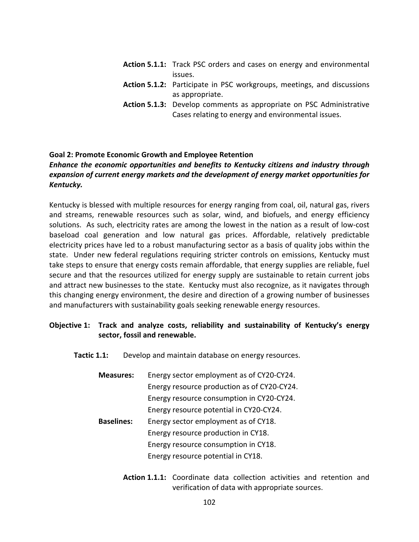- Action 5.1.1: Track PSC orders and cases on energy and environmental issues.
- Action 5.1.2: Participate in PSC workgroups, meetings, and discussions as appropriate.
- Action 5.1.3: Develop comments as appropriate on PSC Administrative Cases relating to energy and environmental issues.

#### Goal 2: Promote Economic Growth and Employee Retention

# Enhance the economic opportunities and benefits to Kentucky citizens and industry through expansion of current energy markets and the development of energy market opportunities for Kentucky.

Kentucky is blessed with multiple resources for energy ranging from coal, oil, natural gas, rivers and streams, renewable resources such as solar, wind, and biofuels, and energy efficiency solutions. As such, electricity rates are among the lowest in the nation as a result of low-cost baseload coal generation and low natural gas prices. Affordable, relatively predictable electricity prices have led to a robust manufacturing sector as a basis of quality jobs within the state. Under new federal regulations requiring stricter controls on emissions, Kentucky must take steps to ensure that energy costs remain affordable, that energy supplies are reliable, fuel secure and that the resources utilized for energy supply are sustainable to retain current jobs and attract new businesses to the state. Kentucky must also recognize, as it navigates through this changing energy environment, the desire and direction of a growing number of businesses and manufacturers with sustainability goals seeking renewable energy resources.

# Objective 1: Track and analyze costs, reliability and sustainability of Kentucky's energy sector, fossil and renewable.

Tactic 1.1: Develop and maintain database on energy resources.

| <b>Measures:</b>  | Energy sector employment as of CY20-CY24.   |
|-------------------|---------------------------------------------|
|                   | Energy resource production as of CY20-CY24. |
|                   | Energy resource consumption in CY20-CY24.   |
|                   | Energy resource potential in CY20-CY24.     |
| <b>Baselines:</b> | Energy sector employment as of CY18.        |
|                   | Energy resource production in CY18.         |
|                   | Energy resource consumption in CY18.        |
|                   | Energy resource potential in CY18.          |
|                   |                                             |

Action 1.1.1: Coordinate data collection activities and retention and verification of data with appropriate sources.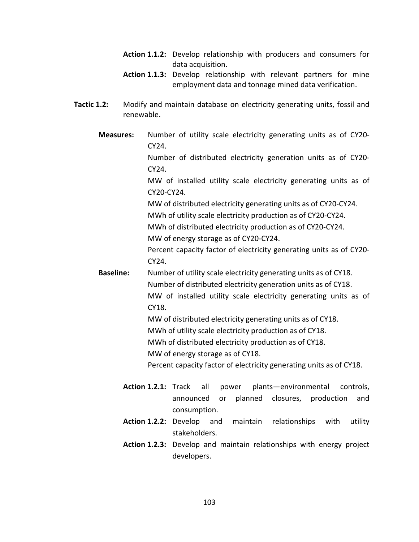- Action 1.1.2: Develop relationship with producers and consumers for data acquisition.
- Action 1.1.3: Develop relationship with relevant partners for mine employment data and tonnage mined data verification.
- Tactic 1.2: Modify and maintain database on electricity generating units, fossil and renewable.
	- Measures: Number of utility scale electricity generating units as of CY20- CY24. Number of distributed electricity generation units as of CY20- CY24. MW of installed utility scale electricity generating units as of CY20-CY24. MW of distributed electricity generating units as of CY20-CY24. MWh of utility scale electricity production as of CY20-CY24. MWh of distributed electricity production as of CY20-CY24. MW of energy storage as of CY20-CY24. Percent capacity factor of electricity generating units as of CY20- CY24. **Baseline:** Number of utility scale electricity generating units as of CY18. Number of distributed electricity generation units as of CY18. MW of installed utility scale electricity generating units as of CY18. MW of distributed electricity generating units as of CY18. MWh of utility scale electricity production as of CY18. MWh of distributed electricity production as of CY18. MW of energy storage as of CY18. Percent capacity factor of electricity generating units as of CY18. Action 1.2.1: Track all power plants—environmental controls, announced or planned closures, production and
		- consumption. Action 1.2.2: Develop and maintain relationships with utility
		- Action 1.2.3: Develop and maintain relationships with energy project developers.

stakeholders.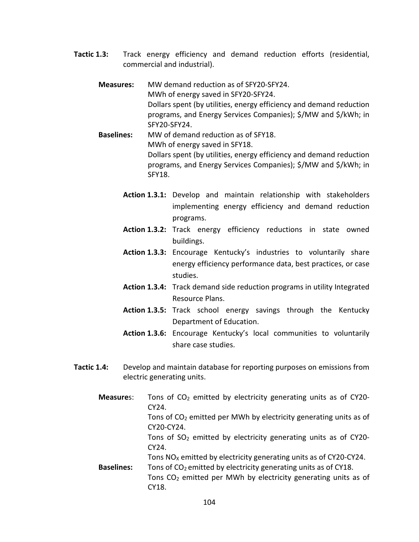- Tactic 1.3: Track energy efficiency and demand reduction efforts (residential, commercial and industrial).
	- Measures: MW demand reduction as of SFY20-SFY24. MWh of energy saved in SFY20-SFY24. Dollars spent (by utilities, energy efficiency and demand reduction programs, and Energy Services Companies); \$/MW and \$/kWh; in SFY20-SFY24.
	- Baselines: MW of demand reduction as of SFY18. MWh of energy saved in SFY18. Dollars spent (by utilities, energy efficiency and demand reduction programs, and Energy Services Companies); \$/MW and \$/kWh; in SFY18.
		- Action 1.3.1: Develop and maintain relationship with stakeholders implementing energy efficiency and demand reduction programs.
		- Action 1.3.2: Track energy efficiency reductions in state owned buildings.
		- Action 1.3.3: Encourage Kentucky's industries to voluntarily share energy efficiency performance data, best practices, or case studies.
		- Action 1.3.4: Track demand side reduction programs in utility Integrated Resource Plans.
		- Action 1.3.5: Track school energy savings through the Kentucky Department of Education.
		- Action 1.3.6: Encourage Kentucky's local communities to voluntarily share case studies.
- Tactic 1.4: Develop and maintain database for reporting purposes on emissions from electric generating units.
	- **Measures:** Tons of CO<sub>2</sub> emitted by electricity generating units as of CY20-CY24. Tons of  $CO<sub>2</sub>$  emitted per MWh by electricity generating units as of CY20-CY24. Tons of  $SO<sub>2</sub>$  emitted by electricity generating units as of CY20-CY24. Tons  $NO<sub>x</sub>$  emitted by electricity generating units as of CY20-CY24. **Baselines:** Tons of  $CO<sub>2</sub>$  emitted by electricity generating units as of CY18. Tons  $CO<sub>2</sub>$  emitted per MWh by electricity generating units as of CY18.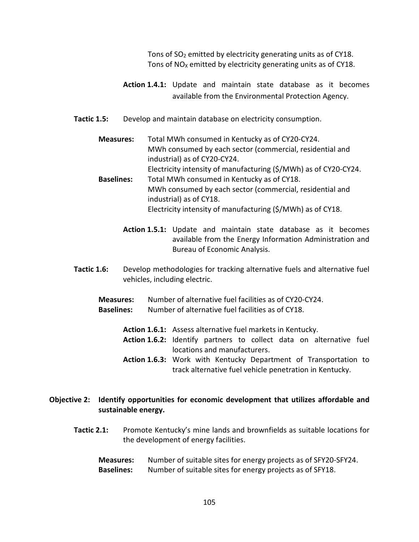Tons of  $SO<sub>2</sub>$  emitted by electricity generating units as of CY18. Tons of  $NO<sub>X</sub>$  emitted by electricity generating units as of CY18.

- Action 1.4.1: Update and maintain state database as it becomes available from the Environmental Protection Agency.
- Tactic 1.5: Develop and maintain database on electricity consumption.

 Measures: Total MWh consumed in Kentucky as of CY20-CY24. MWh consumed by each sector (commercial, residential and industrial) as of CY20-CY24. Electricity intensity of manufacturing (\$/MWh) as of CY20-CY24. Baselines: Total MWh consumed in Kentucky as of CY18. MWh consumed by each sector (commercial, residential and industrial) as of CY18. Electricity intensity of manufacturing (\$/MWh) as of CY18.

Action 1.5.1: Update and maintain state database as it becomes available from the Energy Information Administration and Bureau of Economic Analysis.

- **Tactic 1.6:** Develop methodologies for tracking alternative fuels and alternative fuel vehicles, including electric.
	- Measures: Number of alternative fuel facilities as of CY20-CY24.
	- Baselines: Number of alternative fuel facilities as of CY18.
		- Action 1.6.1: Assess alternative fuel markets in Kentucky.
		- Action 1.6.2: Identify partners to collect data on alternative fuel locations and manufacturers.
		- Action 1.6.3: Work with Kentucky Department of Transportation to track alternative fuel vehicle penetration in Kentucky.

# Objective 2: Identify opportunities for economic development that utilizes affordable and sustainable energy.

- Tactic 2.1: Promote Kentucky's mine lands and brownfields as suitable locations for the development of energy facilities.
	- Measures: Number of suitable sites for energy projects as of SFY20-SFY24. Baselines: Number of suitable sites for energy projects as of SFY18.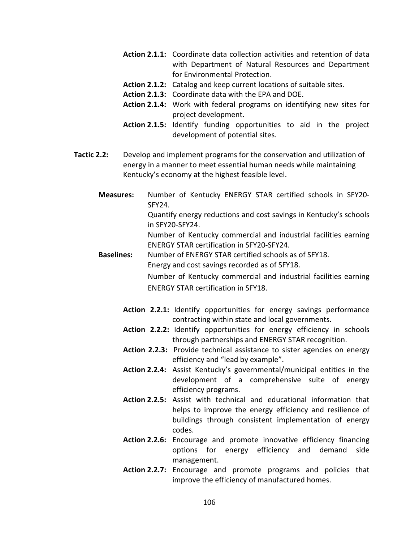- Action 2.1.1: Coordinate data collection activities and retention of data with Department of Natural Resources and Department for Environmental Protection.
- Action 2.1.2: Catalog and keep current locations of suitable sites.
- Action 2.1.3: Coordinate data with the EPA and DOE.
- Action 2.1.4: Work with federal programs on identifying new sites for project development.
- Action 2.1.5: Identify funding opportunities to aid in the project development of potential sites.
- Tactic 2.2: Develop and implement programs for the conservation and utilization of energy in a manner to meet essential human needs while maintaining Kentucky's economy at the highest feasible level.
	- Measures: Number of Kentucky ENERGY STAR certified schools in SFY20- SFY24.

Quantify energy reductions and cost savings in Kentucky's schools in SFY20-SFY24.

Number of Kentucky commercial and industrial facilities earning ENERGY STAR certification in SFY20-SFY24.

Baselines: Number of ENERGY STAR certified schools as of SFY18. Energy and cost savings recorded as of SFY18.

> Number of Kentucky commercial and industrial facilities earning ENERGY STAR certification in SFY18.

- Action 2.2.1: Identify opportunities for energy savings performance contracting within state and local governments.
- Action 2.2.2: Identify opportunities for energy efficiency in schools through partnerships and ENERGY STAR recognition.
- Action 2.2.3: Provide technical assistance to sister agencies on energy efficiency and "lead by example".
- Action 2.2.4: Assist Kentucky's governmental/municipal entities in the development of a comprehensive suite of energy efficiency programs.
- Action 2.2.5: Assist with technical and educational information that helps to improve the energy efficiency and resilience of buildings through consistent implementation of energy codes.
- Action 2.2.6: Encourage and promote innovative efficiency financing options for energy efficiency and demand side management.
- Action 2.2.7: Encourage and promote programs and policies that improve the efficiency of manufactured homes.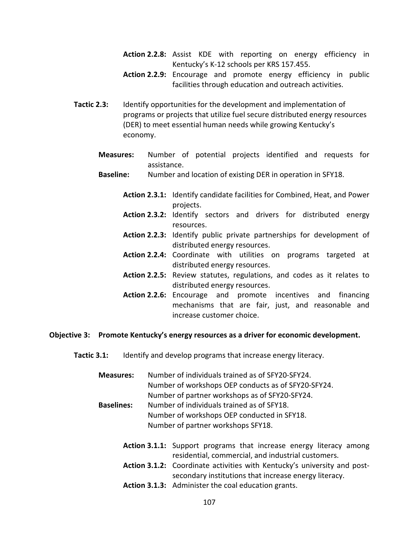- Action 2.2.8: Assist KDE with reporting on energy efficiency in Kentucky's K-12 schools per KRS 157.455.
- Action 2.2.9: Encourage and promote energy efficiency in public facilities through education and outreach activities.
- Tactic 2.3: Identify opportunities for the development and implementation of programs or projects that utilize fuel secure distributed energy resources (DER) to meet essential human needs while growing Kentucky's economy.
	- Measures: Number of potential projects identified and requests for assistance.
	- Baseline: Number and location of existing DER in operation in SFY18.
		- Action 2.3.1: Identify candidate facilities for Combined, Heat, and Power projects.
		- Action 2.3.2: Identify sectors and drivers for distributed energy resources.
		- Action 2.2.3: Identify public private partnerships for development of distributed energy resources.
		- Action 2.2.4: Coordinate with utilities on programs targeted at distributed energy resources.
		- Action 2.2.5: Review statutes, regulations, and codes as it relates to distributed energy resources.
		- Action 2.2.6: Encourage and promote incentives and financing mechanisms that are fair, just, and reasonable and increase customer choice.

#### Objective 3: Promote Kentucky's energy resources as a driver for economic development.

Tactic 3.1: Identify and develop programs that increase energy literacy.

Measures: Number of individuals trained as of SFY20-SFY24. Number of workshops OEP conducts as of SFY20-SFY24. Number of partner workshops as of SFY20-SFY24.

- Baselines: Number of individuals trained as of SFY18. Number of workshops OEP conducted in SFY18. Number of partner workshops SFY18.
	- Action 3.1.1: Support programs that increase energy literacy among residential, commercial, and industrial customers.
	- Action 3.1.2: Coordinate activities with Kentucky's university and postsecondary institutions that increase energy literacy.
	- Action 3.1.3: Administer the coal education grants.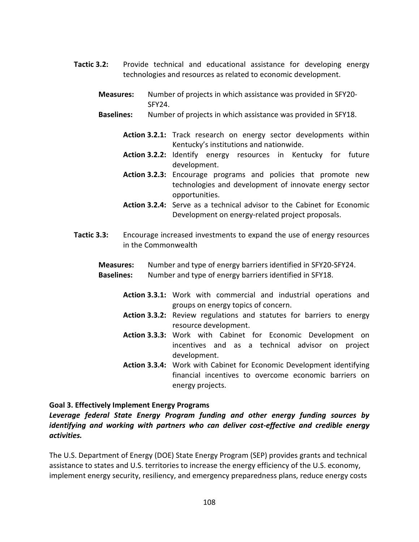- Tactic 3.2: Provide technical and educational assistance for developing energy technologies and resources as related to economic development.
	- Measures: Number of projects in which assistance was provided in SFY20- SFY24.
	- Baselines: Number of projects in which assistance was provided in SFY18.
		- Action 3.2.1: Track research on energy sector developments within Kentucky's institutions and nationwide.
		- Action 3.2.2: Identify energy resources in Kentucky for future development.
		- Action 3.2.3: Encourage programs and policies that promote new technologies and development of innovate energy sector opportunities.
		- Action 3.2.4: Serve as a technical advisor to the Cabinet for Economic Development on energy-related project proposals.
- Tactic 3.3: Encourage increased investments to expand the use of energy resources in the Commonwealth
	- Measures: Number and type of energy barriers identified in SFY20-SFY24. Baselines: Number and type of energy barriers identified in SFY18.
		- Action 3.3.1: Work with commercial and industrial operations and groups on energy topics of concern.
		- Action 3.3.2: Review regulations and statutes for barriers to energy resource development.
		- Action 3.3.3: Work with Cabinet for Economic Development on incentives and as a technical advisor on project development.
		- Action 3.3.4: Work with Cabinet for Economic Development identifying financial incentives to overcome economic barriers on energy projects.

### Goal 3. Effectively Implement Energy Programs

Leverage federal State Energy Program funding and other energy funding sources by identifying and working with partners who can deliver cost-effective and credible energy activities.

The U.S. Department of Energy (DOE) State Energy Program (SEP) provides grants and technical assistance to states and U.S. territories to increase the energy efficiency of the U.S. economy, implement energy security, resiliency, and emergency preparedness plans, reduce energy costs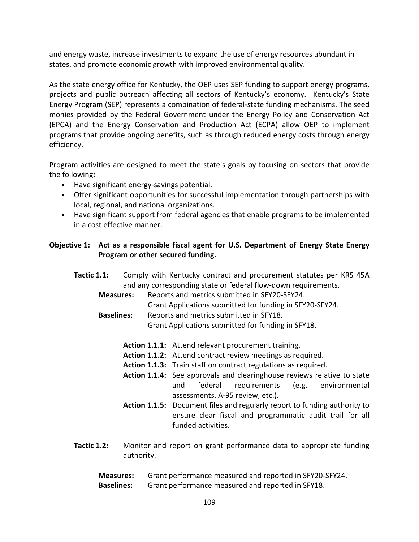and energy waste, increase investments to expand the use of energy resources abundant in states, and promote economic growth with improved environmental quality.

As the state energy office for Kentucky, the OEP uses SEP funding to support energy programs, projects and public outreach affecting all sectors of Kentucky's economy. Kentucky's State Energy Program (SEP) represents a combination of federal-state funding mechanisms. The seed monies provided by the Federal Government under the Energy Policy and Conservation Act (EPCA) and the Energy Conservation and Production Act (ECPA) allow OEP to implement programs that provide ongoing benefits, such as through reduced energy costs through energy efficiency.

Program activities are designed to meet the state's goals by focusing on sectors that provide the following:

- Have significant energy-savings potential.
- Offer significant opportunities for successful implementation through partnerships with local, regional, and national organizations.
- Have significant support from federal agencies that enable programs to be implemented in a cost effective manner.

## Objective 1: Act as a responsible fiscal agent for U.S. Department of Energy State Energy Program or other secured funding.

- Tactic 1.1: Comply with Kentucky contract and procurement statutes per KRS 45A and any corresponding state or federal flow-down requirements.
	- Measures: Reports and metrics submitted in SFY20-SFY24. Grant Applications submitted for funding in SFY20-SFY24. Baselines: Reports and metrics submitted in SFY18.
		- Grant Applications submitted for funding in SFY18.
			- Action 1.1.1: Attend relevant procurement training.
			- Action 1.1.2: Attend contract review meetings as required.
			- Action 1.1.3: Train staff on contract regulations as required.
			- Action 1.1.4: See approvals and clearinghouse reviews relative to state and federal requirements (e.g. environmental assessments, A-95 review, etc.).
			- Action 1.1.5: Document files and regularly report to funding authority to ensure clear fiscal and programmatic audit trail for all funded activities.
- Tactic 1.2: Monitor and report on grant performance data to appropriate funding authority.

| <b>Measures:</b>  | Grant performance measured and reported in SFY20-SFY24. |
|-------------------|---------------------------------------------------------|
| <b>Baselines:</b> | Grant performance measured and reported in SFY18.       |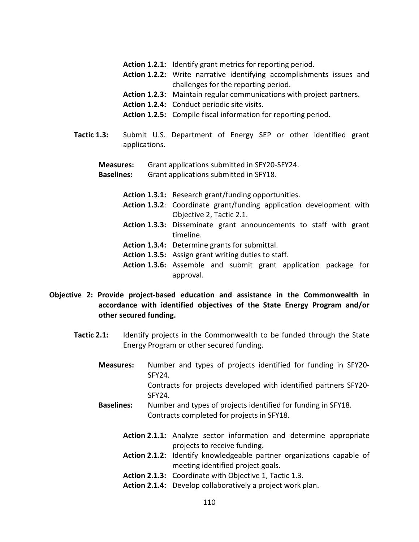- Action 1.2.1: Identify grant metrics for reporting period.
- Action 1.2.2: Write narrative identifying accomplishments issues and challenges for the reporting period.
- Action 1.2.3: Maintain regular communications with project partners.
- Action 1.2.4: Conduct periodic site visits.
- Action 1.2.5: Compile fiscal information for reporting period.
- Tactic 1.3: Submit U.S. Department of Energy SEP or other identified grant applications.

Measures: Grant applications submitted in SFY20-SFY24.

Baselines: Grant applications submitted in SFY18.

- Action 1.3.1: Research grant/funding opportunities.
- Action 1.3.2: Coordinate grant/funding application development with Objective 2, Tactic 2.1.
- Action 1.3.3: Disseminate grant announcements to staff with grant timeline.
- Action 1.3.4: Determine grants for submittal.
- Action 1.3.5: Assign grant writing duties to staff.
- Action 1.3.6: Assemble and submit grant application package for approval.

#### Objective 2: Provide project-based education and assistance in the Commonwealth in accordance with identified objectives of the State Energy Program and/or other secured funding.

- Tactic 2.1: Identify projects in the Commonwealth to be funded through the State Energy Program or other secured funding.
	- Measures: Number and types of projects identified for funding in SFY20- SFY24. Contracts for projects developed with identified partners SFY20- SFY24.
	- Baselines: Number and types of projects identified for funding in SFY18. Contracts completed for projects in SFY18.
		- Action 2.1.1: Analyze sector information and determine appropriate projects to receive funding.
		- Action 2.1.2: Identify knowledgeable partner organizations capable of meeting identified project goals.
		- Action 2.1.3: Coordinate with Objective 1, Tactic 1.3.
		- Action 2.1.4: Develop collaboratively a project work plan.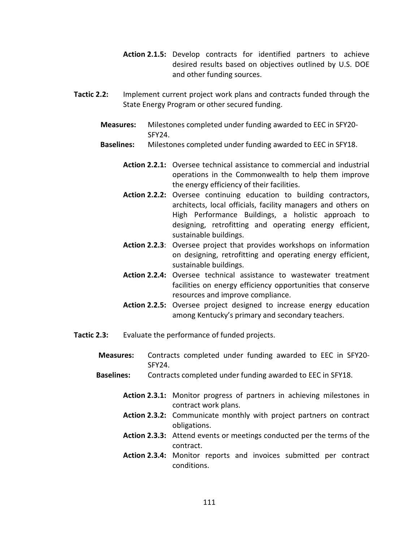- Action 2.1.5: Develop contracts for identified partners to achieve desired results based on objectives outlined by U.S. DOE and other funding sources.
- Tactic 2.2: Implement current project work plans and contracts funded through the State Energy Program or other secured funding.
	- Measures: Milestones completed under funding awarded to EEC in SFY20- SFY24.
	- Baselines: Milestones completed under funding awarded to EEC in SFY18.
		- Action 2.2.1: Oversee technical assistance to commercial and industrial operations in the Commonwealth to help them improve the energy efficiency of their facilities.
		- Action 2.2.2: Oversee continuing education to building contractors, architects, local officials, facility managers and others on High Performance Buildings, a holistic approach to designing, retrofitting and operating energy efficient, sustainable buildings.
		- Action 2.2.3: Oversee project that provides workshops on information on designing, retrofitting and operating energy efficient, sustainable buildings.
		- Action 2.2.4: Oversee technical assistance to wastewater treatment facilities on energy efficiency opportunities that conserve resources and improve compliance.
		- Action 2.2.5: Oversee project designed to increase energy education among Kentucky's primary and secondary teachers.
- Tactic 2.3: Evaluate the performance of funded projects.
	- Measures: Contracts completed under funding awarded to EEC in SFY20- SFY24.
	- Baselines: Contracts completed under funding awarded to EEC in SFY18.
		- Action 2.3.1: Monitor progress of partners in achieving milestones in contract work plans.
		- Action 2.3.2: Communicate monthly with project partners on contract obligations.
		- Action 2.3.3: Attend events or meetings conducted per the terms of the contract.
		- Action 2.3.4: Monitor reports and invoices submitted per contract conditions.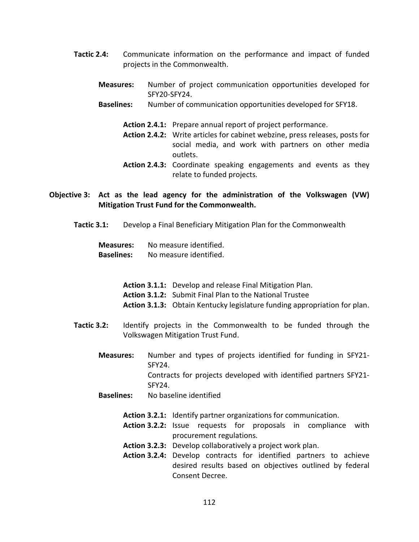- Tactic 2.4: Communicate information on the performance and impact of funded projects in the Commonwealth.
	- Measures: Number of project communication opportunities developed for SFY20-SFY24.
	- Baselines: Number of communication opportunities developed for SFY18.
		- Action 2.4.1: Prepare annual report of project performance.
		- Action 2.4.2: Write articles for cabinet webzine, press releases, posts for social media, and work with partners on other media outlets.
		- Action 2.4.3: Coordinate speaking engagements and events as they relate to funded projects.
- Objective 3: Act as the lead agency for the administration of the Volkswagen (VW) Mitigation Trust Fund for the Commonwealth.
	- Tactic 3.1: Develop a Final Beneficiary Mitigation Plan for the Commonwealth

| Measures:         | No measure identified. |
|-------------------|------------------------|
| <b>Baselines:</b> | No measure identified. |

- Action 3.1.1: Develop and release Final Mitigation Plan.
- Action 3.1.2: Submit Final Plan to the National Trustee
- Action 3.1.3: Obtain Kentucky legislature funding appropriation for plan.
- Tactic 3.2: Identify projects in the Commonwealth to be funded through the Volkswagen Mitigation Trust Fund.
	- Measures: Number and types of projects identified for funding in SFY21- SFY24. Contracts for projects developed with identified partners SFY21- SFY24.
	- Baselines: No baseline identified
		- Action 3.2.1: Identify partner organizations for communication.
		- Action 3.2.2: Issue requests for proposals in compliance with procurement regulations.
		- Action 3.2.3: Develop collaboratively a project work plan.
		- Action 3.2.4: Develop contracts for identified partners to achieve desired results based on objectives outlined by federal Consent Decree.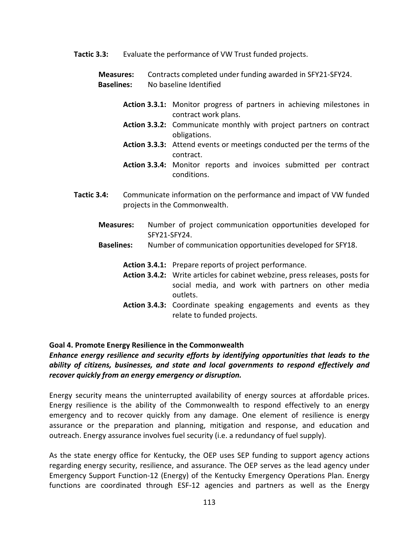Tactic 3.3: Evaluate the performance of VW Trust funded projects.

Measures: Contracts completed under funding awarded in SFY21-SFY24. Baselines: No baseline Identified

- Action 3.3.1: Monitor progress of partners in achieving milestones in contract work plans.
- Action 3.3.2: Communicate monthly with project partners on contract obligations.
- Action 3.3.3: Attend events or meetings conducted per the terms of the contract.
- Action 3.3.4: Monitor reports and invoices submitted per contract conditions.
- Tactic 3.4: Communicate information on the performance and impact of VW funded projects in the Commonwealth.
	- Measures: Number of project communication opportunities developed for SFY21-SFY24.
	- Baselines: Number of communication opportunities developed for SFY18.
		- Action 3.4.1: Prepare reports of project performance.
		- Action 3.4.2: Write articles for cabinet webzine, press releases, posts for social media, and work with partners on other media outlets.
		- Action 3.4.3: Coordinate speaking engagements and events as they relate to funded projects.

#### Goal 4. Promote Energy Resilience in the Commonwealth

Enhance energy resilience and security efforts by identifying opportunities that leads to the ability of citizens, businesses, and state and local governments to respond effectively and recover quickly from an energy emergency or disruption.

Energy security means the uninterrupted availability of energy sources at affordable prices. Energy resilience is the ability of the Commonwealth to respond effectively to an energy emergency and to recover quickly from any damage. One element of resilience is energy assurance or the preparation and planning, mitigation and response, and education and outreach. Energy assurance involves fuel security (i.e. a redundancy of fuel supply).

As the state energy office for Kentucky, the OEP uses SEP funding to support agency actions regarding energy security, resilience, and assurance. The OEP serves as the lead agency under Emergency Support Function-12 (Energy) of the Kentucky Emergency Operations Plan. Energy functions are coordinated through ESF-12 agencies and partners as well as the Energy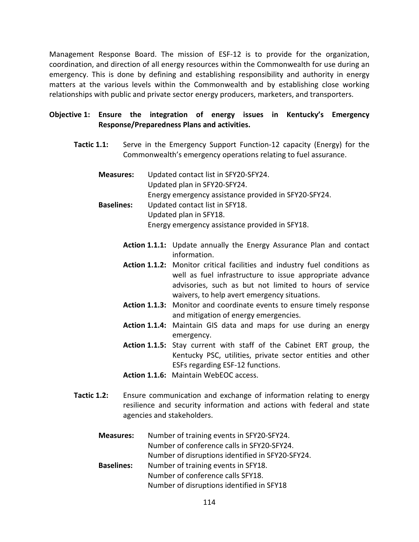Management Response Board. The mission of ESF-12 is to provide for the organization, coordination, and direction of all energy resources within the Commonwealth for use during an emergency. This is done by defining and establishing responsibility and authority in energy matters at the various levels within the Commonwealth and by establishing close working relationships with public and private sector energy producers, marketers, and transporters.

## Objective 1: Ensure the integration of energy issues in Kentucky's Emergency Response/Preparedness Plans and activities.

- Tactic 1.1: Serve in the Emergency Support Function-12 capacity (Energy) for the Commonwealth's emergency operations relating to fuel assurance.
	- Measures: Updated contact list in SFY20-SFY24. Updated plan in SFY20-SFY24. Energy emergency assistance provided in SFY20-SFY24. Baselines: Updated contact list in SFY18. Updated plan in SFY18.
		- Energy emergency assistance provided in SFY18.
		- Action 1.1.1: Update annually the Energy Assurance Plan and contact information.
		- Action 1.1.2: Monitor critical facilities and industry fuel conditions as well as fuel infrastructure to issue appropriate advance advisories, such as but not limited to hours of service waivers, to help avert emergency situations.
		- Action 1.1.3: Monitor and coordinate events to ensure timely response and mitigation of energy emergencies.
		- Action 1.1.4: Maintain GIS data and maps for use during an energy emergency.
		- Action 1.1.5: Stay current with staff of the Cabinet ERT group, the Kentucky PSC, utilities, private sector entities and other ESFs regarding ESF-12 functions.
		- Action 1.1.6: Maintain WebEOC access.
- Tactic 1.2: Ensure communication and exchange of information relating to energy resilience and security information and actions with federal and state agencies and stakeholders.
	- Measures: Number of training events in SFY20-SFY24. Number of conference calls in SFY20-SFY24. Number of disruptions identified in SFY20-SFY24. Baselines: Number of training events in SFY18. Number of conference calls SFY18. Number of disruptions identified in SFY18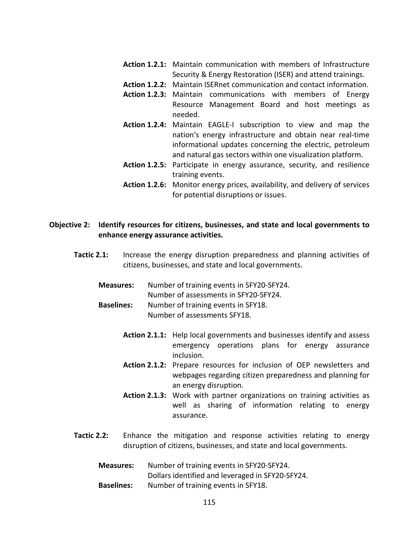- Action 1.2.1: Maintain communication with members of Infrastructure Security & Energy Restoration (ISER) and attend trainings.
- Action 1.2.2: Maintain ISERnet communication and contact information.
- Action 1.2.3: Maintain communications with members of Energy Resource Management Board and host meetings as needed.
- Action 1.2.4: Maintain EAGLE-I subscription to view and map the nation's energy infrastructure and obtain near real-time informational updates concerning the electric, petroleum and natural gas sectors within one visualization platform.
- Action 1.2.5: Participate in energy assurance, security, and resilience training events.
- Action 1.2.6: Monitor energy prices, availability, and delivery of services for potential disruptions or issues.

#### Objective 2: Identify resources for citizens, businesses, and state and local governments to enhance energy assurance activities.

- Tactic 2.1: Increase the energy disruption preparedness and planning activities of citizens, businesses, and state and local governments.
	- Measures: Number of training events in SFY20-SFY24. Number of assessments in SFY20-SFY24.
	- Baselines: Number of training events in SFY18. Number of assessments SFY18.
		- Action 2.1.1: Help local governments and businesses identify and assess emergency operations plans for energy assurance inclusion.
		- Action 2.1.2: Prepare resources for inclusion of OEP newsletters and webpages regarding citizen preparedness and planning for an energy disruption.
		- Action 2.1.3: Work with partner organizations on training activities as well as sharing of information relating to energy assurance.
- Tactic 2.2: Enhance the mitigation and response activities relating to energy disruption of citizens, businesses, and state and local governments.

| <b>Measures:</b>  | Number of training events in SFY20-SFY24.        |
|-------------------|--------------------------------------------------|
|                   | Dollars identified and leveraged in SFY20-SFY24. |
| <b>Baselines:</b> | Number of training events in SFY18.              |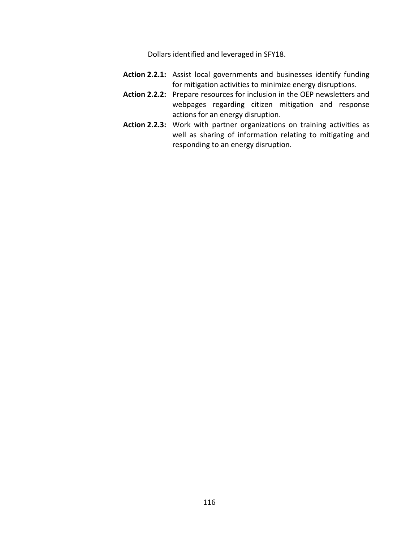Dollars identified and leveraged in SFY18.

- Action 2.2.1: Assist local governments and businesses identify funding for mitigation activities to minimize energy disruptions.
- Action 2.2.2: Prepare resources for inclusion in the OEP newsletters and webpages regarding citizen mitigation and response actions for an energy disruption.
- Action 2.2.3: Work with partner organizations on training activities as well as sharing of information relating to mitigating and responding to an energy disruption.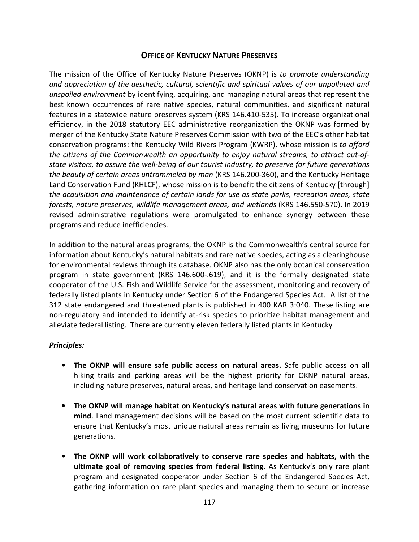## **OFFICE OF KENTUCKY NATURE PRESERVES**

The mission of the Office of Kentucky Nature Preserves (OKNP) is to promote understanding and appreciation of the aesthetic, cultural, scientific and spiritual values of our unpolluted and unspoiled environment by identifying, acquiring, and managing natural areas that represent the best known occurrences of rare native species, natural communities, and significant natural features in a statewide nature preserves system (KRS 146.410-535). To increase organizational efficiency, in the 2018 statutory EEC administrative reorganization the OKNP was formed by merger of the Kentucky State Nature Preserves Commission with two of the EEC's other habitat conservation programs: the Kentucky Wild Rivers Program (KWRP), whose mission is to afford the citizens of the Commonwealth an opportunity to enjoy natural streams, to attract out-ofstate visitors, to assure the well-being of our tourist industry, to preserve for future generations the beauty of certain areas untrammeled by man (KRS 146.200-360), and the Kentucky Heritage Land Conservation Fund (KHLCF), whose mission is to benefit the citizens of Kentucky [through] the acquisition and maintenance of certain lands for use as state parks, recreation areas, state forests, nature preserves, wildlife management areas, and wetlands (KRS 146.550-570). In 2019 revised administrative regulations were promulgated to enhance synergy between these programs and reduce inefficiencies.

In addition to the natural areas programs, the OKNP is the Commonwealth's central source for information about Kentucky's natural habitats and rare native species, acting as a clearinghouse for environmental reviews through its database. OKNP also has the only botanical conservation program in state government (KRS 146.600-.619), and it is the formally designated state cooperator of the U.S. Fish and Wildlife Service for the assessment, monitoring and recovery of federally listed plants in Kentucky under Section 6 of the Endangered Species Act. A list of the 312 state endangered and threatened plants is published in 400 KAR 3:040. These listing are non-regulatory and intended to identify at-risk species to prioritize habitat management and alleviate federal listing. There are currently eleven federally listed plants in Kentucky

## Principles:

- The OKNP will ensure safe public access on natural areas. Safe public access on all hiking trails and parking areas will be the highest priority for OKNP natural areas, including nature preserves, natural areas, and heritage land conservation easements.
- The OKNP will manage habitat on Kentucky's natural areas with future generations in mind. Land management decisions will be based on the most current scientific data to ensure that Kentucky's most unique natural areas remain as living museums for future generations.
- The OKNP will work collaboratively to conserve rare species and habitats, with the ultimate goal of removing species from federal listing. As Kentucky's only rare plant program and designated cooperator under Section 6 of the Endangered Species Act, gathering information on rare plant species and managing them to secure or increase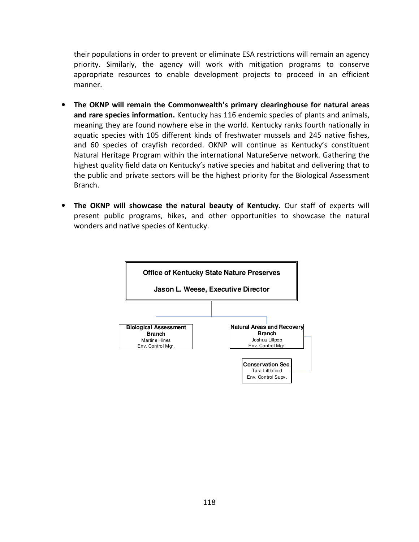their populations in order to prevent or eliminate ESA restrictions will remain an agency priority. Similarly, the agency will work with mitigation programs to conserve appropriate resources to enable development projects to proceed in an efficient manner.

- The OKNP will remain the Commonwealth's primary clearinghouse for natural areas and rare species information. Kentucky has 116 endemic species of plants and animals, meaning they are found nowhere else in the world. Kentucky ranks fourth nationally in aquatic species with 105 different kinds of freshwater mussels and 245 native fishes, and 60 species of crayfish recorded. OKNP will continue as Kentucky's constituent Natural Heritage Program within the international NatureServe network. Gathering the highest quality field data on Kentucky's native species and habitat and delivering that to the public and private sectors will be the highest priority for the Biological Assessment Branch.
- The OKNP will showcase the natural beauty of Kentucky. Our staff of experts will present public programs, hikes, and other opportunities to showcase the natural wonders and native species of Kentucky.

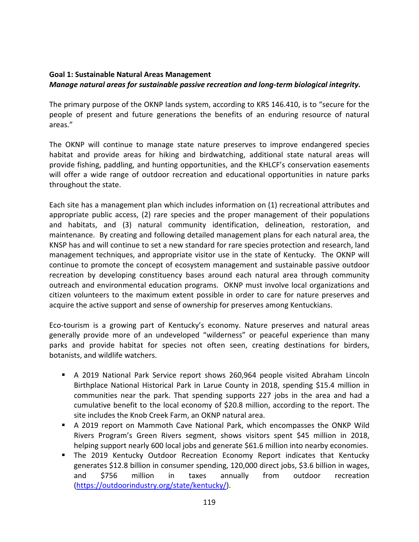# Goal 1: Sustainable Natural Areas Management

## Manage natural areas for sustainable passive recreation and long-term biological integrity.

The primary purpose of the OKNP lands system, according to KRS 146.410, is to "secure for the people of present and future generations the benefits of an enduring resource of natural areas."

The OKNP will continue to manage state nature preserves to improve endangered species habitat and provide areas for hiking and birdwatching, additional state natural areas will provide fishing, paddling, and hunting opportunities, and the KHLCF's conservation easements will offer a wide range of outdoor recreation and educational opportunities in nature parks throughout the state.

Each site has a management plan which includes information on (1) recreational attributes and appropriate public access, (2) rare species and the proper management of their populations and habitats, and (3) natural community identification, delineation, restoration, and maintenance. By creating and following detailed management plans for each natural area, the KNSP has and will continue to set a new standard for rare species protection and research, land management techniques, and appropriate visitor use in the state of Kentucky. The OKNP will continue to promote the concept of ecosystem management and sustainable passive outdoor recreation by developing constituency bases around each natural area through community outreach and environmental education programs. OKNP must involve local organizations and citizen volunteers to the maximum extent possible in order to care for nature preserves and acquire the active support and sense of ownership for preserves among Kentuckians.

Eco-tourism is a growing part of Kentucky's economy. Nature preserves and natural areas generally provide more of an undeveloped "wilderness" or peaceful experience than many parks and provide habitat for species not often seen, creating destinations for birders, botanists, and wildlife watchers.

- A 2019 National Park Service report shows 260,964 people visited Abraham Lincoln Birthplace National Historical Park in Larue County in 2018, spending \$15.4 million in communities near the park. That spending supports 227 jobs in the area and had a cumulative benefit to the local economy of \$20.8 million, according to the report. The site includes the Knob Creek Farm, an OKNP natural area.
- A 2019 report on Mammoth Cave National Park, which encompasses the ONKP Wild Rivers Program's Green Rivers segment, shows visitors spent \$45 million in 2018, helping support nearly 600 local jobs and generate \$61.6 million into nearby economies.
- **The 2019 Kentucky Outdoor Recreation Economy Report indicates that Kentucky** generates \$12.8 billion in consumer spending, 120,000 direct jobs, \$3.6 billion in wages, and \$756 million in taxes annually from outdoor recreation (https://outdoorindustry.org/state/kentucky/).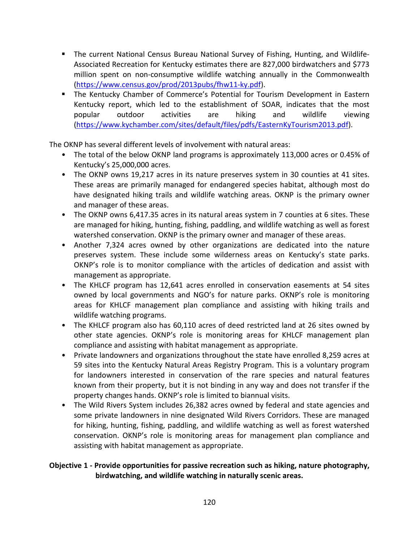- The current National Census Bureau National Survey of Fishing, Hunting, and Wildlife-Associated Recreation for Kentucky estimates there are 827,000 birdwatchers and \$773 million spent on non-consumptive wildlife watching annually in the Commonwealth (https://www.census.gov/prod/2013pubs/fhw11-ky.pdf).
- The Kentucky Chamber of Commerce's Potential for Tourism Development in Eastern Kentucky report, which led to the establishment of SOAR, indicates that the most popular outdoor activities are hiking and wildlife viewing (https://www.kychamber.com/sites/default/files/pdfs/EasternKyTourism2013.pdf).

The OKNP has several different levels of involvement with natural areas:

- The total of the below OKNP land programs is approximately 113,000 acres or 0.45% of Kentucky's 25,000,000 acres.
- The OKNP owns 19,217 acres in its nature preserves system in 30 counties at 41 sites. These areas are primarily managed for endangered species habitat, although most do have designated hiking trails and wildlife watching areas. OKNP is the primary owner and manager of these areas.
- The OKNP owns 6,417.35 acres in its natural areas system in 7 counties at 6 sites. These are managed for hiking, hunting, fishing, paddling, and wildlife watching as well as forest watershed conservation. OKNP is the primary owner and manager of these areas.
- Another 7,324 acres owned by other organizations are dedicated into the nature preserves system. These include some wilderness areas on Kentucky's state parks. OKNP's role is to monitor compliance with the articles of dedication and assist with management as appropriate.
- The KHLCF program has 12,641 acres enrolled in conservation easements at 54 sites owned by local governments and NGO's for nature parks. OKNP's role is monitoring areas for KHLCF management plan compliance and assisting with hiking trails and wildlife watching programs.
- The KHLCF program also has 60,110 acres of deed restricted land at 26 sites owned by other state agencies. OKNP's role is monitoring areas for KHLCF management plan compliance and assisting with habitat management as appropriate.
- Private landowners and organizations throughout the state have enrolled 8,259 acres at 59 sites into the Kentucky Natural Areas Registry Program. This is a voluntary program for landowners interested in conservation of the rare species and natural features known from their property, but it is not binding in any way and does not transfer if the property changes hands. OKNP's role is limited to biannual visits.
- The Wild Rivers System includes 26,382 acres owned by federal and state agencies and some private landowners in nine designated Wild Rivers Corridors. These are managed for hiking, hunting, fishing, paddling, and wildlife watching as well as forest watershed conservation. OKNP's role is monitoring areas for management plan compliance and assisting with habitat management as appropriate.

## Objective 1 - Provide opportunities for passive recreation such as hiking, nature photography, birdwatching, and wildlife watching in naturally scenic areas.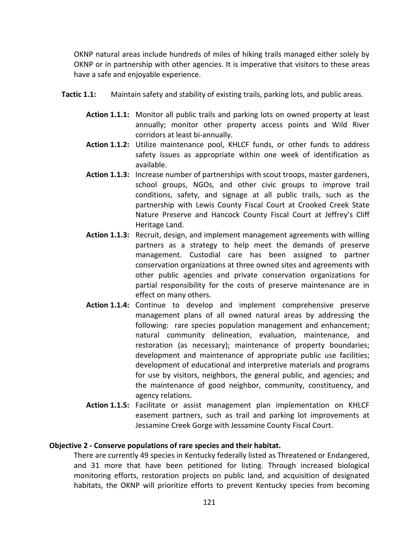OKNP natural areas include hundreds of miles of hiking trails managed either solely by OKNP or in partnership with other agencies. It is imperative that visitors to these areas have a safe and enjoyable experience.

- Tactic 1.1: Maintain safety and stability of existing trails, parking lots, and public areas.
	- Action 1.1.1: Monitor all public trails and parking lots on owned property at least annually; monitor other property access points and Wild River corridors at least bi-annually.
	- Action 1.1.2: Utilize maintenance pool, KHLCF funds, or other funds to address safety issues as appropriate within one week of identification as available.
	- Action 1.1.3: Increase number of partnerships with scout troops, master gardeners, school groups, NGOs, and other civic groups to improve trail conditions, safety, and signage at all public trails, such as the partnership with Lewis County Fiscal Court at Crooked Creek State Nature Preserve and Hancock County Fiscal Court at Jeffrey's Cliff Heritage Land.
	- Action 1.1.3: Recruit, design, and implement management agreements with willing partners as a strategy to help meet the demands of preserve management. Custodial care has been assigned to partner conservation organizations at three owned sites and agreements with other public agencies and private conservation organizations for partial responsibility for the costs of preserve maintenance are in effect on many others.
	- Action 1.1.4: Continue to develop and implement comprehensive preserve management plans of all owned natural areas by addressing the following: rare species population management and enhancement; natural community delineation, evaluation, maintenance, and restoration (as necessary); maintenance of property boundaries; development and maintenance of appropriate public use facilities; development of educational and interpretive materials and programs for use by visitors, neighbors, the general public, and agencies; and the maintenance of good neighbor, community, constituency, and agency relations.
	- Action 1.1.5: Facilitate or assist management plan implementation on KHLCF easement partners, such as trail and parking lot improvements at Jessamine Creek Gorge with Jessamine County Fiscal Court.

#### Objective 2 - Conserve populations of rare species and their habitat.

There are currently 49 species in Kentucky federally listed as Threatened or Endangered, and 31 more that have been petitioned for listing. Through increased biological monitoring efforts, restoration projects on public land, and acquisition of designated habitats, the OKNP will prioritize efforts to prevent Kentucky species from becoming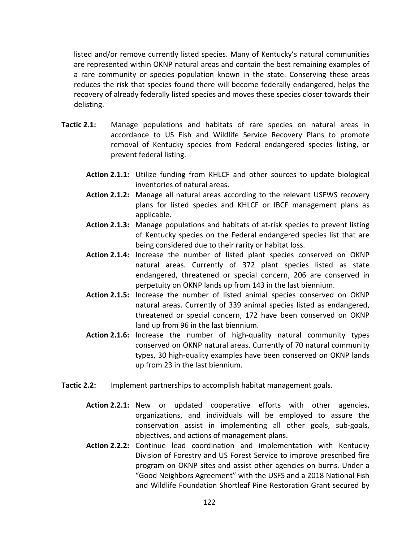listed and/or remove currently listed species. Many of Kentucky's natural communities are represented within OKNP natural areas and contain the best remaining examples of a rare community or species population known in the state. Conserving these areas reduces the risk that species found there will become federally endangered, helps the recovery of already federally listed species and moves these species closer towards their delisting.

- Tactic 2.1: Manage populations and habitats of rare species on natural areas in accordance to US Fish and Wildlife Service Recovery Plans to promote removal of Kentucky species from Federal endangered species listing, or prevent federal listing.
	- Action 2.1.1: Utilize funding from KHLCF and other sources to update biological inventories of natural areas.
	- Action 2.1.2: Manage all natural areas according to the relevant USFWS recovery plans for listed species and KHLCF or IBCF management plans as applicable.
	- Action 2.1.3: Manage populations and habitats of at-risk species to prevent listing of Kentucky species on the Federal endangered species list that are being considered due to their rarity or habitat loss.
	- Action 2.1.4: Increase the number of listed plant species conserved on OKNP natural areas. Currently of 372 plant species listed as state endangered, threatened or special concern, 206 are conserved in perpetuity on OKNP lands up from 143 in the last biennium.
	- Action 2.1.5: Increase the number of listed animal species conserved on OKNP natural areas. Currently of 339 animal species listed as endangered, threatened or special concern, 172 have been conserved on OKNP land up from 96 in the last biennium.
	- Action 2.1.6: Increase the number of high-quality natural community types conserved on OKNP natural areas. Currently of 70 natural community types, 30 high-quality examples have been conserved on OKNP lands up from 23 in the last biennium.
- Tactic 2.2: Implement partnerships to accomplish habitat management goals.
	- Action 2.2.1: New or updated cooperative efforts with other agencies, organizations, and individuals will be employed to assure the conservation assist in implementing all other goals, sub-goals, objectives, and actions of management plans.
	- Action 2.2.2: Continue lead coordination and implementation with Kentucky Division of Forestry and US Forest Service to improve prescribed fire program on OKNP sites and assist other agencies on burns. Under a "Good Neighbors Agreement" with the USFS and a 2018 National Fish and Wildlife Foundation Shortleaf Pine Restoration Grant secured by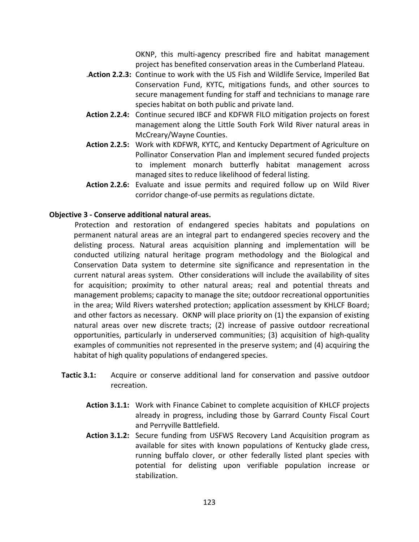OKNP, this multi-agency prescribed fire and habitat management project has benefited conservation areas in the Cumberland Plateau.

- .Action 2.2.3: Continue to work with the US Fish and Wildlife Service, Imperiled Bat Conservation Fund, KYTC, mitigations funds, and other sources to secure management funding for staff and technicians to manage rare species habitat on both public and private land.
- Action 2.2.4: Continue secured IBCF and KDFWR FILO mitigation projects on forest management along the Little South Fork Wild River natural areas in McCreary/Wayne Counties.
- Action 2.2.5: Work with KDFWR, KYTC, and Kentucky Department of Agriculture on Pollinator Conservation Plan and implement secured funded projects to implement monarch butterfly habitat management across managed sites to reduce likelihood of federal listing.
- Action 2.2.6: Evaluate and issue permits and required follow up on Wild River corridor change-of-use permits as regulations dictate.

#### Objective 3 - Conserve additional natural areas.

 Protection and restoration of endangered species habitats and populations on permanent natural areas are an integral part to endangered species recovery and the delisting process. Natural areas acquisition planning and implementation will be conducted utilizing natural heritage program methodology and the Biological and Conservation Data system to determine site significance and representation in the current natural areas system. Other considerations will include the availability of sites for acquisition; proximity to other natural areas; real and potential threats and management problems; capacity to manage the site; outdoor recreational opportunities in the area; Wild Rivers watershed protection; application assessment by KHLCF Board; and other factors as necessary. OKNP will place priority on (1) the expansion of existing natural areas over new discrete tracts; (2) increase of passive outdoor recreational opportunities, particularly in underserved communities; (3) acquisition of high-quality examples of communities not represented in the preserve system; and (4) acquiring the habitat of high quality populations of endangered species.

- Tactic 3.1: Acquire or conserve additional land for conservation and passive outdoor recreation.
	- Action 3.1.1: Work with Finance Cabinet to complete acquisition of KHLCF projects already in progress, including those by Garrard County Fiscal Court and Perryville Battlefield.
	- Action 3.1.2: Secure funding from USFWS Recovery Land Acquisition program as available for sites with known populations of Kentucky glade cress, running buffalo clover, or other federally listed plant species with potential for delisting upon verifiable population increase or stabilization.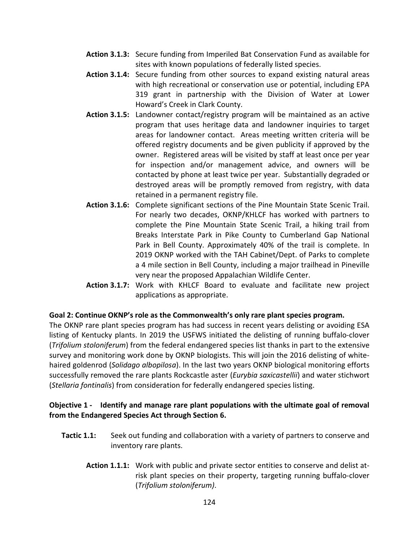- Action 3.1.3: Secure funding from Imperiled Bat Conservation Fund as available for sites with known populations of federally listed species.
- Action 3.1.4: Secure funding from other sources to expand existing natural areas with high recreational or conservation use or potential, including EPA 319 grant in partnership with the Division of Water at Lower Howard's Creek in Clark County.
- Action 3.1.5: Landowner contact/registry program will be maintained as an active program that uses heritage data and landowner inquiries to target areas for landowner contact. Areas meeting written criteria will be offered registry documents and be given publicity if approved by the owner. Registered areas will be visited by staff at least once per year for inspection and/or management advice, and owners will be contacted by phone at least twice per year. Substantially degraded or destroyed areas will be promptly removed from registry, with data retained in a permanent registry file.
- Action 3.1.6: Complete significant sections of the Pine Mountain State Scenic Trail. For nearly two decades, OKNP/KHLCF has worked with partners to complete the Pine Mountain State Scenic Trail, a hiking trail from Breaks Interstate Park in Pike County to Cumberland Gap National Park in Bell County. Approximately 40% of the trail is complete. In 2019 OKNP worked with the TAH Cabinet/Dept. of Parks to complete a 4 mile section in Bell County, including a major trailhead in Pineville very near the proposed Appalachian Wildlife Center.
- Action 3.1.7: Work with KHLCF Board to evaluate and facilitate new project applications as appropriate.

#### Goal 2: Continue OKNP's role as the Commonwealth's only rare plant species program.

The OKNP rare plant species program has had success in recent years delisting or avoiding ESA listing of Kentucky plants. In 2019 the USFWS initiated the delisting of running buffalo-clover (Trifolium stoloniferum) from the federal endangered species list thanks in part to the extensive survey and monitoring work done by OKNP biologists. This will join the 2016 delisting of whitehaired goldenrod (Solidago albopilosa). In the last two years OKNP biological monitoring efforts successfully removed the rare plants Rockcastle aster (Eurybia saxicastellii) and water stichwort (Stellaria fontinalis) from consideration for federally endangered species listing.

#### Objective 1 - Identify and manage rare plant populations with the ultimate goal of removal from the Endangered Species Act through Section 6.

- **Tactic 1.1:** Seek out funding and collaboration with a variety of partners to conserve and inventory rare plants.
	- Action 1.1.1: Work with public and private sector entities to conserve and delist atrisk plant species on their property, targeting running buffalo-clover (Trifolium stoloniferum).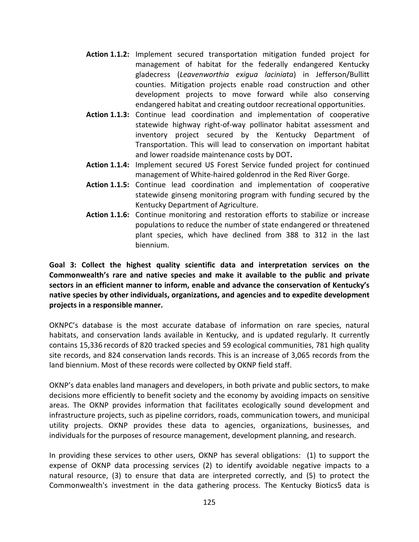- Action 1.1.2: Implement secured transportation mitigation funded project for management of habitat for the federally endangered Kentucky gladecress (Leavenworthia exigua laciniata) in Jefferson/Bullitt counties. Mitigation projects enable road construction and other development projects to move forward while also conserving endangered habitat and creating outdoor recreational opportunities.
- Action 1.1.3: Continue lead coordination and implementation of cooperative statewide highway right-of-way pollinator habitat assessment and inventory project secured by the Kentucky Department of Transportation. This will lead to conservation on important habitat and lower roadside maintenance costs by DOT.
- Action 1.1.4: Implement secured US Forest Service funded project for continued management of White-haired goldenrod in the Red River Gorge.
- Action 1.1.5: Continue lead coordination and implementation of cooperative statewide ginseng monitoring program with funding secured by the Kentucky Department of Agriculture.
- Action 1.1.6: Continue monitoring and restoration efforts to stabilize or increase populations to reduce the number of state endangered or threatened plant species, which have declined from 388 to 312 in the last biennium.

Goal 3: Collect the highest quality scientific data and interpretation services on the Commonwealth's rare and native species and make it available to the public and private sectors in an efficient manner to inform, enable and advance the conservation of Kentucky's native species by other individuals, organizations, and agencies and to expedite development projects in a responsible manner.

OKNPC's database is the most accurate database of information on rare species, natural habitats, and conservation lands available in Kentucky, and is updated regularly. It currently contains 15,336 records of 820 tracked species and 59 ecological communities, 781 high quality site records, and 824 conservation lands records. This is an increase of 3,065 records from the land biennium. Most of these records were collected by OKNP field staff.

OKNP's data enables land managers and developers, in both private and public sectors, to make decisions more efficiently to benefit society and the economy by avoiding impacts on sensitive areas. The OKNP provides information that facilitates ecologically sound development and infrastructure projects, such as pipeline corridors, roads, communication towers, and municipal utility projects. OKNP provides these data to agencies, organizations, businesses, and individuals for the purposes of resource management, development planning, and research.

In providing these services to other users, OKNP has several obligations: (1) to support the expense of OKNP data processing services (2) to identify avoidable negative impacts to a natural resource, (3) to ensure that data are interpreted correctly, and (5) to protect the Commonwealth's investment in the data gathering process. The Kentucky Biotics5 data is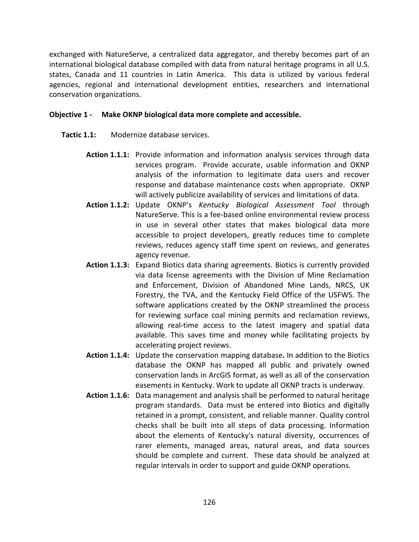exchanged with NatureServe, a centralized data aggregator, and thereby becomes part of an international biological database compiled with data from natural heritage programs in all U.S. states, Canada and 11 countries in Latin America. This data is utilized by various federal agencies, regional and international development entities, researchers and international conservation organizations.

#### Objective 1 - Make OKNP biological data more complete and accessible.

- Tactic 1.1: Modernize database services.
	- Action 1.1.1: Provide information and information analysis services through data services program. Provide accurate, usable information and OKNP analysis of the information to legitimate data users and recover response and database maintenance costs when appropriate. OKNP will actively publicize availability of services and limitations of data.
	- Action 1.1.2: Update OKNP's Kentucky Biological Assessment Tool through NatureServe. This is a fee-based online environmental review process in use in several other states that makes biological data more accessible to project developers, greatly reduces time to complete reviews, reduces agency staff time spent on reviews, and generates agency revenue.
	- Action 1.1.3: Expand Biotics data sharing agreements. Biotics is currently provided via data license agreements with the Division of Mine Reclamation and Enforcement, Division of Abandoned Mine Lands, NRCS, UK Forestry, the TVA, and the Kentucky Field Office of the USFWS. The software applications created by the OKNP streamlined the process for reviewing surface coal mining permits and reclamation reviews, allowing real-time access to the latest imagery and spatial data available. This saves time and money while facilitating projects by accelerating project reviews.
	- Action 1.1.4: Update the conservation mapping database. In addition to the Biotics database the OKNP has mapped all public and privately owned conservation lands in ArcGIS format, as well as all of the conservation easements in Kentucky. Work to update all OKNP tracts is underway.
	- Action 1.1.6: Data management and analysis shall be performed to natural heritage program standards. Data must be entered into Biotics and digitally retained in a prompt, consistent, and reliable manner. Quality control checks shall be built into all steps of data processing. Information about the elements of Kentucky's natural diversity, occurrences of rarer elements, managed areas, natural areas, and data sources should be complete and current. These data should be analyzed at regular intervals in order to support and guide OKNP operations.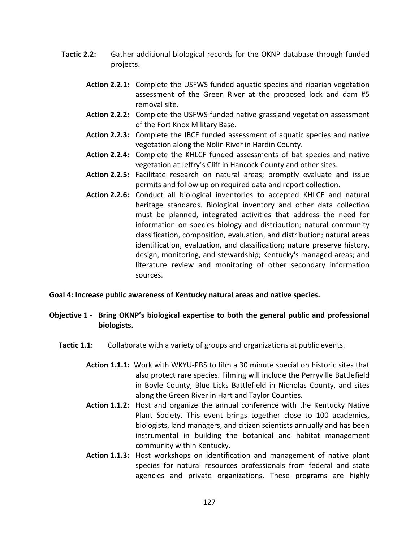- Tactic 2.2: Gather additional biological records for the OKNP database through funded projects.
	- Action 2.2.1: Complete the USFWS funded aquatic species and riparian vegetation assessment of the Green River at the proposed lock and dam #5 removal site.
	- Action 2.2.2: Complete the USFWS funded native grassland vegetation assessment of the Fort Knox Military Base.
	- Action 2.2.3: Complete the IBCF funded assessment of aquatic species and native vegetation along the Nolin River in Hardin County.
	- Action 2.2.4: Complete the KHLCF funded assessments of bat species and native vegetation at Jeffry's Cliff in Hancock County and other sites.
	- Action 2.2.5: Facilitate research on natural areas; promptly evaluate and issue permits and follow up on required data and report collection.
	- Action 2.2.6: Conduct all biological inventories to accepted KHLCF and natural heritage standards. Biological inventory and other data collection must be planned, integrated activities that address the need for information on species biology and distribution; natural community classification, composition, evaluation, and distribution; natural areas identification, evaluation, and classification; nature preserve history, design, monitoring, and stewardship; Kentucky's managed areas; and literature review and monitoring of other secondary information sources.

#### Goal 4: Increase public awareness of Kentucky natural areas and native species.

- Objective 1 Bring OKNP's biological expertise to both the general public and professional biologists.
	- Tactic 1.1: Collaborate with a variety of groups and organizations at public events.
		- Action 1.1.1: Work with WKYU-PBS to film a 30 minute special on historic sites that also protect rare species. Filming will include the Perryville Battlefield in Boyle County, Blue Licks Battlefield in Nicholas County, and sites along the Green River in Hart and Taylor Counties.
		- Action 1.1.2: Host and organize the annual conference with the Kentucky Native Plant Society. This event brings together close to 100 academics, biologists, land managers, and citizen scientists annually and has been instrumental in building the botanical and habitat management community within Kentucky.
		- Action 1.1.3: Host workshops on identification and management of native plant species for natural resources professionals from federal and state agencies and private organizations. These programs are highly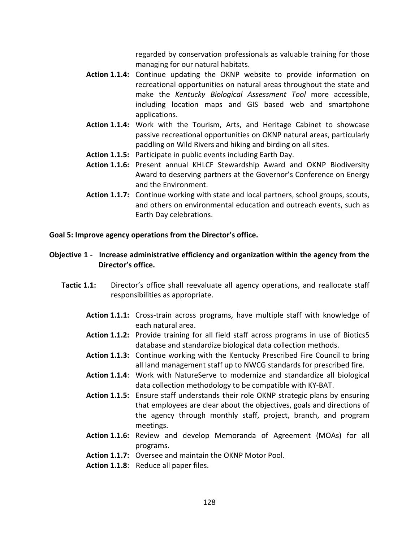regarded by conservation professionals as valuable training for those managing for our natural habitats.

- Action 1.1.4: Continue updating the OKNP website to provide information on recreational opportunities on natural areas throughout the state and make the Kentucky Biological Assessment Tool more accessible, including location maps and GIS based web and smartphone applications.
- Action 1.1.4: Work with the Tourism, Arts, and Heritage Cabinet to showcase passive recreational opportunities on OKNP natural areas, particularly paddling on Wild Rivers and hiking and birding on all sites.
- Action 1.1.5: Participate in public events including Earth Day.
- Action 1.1.6: Present annual KHLCF Stewardship Award and OKNP Biodiversity Award to deserving partners at the Governor's Conference on Energy and the Environment.
- Action 1.1.7: Continue working with state and local partners, school groups, scouts, and others on environmental education and outreach events, such as Earth Day celebrations.

#### Goal 5: Improve agency operations from the Director's office.

### Objective 1 - Increase administrative efficiency and organization within the agency from the Director's office.

- **Tactic 1.1:** Director's office shall reevaluate all agency operations, and reallocate staff responsibilities as appropriate.
	- Action 1.1.1: Cross-train across programs, have multiple staff with knowledge of each natural area.
	- Action 1.1.2: Provide training for all field staff across programs in use of Biotics5 database and standardize biological data collection methods.
	- Action 1.1.3: Continue working with the Kentucky Prescribed Fire Council to bring all land management staff up to NWCG standards for prescribed fire.
	- Action 1.1.4: Work with NatureServe to modernize and standardize all biological data collection methodology to be compatible with KY-BAT.
	- Action 1.1.5: Ensure staff understands their role OKNP strategic plans by ensuring that employees are clear about the objectives, goals and directions of the agency through monthly staff, project, branch, and program meetings.
	- Action 1.1.6: Review and develop Memoranda of Agreement (MOAs) for all programs.
	- Action 1.1.7: Oversee and maintain the OKNP Motor Pool.
	- Action 1.1.8: Reduce all paper files.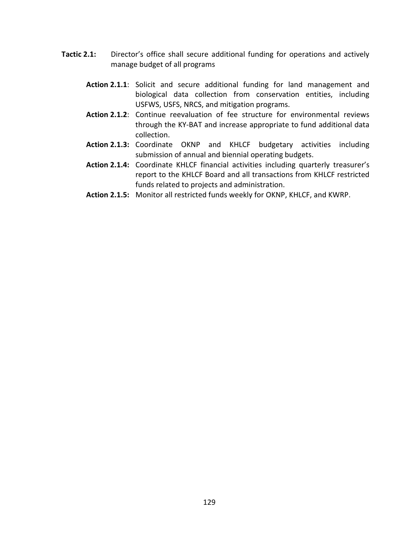- Tactic 2.1: Director's office shall secure additional funding for operations and actively manage budget of all programs
	- Action 2.1.1: Solicit and secure additional funding for land management and biological data collection from conservation entities, including USFWS, USFS, NRCS, and mitigation programs.
	- Action 2.1.2: Continue reevaluation of fee structure for environmental reviews through the KY-BAT and increase appropriate to fund additional data collection.
	- Action 2.1.3: Coordinate OKNP and KHLCF budgetary activities including submission of annual and biennial operating budgets.
	- Action 2.1.4: Coordinate KHLCF financial activities including quarterly treasurer's report to the KHLCF Board and all transactions from KHLCF restricted funds related to projects and administration.
	- Action 2.1.5: Monitor all restricted funds weekly for OKNP, KHLCF, and KWRP.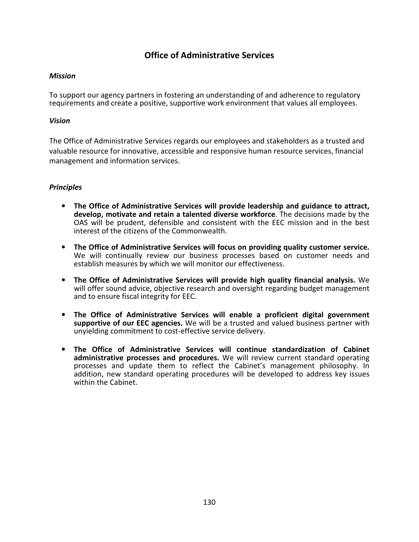## Office of Administrative Services

#### Mission

To support our agency partners in fostering an understanding of and adherence to regulatory requirements and create a positive, supportive work environment that values all employees.

#### Vision

The Office of Administrative Services regards our employees and stakeholders as a trusted and valuable resource for innovative, accessible and responsive human resource services, financial management and information services.

#### Principles

- The Office of Administrative Services will provide leadership and guidance to attract, develop, motivate and retain a talented diverse workforce. The decisions made by the OAS will be prudent, defensible and consistent with the EEC mission and in the best interest of the citizens of the Commonwealth.
- The Office of Administrative Services will focus on providing quality customer service. We will continually review our business processes based on customer needs and establish measures by which we will monitor our effectiveness.
- The Office of Administrative Services will provide high quality financial analysis. We will offer sound advice, objective research and oversight regarding budget management and to ensure fiscal integrity for EEC.
- The Office of Administrative Services will enable a proficient digital government supportive of our EEC agencies. We will be a trusted and valued business partner with unyielding commitment to cost-effective service delivery.
- The Office of Administrative Services will continue standardization of Cabinet administrative processes and procedures. We will review current standard operating processes and update them to reflect the Cabinet's management philosophy. In addition, new standard operating procedures will be developed to address key issues within the Cabinet.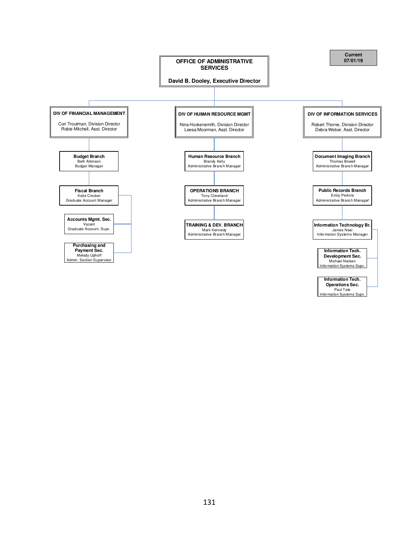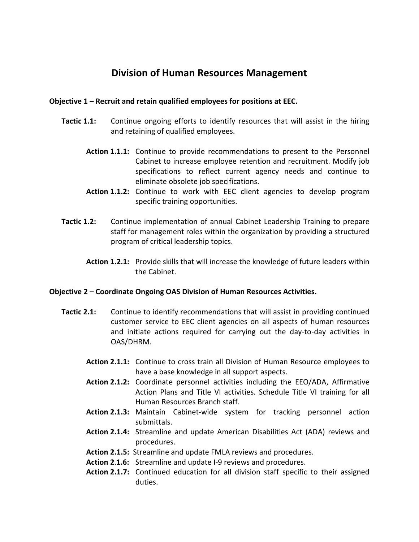## Division of Human Resources Management

#### Objective 1 – Recruit and retain qualified employees for positions at EEC.

- **Tactic 1.1:** Continue ongoing efforts to identify resources that will assist in the hiring and retaining of qualified employees.
	- Action 1.1.1: Continue to provide recommendations to present to the Personnel Cabinet to increase employee retention and recruitment. Modify job specifications to reflect current agency needs and continue to eliminate obsolete job specifications.
	- Action 1.1.2: Continue to work with EEC client agencies to develop program specific training opportunities.
- Tactic 1.2: Continue implementation of annual Cabinet Leadership Training to prepare staff for management roles within the organization by providing a structured program of critical leadership topics.
	- Action 1.2.1: Provide skills that will increase the knowledge of future leaders within the Cabinet.

#### Objective 2 – Coordinate Ongoing OAS Division of Human Resources Activities.

- Tactic 2.1: Continue to identify recommendations that will assist in providing continued customer service to EEC client agencies on all aspects of human resources and initiate actions required for carrying out the day-to-day activities in OAS/DHRM.
	- Action 2.1.1: Continue to cross train all Division of Human Resource employees to have a base knowledge in all support aspects.
	- Action 2.1.2: Coordinate personnel activities including the EEO/ADA, Affirmative Action Plans and Title VI activities. Schedule Title VI training for all Human Resources Branch staff.
	- Action 2.1.3: Maintain Cabinet-wide system for tracking personnel action submittals.
	- Action 2.1.4: Streamline and update American Disabilities Act (ADA) reviews and procedures.
	- Action 2.1.5: Streamline and update FMLA reviews and procedures.
	- Action 2.1.6: Streamline and update I-9 reviews and procedures.
	- Action 2.1.7: Continued education for all division staff specific to their assigned duties.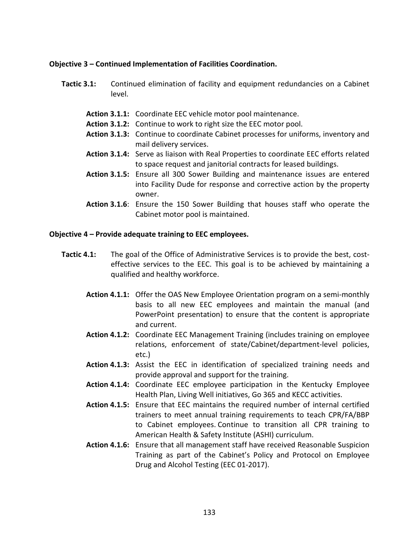#### Objective 3 – Continued Implementation of Facilities Coordination.

- Tactic 3.1: Continued elimination of facility and equipment redundancies on a Cabinet level.
	- Action 3.1.1: Coordinate EEC vehicle motor pool maintenance.
	- Action 3.1.2: Continue to work to right size the EEC motor pool.
	- Action 3.1.3: Continue to coordinate Cabinet processes for uniforms, inventory and mail delivery services.
	- Action 3.1.4: Serve as liaison with Real Properties to coordinate EEC efforts related to space request and janitorial contracts for leased buildings.
	- Action 3.1.5: Ensure all 300 Sower Building and maintenance issues are entered into Facility Dude for response and corrective action by the property owner.
	- Action 3.1.6: Ensure the 150 Sower Building that houses staff who operate the Cabinet motor pool is maintained.

#### Objective 4 – Provide adequate training to EEC employees.

- **Tactic 4.1:** The goal of the Office of Administrative Services is to provide the best, costeffective services to the EEC. This goal is to be achieved by maintaining a qualified and healthy workforce.
	- Action 4.1.1: Offer the OAS New Employee Orientation program on a semi-monthly basis to all new EEC employees and maintain the manual (and PowerPoint presentation) to ensure that the content is appropriate and current.
	- Action 4.1.2: Coordinate EEC Management Training (includes training on employee relations, enforcement of state/Cabinet/department-level policies, etc.)
	- Action 4.1.3: Assist the EEC in identification of specialized training needs and provide approval and support for the training.
	- Action 4.1.4: Coordinate EEC employee participation in the Kentucky Employee Health Plan, Living Well initiatives, Go 365 and KECC activities.
	- Action 4.1.5: Ensure that EEC maintains the required number of internal certified trainers to meet annual training requirements to teach CPR/FA/BBP to Cabinet employees. Continue to transition all CPR training to American Health & Safety Institute (ASHI) curriculum.
	- Action 4.1.6: Ensure that all management staff have received Reasonable Suspicion Training as part of the Cabinet's Policy and Protocol on Employee Drug and Alcohol Testing (EEC 01-2017).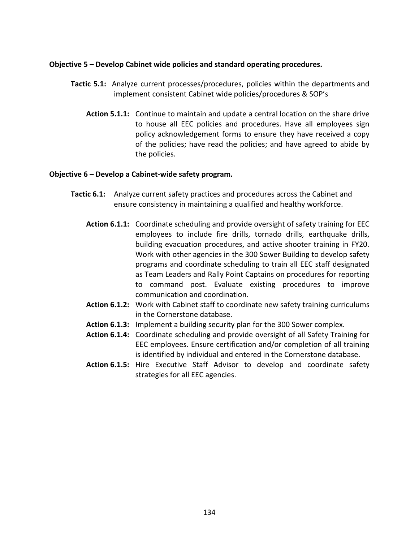#### Objective 5 – Develop Cabinet wide policies and standard operating procedures.

- Tactic 5.1: Analyze current processes/procedures, policies within the departments and implement consistent Cabinet wide policies/procedures & SOP's
	- Action 5.1.1: Continue to maintain and update a central location on the share drive to house all EEC policies and procedures. Have all employees sign policy acknowledgement forms to ensure they have received a copy of the policies; have read the policies; and have agreed to abide by the policies.

#### Objective 6 – Develop a Cabinet-wide safety program.

- Tactic 6.1: Analyze current safety practices and procedures across the Cabinet and ensure consistency in maintaining a qualified and healthy workforce.
	- Action 6.1.1: Coordinate scheduling and provide oversight of safety training for EEC employees to include fire drills, tornado drills, earthquake drills, building evacuation procedures, and active shooter training in FY20. Work with other agencies in the 300 Sower Building to develop safety programs and coordinate scheduling to train all EEC staff designated as Team Leaders and Rally Point Captains on procedures for reporting to command post. Evaluate existing procedures to improve communication and coordination.
	- Action 6.1.2: Work with Cabinet staff to coordinate new safety training curriculums in the Cornerstone database.
	- Action 6.1.3: Implement a building security plan for the 300 Sower complex.
	- Action 6.1.4: Coordinate scheduling and provide oversight of all Safety Training for EEC employees. Ensure certification and/or completion of all training is identified by individual and entered in the Cornerstone database.
	- Action 6.1.5: Hire Executive Staff Advisor to develop and coordinate safety strategies for all EEC agencies.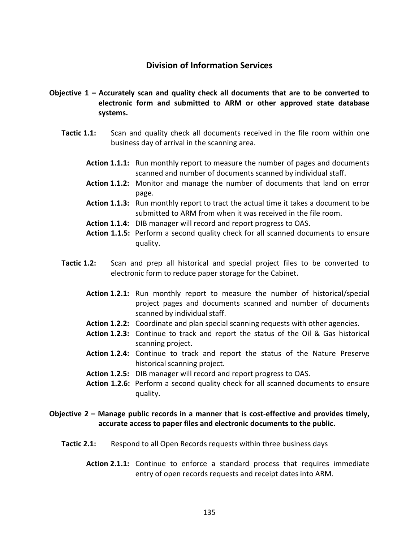## Division of Information Services

- Objective 1 Accurately scan and quality check all documents that are to be converted to electronic form and submitted to ARM or other approved state database systems.
	- **Tactic 1.1:** Scan and quality check all documents received in the file room within one business day of arrival in the scanning area.
		- Action 1.1.1: Run monthly report to measure the number of pages and documents scanned and number of documents scanned by individual staff.
		- Action 1.1.2: Monitor and manage the number of documents that land on error page.
		- Action 1.1.3: Run monthly report to tract the actual time it takes a document to be submitted to ARM from when it was received in the file room.
		- Action 1.1.4: DIB manager will record and report progress to OAS.
		- Action 1.1.5: Perform a second quality check for all scanned documents to ensure quality.
	- Tactic 1.2: Scan and prep all historical and special project files to be converted to electronic form to reduce paper storage for the Cabinet.
		- Action 1.2.1: Run monthly report to measure the number of historical/special project pages and documents scanned and number of documents scanned by individual staff.
		- Action 1.2.2: Coordinate and plan special scanning requests with other agencies.
		- Action 1.2.3: Continue to track and report the status of the Oil & Gas historical scanning project.
		- Action 1.2.4: Continue to track and report the status of the Nature Preserve historical scanning project.
		- Action 1.2.5: DIB manager will record and report progress to OAS.
		- Action 1.2.6: Perform a second quality check for all scanned documents to ensure quality.

### Objective 2 – Manage public records in a manner that is cost-effective and provides timely, accurate access to paper files and electronic documents to the public.

- Tactic 2.1: Respond to all Open Records requests within three business days
	- Action 2.1.1: Continue to enforce a standard process that requires immediate entry of open records requests and receipt dates into ARM.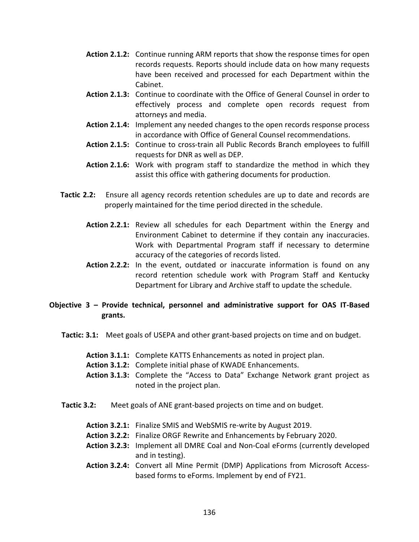- Action 2.1.2: Continue running ARM reports that show the response times for open records requests. Reports should include data on how many requests have been received and processed for each Department within the Cabinet.
- Action 2.1.3: Continue to coordinate with the Office of General Counsel in order to effectively process and complete open records request from attorneys and media.
- Action 2.1.4: Implement any needed changes to the open records response process in accordance with Office of General Counsel recommendations.
- Action 2.1.5: Continue to cross-train all Public Records Branch employees to fulfill requests for DNR as well as DEP.
- Action 2.1.6: Work with program staff to standardize the method in which they assist this office with gathering documents for production.
- Tactic 2.2: Ensure all agency records retention schedules are up to date and records are properly maintained for the time period directed in the schedule.
	- Action 2.2.1: Review all schedules for each Department within the Energy and Environment Cabinet to determine if they contain any inaccuracies. Work with Departmental Program staff if necessary to determine accuracy of the categories of records listed.
	- Action 2.2.2: In the event, outdated or inaccurate information is found on any record retention schedule work with Program Staff and Kentucky Department for Library and Archive staff to update the schedule.

## Objective 3 – Provide technical, personnel and administrative support for OAS IT-Based grants.

- Tactic: 3.1: Meet goals of USEPA and other grant-based projects on time and on budget.
	- Action 3.1.1: Complete KATTS Enhancements as noted in project plan.
	- Action 3.1.2: Complete initial phase of KWADE Enhancements.
	- Action 3.1.3: Complete the "Access to Data" Exchange Network grant project as noted in the project plan.
- Tactic 3.2: Meet goals of ANE grant-based projects on time and on budget.
	- Action 3.2.1: Finalize SMIS and WebSMIS re-write by August 2019.
	- Action 3.2.2: Finalize ORGF Rewrite and Enhancements by February 2020.
	- Action 3.2.3: Implement all DMRE Coal and Non-Coal eForms (currently developed and in testing).
	- Action 3.2.4: Convert all Mine Permit (DMP) Applications from Microsoft Accessbased forms to eForms. Implement by end of FY21.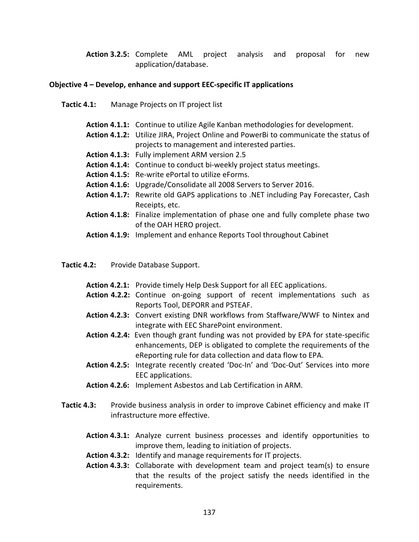Action 3.2.5: Complete AML project analysis and proposal for new application/database.

#### Objective 4 – Develop, enhance and support EEC-specific IT applications

- Tactic 4.1: Manage Projects on IT project list
	- Action 4.1.1: Continue to utilize Agile Kanban methodologies for development.
	- Action 4.1.2: Utilize JIRA, Project Online and PowerBi to communicate the status of projects to management and interested parties.
	- Action 4.1.3: Fully implement ARM version 2.5
	- Action 4.1.4: Continue to conduct bi-weekly project status meetings.
	- Action 4.1.5: Re-write ePortal to utilize eForms.
	- Action 4.1.6: Upgrade/Consolidate all 2008 Servers to Server 2016.
	- Action 4.1.7: Rewrite old GAPS applications to .NET including Pay Forecaster, Cash Receipts, etc.
	- Action 4.1.8: Finalize implementation of phase one and fully complete phase two of the OAH HERO project.
	- Action 4.1.9: Implement and enhance Reports Tool throughout Cabinet

Tactic 4.2: Provide Database Support.

- Action 4.2.1: Provide timely Help Desk Support for all EEC applications.
- Action 4.2.2: Continue on-going support of recent implementations such as Reports Tool, DEPORR and PSTEAF.
- Action 4.2.3: Convert existing DNR workflows from Staffware/WWF to Nintex and integrate with EEC SharePoint environment.
- Action 4.2.4: Even though grant funding was not provided by EPA for state-specific enhancements, DEP is obligated to complete the requirements of the eReporting rule for data collection and data flow to EPA.
- Action 4.2.5: Integrate recently created 'Doc-In' and 'Doc-Out' Services into more EEC applications.
- Action 4.2.6: Implement Asbestos and Lab Certification in ARM.
- Tactic 4.3: Provide business analysis in order to improve Cabinet efficiency and make IT infrastructure more effective.
	- Action 4.3.1: Analyze current business processes and identify opportunities to improve them, leading to initiation of projects.
	- Action 4.3.2: Identify and manage requirements for IT projects.
	- Action 4.3.3: Collaborate with development team and project team(s) to ensure that the results of the project satisfy the needs identified in the requirements.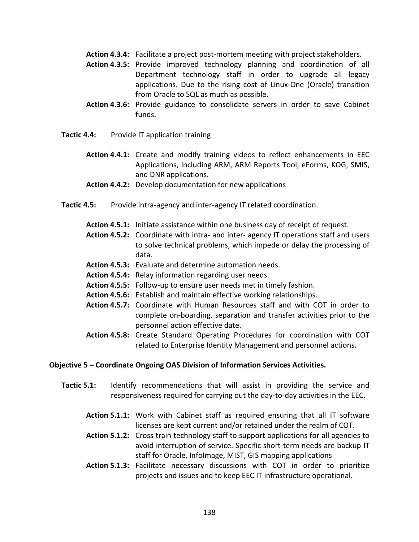- Action 4.3.4: Facilitate a project post-mortem meeting with project stakeholders.
- Action 4.3.5: Provide improved technology planning and coordination of all Department technology staff in order to upgrade all legacy applications. Due to the rising cost of Linux-One (Oracle) transition from Oracle to SQL as much as possible.
- Action 4.3.6: Provide guidance to consolidate servers in order to save Cabinet funds.
- Tactic 4.4: Provide IT application training
	- Action 4.4.1: Create and modify training videos to reflect enhancements in EEC Applications, including ARM, ARM Reports Tool, eForms, KOG, SMIS, and DNR applications.
	- Action 4.4.2: Develop documentation for new applications
- Tactic 4.5: Provide intra-agency and inter-agency IT related coordination.
	- Action 4.5.1: Initiate assistance within one business day of receipt of request.
	- Action 4.5.2: Coordinate with intra- and inter- agency IT operations staff and users to solve technical problems, which impede or delay the processing of data.
	- Action 4.5.3: Evaluate and determine automation needs.
	- Action 4.5.4: Relay information regarding user needs.
	- Action 4.5.5: Follow-up to ensure user needs met in timely fashion.
	- Action 4.5.6: Establish and maintain effective working relationships.
	- Action 4.5.7: Coordinate with Human Resources staff and with COT in order to complete on-boarding, separation and transfer activities prior to the personnel action effective date.
	- Action 4.5.8: Create Standard Operating Procedures for coordination with COT related to Enterprise Identity Management and personnel actions.

#### Objective 5 – Coordinate Ongoing OAS Division of Information Services Activities.

- Tactic 5.1: Identify recommendations that will assist in providing the service and responsiveness required for carrying out the day-to-day activities in the EEC.
	- Action 5.1.1: Work with Cabinet staff as required ensuring that all IT software licenses are kept current and/or retained under the realm of COT.
	- Action 5.1.2: Cross train technology staff to support applications for all agencies to avoid interruption of service. Specific short-term needs are backup IT staff for Oracle, InfoImage, MIST, GIS mapping applications
	- Action 5.1.3: Facilitate necessary discussions with COT in order to prioritize projects and issues and to keep EEC IT infrastructure operational.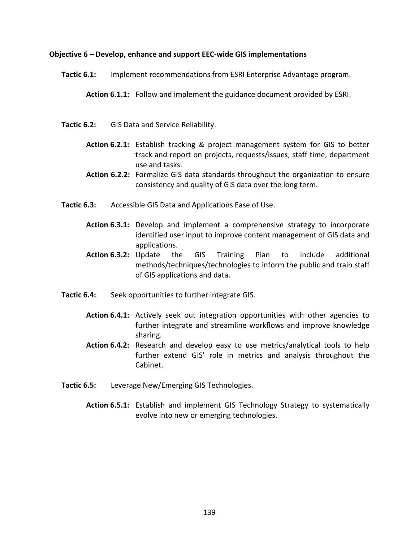#### Objective 6 – Develop, enhance and support EEC-wide GIS implementations

Tactic 6.1: Implement recommendations from ESRI Enterprise Advantage program.

Action 6.1.1: Follow and implement the guidance document provided by ESRI.

- Tactic 6.2: GIS Data and Service Reliability.
	- Action 6.2.1: Establish tracking & project management system for GIS to better track and report on projects, requests/issues, staff time, department use and tasks.
	- Action 6.2.2: Formalize GIS data standards throughout the organization to ensure consistency and quality of GIS data over the long term.
- Tactic 6.3: Accessible GIS Data and Applications Ease of Use.
	- Action 6.3.1: Develop and implement a comprehensive strategy to incorporate identified user input to improve content management of GIS data and applications.
	- Action 6.3.2: Update the GIS Training Plan to include additional methods/techniques/technologies to inform the public and train staff of GIS applications and data.
- Tactic 6.4: Seek opportunities to further integrate GIS.
	- Action 6.4.1: Actively seek out integration opportunities with other agencies to further integrate and streamline workflows and improve knowledge sharing.
	- Action 6.4.2: Research and develop easy to use metrics/analytical tools to help further extend GIS' role in metrics and analysis throughout the Cabinet.
- Tactic 6.5: Leverage New/Emerging GIS Technologies.
	- Action 6.5.1: Establish and implement GIS Technology Strategy to systematically evolve into new or emerging technologies.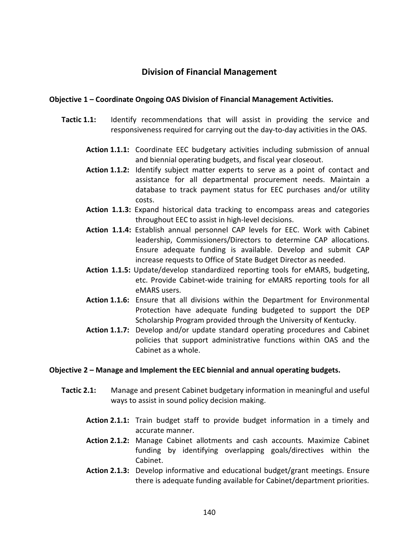## Division of Financial Management

#### Objective 1 – Coordinate Ongoing OAS Division of Financial Management Activities.

- **Tactic 1.1:** Identify recommendations that will assist in providing the service and responsiveness required for carrying out the day-to-day activities in the OAS.
	- Action 1.1.1: Coordinate EEC budgetary activities including submission of annual and biennial operating budgets, and fiscal year closeout.
	- Action 1.1.2: Identify subject matter experts to serve as a point of contact and assistance for all departmental procurement needs. Maintain a database to track payment status for EEC purchases and/or utility costs.
	- Action 1.1.3: Expand historical data tracking to encompass areas and categories throughout EEC to assist in high-level decisions.
	- Action 1.1.4: Establish annual personnel CAP levels for EEC. Work with Cabinet leadership, Commissioners/Directors to determine CAP allocations. Ensure adequate funding is available. Develop and submit CAP increase requests to Office of State Budget Director as needed.
	- Action 1.1.5: Update/develop standardized reporting tools for eMARS, budgeting, etc. Provide Cabinet-wide training for eMARS reporting tools for all eMARS users.
	- Action 1.1.6: Ensure that all divisions within the Department for Environmental Protection have adequate funding budgeted to support the DEP Scholarship Program provided through the University of Kentucky.
	- Action 1.1.7: Develop and/or update standard operating procedures and Cabinet policies that support administrative functions within OAS and the Cabinet as a whole.

#### Objective 2 – Manage and Implement the EEC biennial and annual operating budgets.

- Tactic 2.1: Manage and present Cabinet budgetary information in meaningful and useful ways to assist in sound policy decision making.
	- Action 2.1.1: Train budget staff to provide budget information in a timely and accurate manner.
	- Action 2.1.2: Manage Cabinet allotments and cash accounts. Maximize Cabinet funding by identifying overlapping goals/directives within the Cabinet.
	- Action 2.1.3: Develop informative and educational budget/grant meetings. Ensure there is adequate funding available for Cabinet/department priorities.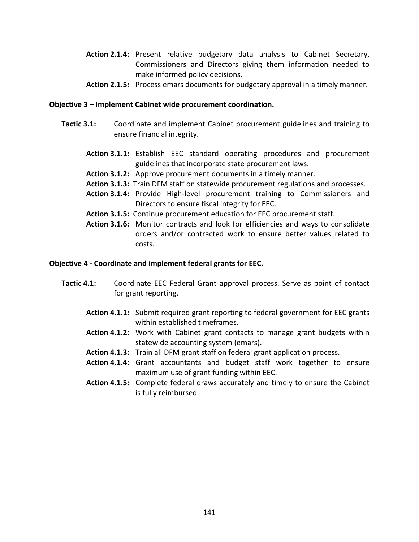- Action 2.1.4: Present relative budgetary data analysis to Cabinet Secretary, Commissioners and Directors giving them information needed to make informed policy decisions.
- Action 2.1.5: Process emars documents for budgetary approval in a timely manner.

#### Objective 3 – Implement Cabinet wide procurement coordination.

- Tactic 3.1: Coordinate and implement Cabinet procurement guidelines and training to ensure financial integrity.
	- Action 3.1.1: Establish EEC standard operating procedures and procurement guidelines that incorporate state procurement laws.
	- Action 3.1.2: Approve procurement documents in a timely manner.
	- Action 3.1.3: Train DFM staff on statewide procurement regulations and processes.
	- Action 3.1.4: Provide High-level procurement training to Commissioners and Directors to ensure fiscal integrity for EEC.
	- Action 3.1.5: Continue procurement education for EEC procurement staff.
	- Action 3.1.6: Monitor contracts and look for efficiencies and ways to consolidate orders and/or contracted work to ensure better values related to costs.

#### Objective 4 - Coordinate and implement federal grants for EEC.

- Tactic 4.1: Coordinate EEC Federal Grant approval process. Serve as point of contact for grant reporting.
	- Action 4.1.1: Submit required grant reporting to federal government for EEC grants within established timeframes.
	- Action 4.1.2: Work with Cabinet grant contacts to manage grant budgets within statewide accounting system (emars).
	- Action 4.1.3: Train all DFM grant staff on federal grant application process.
	- Action 4.1.4: Grant accountants and budget staff work together to ensure maximum use of grant funding within EEC.
	- Action 4.1.5: Complete federal draws accurately and timely to ensure the Cabinet is fully reimbursed.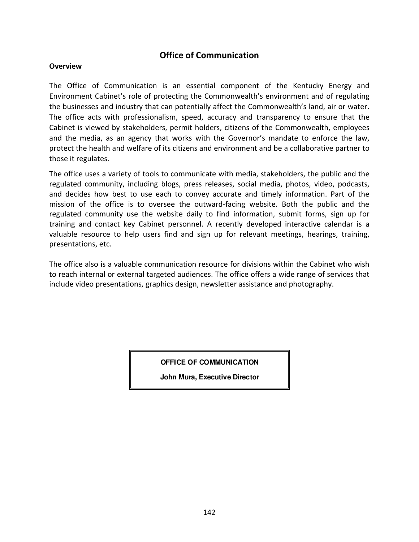## Office of Communication

#### **Overview**

The Office of Communication is an essential component of the Kentucky Energy and Environment Cabinet's role of protecting the Commonwealth's environment and of regulating the businesses and industry that can potentially affect the Commonwealth's land, air or water. The office acts with professionalism, speed, accuracy and transparency to ensure that the Cabinet is viewed by stakeholders, permit holders, citizens of the Commonwealth, employees and the media, as an agency that works with the Governor's mandate to enforce the law, protect the health and welfare of its citizens and environment and be a collaborative partner to those it regulates.

The office uses a variety of tools to communicate with media, stakeholders, the public and the regulated community, including blogs, press releases, social media, photos, video, podcasts, and decides how best to use each to convey accurate and timely information. Part of the mission of the office is to oversee the outward-facing website. Both the public and the regulated community use the website daily to find information, submit forms, sign up for training and contact key Cabinet personnel. A recently developed interactive calendar is a valuable resource to help users find and sign up for relevant meetings, hearings, training, presentations, etc.

The office also is a valuable communication resource for divisions within the Cabinet who wish to reach internal or external targeted audiences. The office offers a wide range of services that include video presentations, graphics design, newsletter assistance and photography.

**OFFICE OF COMMUNICATION**

**John Mura, Executive Director**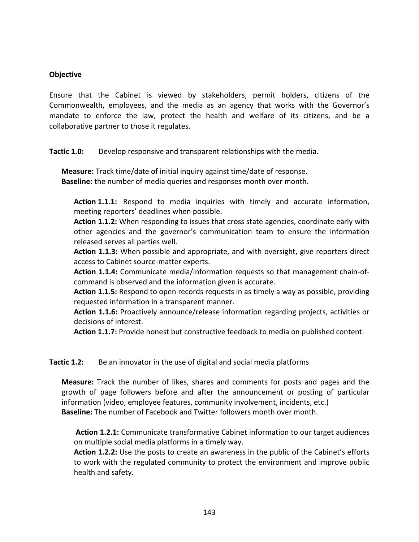#### **Objective**

Ensure that the Cabinet is viewed by stakeholders, permit holders, citizens of the Commonwealth, employees, and the media as an agency that works with the Governor's mandate to enforce the law, protect the health and welfare of its citizens, and be a collaborative partner to those it regulates.

Tactic 1.0: Develop responsive and transparent relationships with the media.

Measure: Track time/date of initial inquiry against time/date of response. Baseline: the number of media queries and responses month over month.

Action 1.1.1: Respond to media inquiries with timely and accurate information, meeting reporters' deadlines when possible.

Action 1.1.2: When responding to issues that cross state agencies, coordinate early with other agencies and the governor's communication team to ensure the information released serves all parties well.

Action 1.1.3: When possible and appropriate, and with oversight, give reporters direct access to Cabinet source-matter experts.

Action 1.1.4: Communicate media/information requests so that management chain-ofcommand is observed and the information given is accurate.

Action 1.1.5: Respond to open records requests in as timely a way as possible, providing requested information in a transparent manner.

Action 1.1.6: Proactively announce/release information regarding projects, activities or decisions of interest.

Action 1.1.7: Provide honest but constructive feedback to media on published content.

Tactic 1.2: Be an innovator in the use of digital and social media platforms

Measure: Track the number of likes, shares and comments for posts and pages and the growth of page followers before and after the announcement or posting of particular information (video, employee features, community involvement, incidents, etc.) Baseline: The number of Facebook and Twitter followers month over month.

Action 1.2.1: Communicate transformative Cabinet information to our target audiences on multiple social media platforms in a timely way.

Action 1.2.2: Use the posts to create an awareness in the public of the Cabinet's efforts to work with the regulated community to protect the environment and improve public health and safety.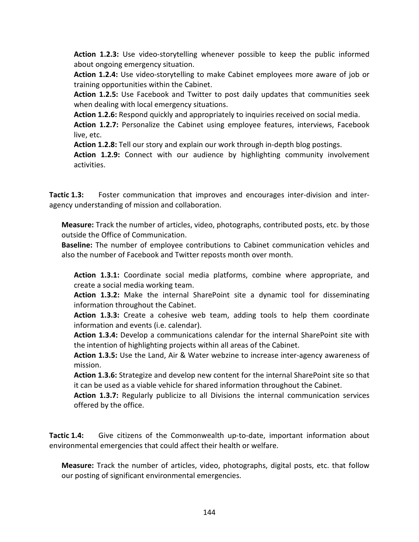Action 1.2.3: Use video-storytelling whenever possible to keep the public informed about ongoing emergency situation.

Action 1.2.4: Use video-storytelling to make Cabinet employees more aware of job or training opportunities within the Cabinet.

Action 1.2.5: Use Facebook and Twitter to post daily updates that communities seek when dealing with local emergency situations.

Action 1.2.6: Respond quickly and appropriately to inquiries received on social media.

Action 1.2.7: Personalize the Cabinet using employee features, interviews, Facebook live, etc.

Action 1.2.8: Tell our story and explain our work through in-depth blog postings.

Action 1.2.9: Connect with our audience by highlighting community involvement activities.

Tactic 1.3: Foster communication that improves and encourages inter-division and interagency understanding of mission and collaboration.

Measure: Track the number of articles, video, photographs, contributed posts, etc. by those outside the Office of Communication.

Baseline: The number of employee contributions to Cabinet communication vehicles and also the number of Facebook and Twitter reposts month over month.

Action 1.3.1: Coordinate social media platforms, combine where appropriate, and create a social media working team.

Action 1.3.2: Make the internal SharePoint site a dynamic tool for disseminating information throughout the Cabinet.

Action 1.3.3: Create a cohesive web team, adding tools to help them coordinate information and events (i.e. calendar).

Action 1.3.4: Develop a communications calendar for the internal SharePoint site with the intention of highlighting projects within all areas of the Cabinet.

Action 1.3.5: Use the Land, Air & Water webzine to increase inter-agency awareness of mission.

Action 1.3.6: Strategize and develop new content for the internal SharePoint site so that it can be used as a viable vehicle for shared information throughout the Cabinet.

Action 1.3.7: Regularly publicize to all Divisions the internal communication services offered by the office.

Tactic 1.4: Give citizens of the Commonwealth up-to-date, important information about environmental emergencies that could affect their health or welfare.

Measure: Track the number of articles, video, photographs, digital posts, etc. that follow our posting of significant environmental emergencies.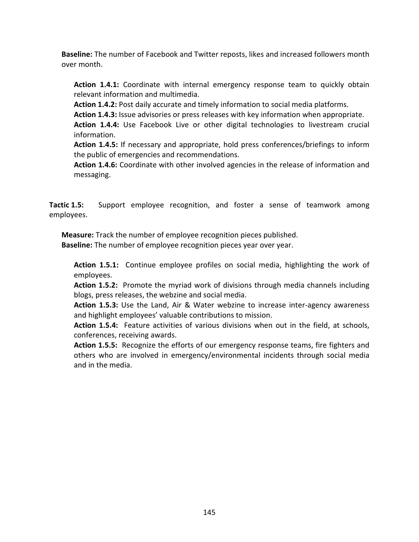Baseline: The number of Facebook and Twitter reposts, likes and increased followers month over month.

Action 1.4.1: Coordinate with internal emergency response team to quickly obtain relevant information and multimedia.

Action 1.4.2: Post daily accurate and timely information to social media platforms.

Action 1.4.3: Issue advisories or press releases with key information when appropriate.

Action 1.4.4: Use Facebook Live or other digital technologies to livestream crucial information.

Action 1.4.5: If necessary and appropriate, hold press conferences/briefings to inform the public of emergencies and recommendations.

Action 1.4.6: Coordinate with other involved agencies in the release of information and messaging.

Tactic 1.5: Support employee recognition, and foster a sense of teamwork among employees.

Measure: Track the number of employee recognition pieces published.

Baseline: The number of employee recognition pieces year over year.

Action 1.5.1: Continue employee profiles on social media, highlighting the work of employees.

Action 1.5.2: Promote the myriad work of divisions through media channels including blogs, press releases, the webzine and social media.

Action 1.5.3: Use the Land, Air & Water webzine to increase inter-agency awareness and highlight employees' valuable contributions to mission.

Action 1.5.4: Feature activities of various divisions when out in the field, at schools, conferences, receiving awards.

Action 1.5.5: Recognize the efforts of our emergency response teams, fire fighters and others who are involved in emergency/environmental incidents through social media and in the media.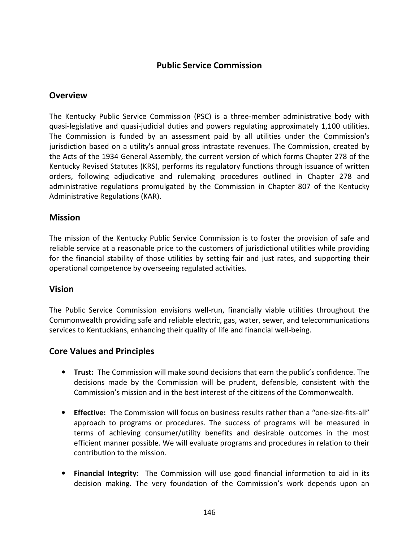# Public Service Commission

# **Overview**

The Kentucky Public Service Commission (PSC) is a three-member administrative body with quasi-legislative and quasi-judicial duties and powers regulating approximately 1,100 utilities. The Commission is funded by an assessment paid by all utilities under the Commission's jurisdiction based on a utility's annual gross intrastate revenues. The Commission, created by the Acts of the 1934 General Assembly, the current version of which forms Chapter 278 of the Kentucky Revised Statutes (KRS), performs its regulatory functions through issuance of written orders, following adjudicative and rulemaking procedures outlined in Chapter 278 and administrative regulations promulgated by the Commission in Chapter 807 of the Kentucky Administrative Regulations (KAR).

# **Mission**

The mission of the Kentucky Public Service Commission is to foster the provision of safe and reliable service at a reasonable price to the customers of jurisdictional utilities while providing for the financial stability of those utilities by setting fair and just rates, and supporting their operational competence by overseeing regulated activities.

# Vision

The Public Service Commission envisions well-run, financially viable utilities throughout the Commonwealth providing safe and reliable electric, gas, water, sewer, and telecommunications services to Kentuckians, enhancing their quality of life and financial well-being.

# Core Values and Principles

- **Trust:** The Commission will make sound decisions that earn the public's confidence. The decisions made by the Commission will be prudent, defensible, consistent with the Commission's mission and in the best interest of the citizens of the Commonwealth.
- Effective: The Commission will focus on business results rather than a "one-size-fits-all" approach to programs or procedures. The success of programs will be measured in terms of achieving consumer/utility benefits and desirable outcomes in the most efficient manner possible. We will evaluate programs and procedures in relation to their contribution to the mission.
- Financial Integrity: The Commission will use good financial information to aid in its decision making. The very foundation of the Commission's work depends upon an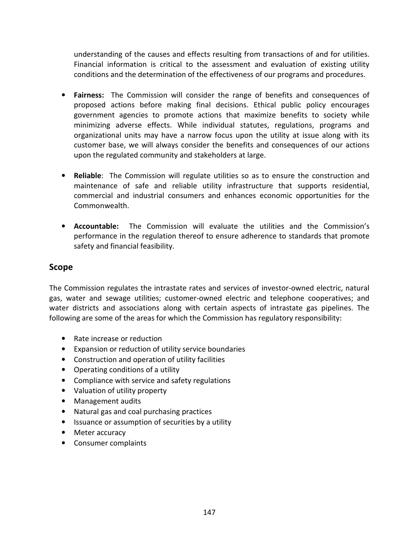understanding of the causes and effects resulting from transactions of and for utilities. Financial information is critical to the assessment and evaluation of existing utility conditions and the determination of the effectiveness of our programs and procedures.

- Fairness: The Commission will consider the range of benefits and consequences of proposed actions before making final decisions. Ethical public policy encourages government agencies to promote actions that maximize benefits to society while minimizing adverse effects. While individual statutes, regulations, programs and organizational units may have a narrow focus upon the utility at issue along with its customer base, we will always consider the benefits and consequences of our actions upon the regulated community and stakeholders at large.
- Reliable: The Commission will regulate utilities so as to ensure the construction and maintenance of safe and reliable utility infrastructure that supports residential, commercial and industrial consumers and enhances economic opportunities for the Commonwealth.
- Accountable: The Commission will evaluate the utilities and the Commission's performance in the regulation thereof to ensure adherence to standards that promote safety and financial feasibility.

# Scope

The Commission regulates the intrastate rates and services of investor-owned electric, natural gas, water and sewage utilities; customer-owned electric and telephone cooperatives; and water districts and associations along with certain aspects of intrastate gas pipelines. The following are some of the areas for which the Commission has regulatory responsibility:

- Rate increase or reduction
- Expansion or reduction of utility service boundaries
- Construction and operation of utility facilities
- Operating conditions of a utility
- Compliance with service and safety regulations
- Valuation of utility property
- Management audits
- Natural gas and coal purchasing practices
- Issuance or assumption of securities by a utility
- Meter accuracy
- Consumer complaints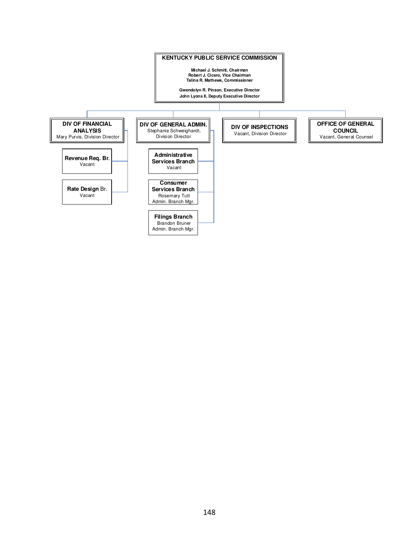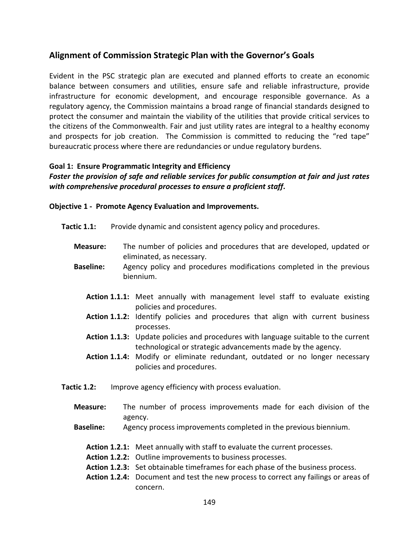# Alignment of Commission Strategic Plan with the Governor's Goals

Evident in the PSC strategic plan are executed and planned efforts to create an economic balance between consumers and utilities, ensure safe and reliable infrastructure, provide infrastructure for economic development, and encourage responsible governance. As a regulatory agency, the Commission maintains a broad range of financial standards designed to protect the consumer and maintain the viability of the utilities that provide critical services to the citizens of the Commonwealth. Fair and just utility rates are integral to a healthy economy and prospects for job creation. The Commission is committed to reducing the "red tape" bureaucratic process where there are redundancies or undue regulatory burdens.

## Goal 1: Ensure Programmatic Integrity and Efficiency

## Foster the provision of safe and reliable services for public consumption at fair and just rates with comprehensive procedural processes to ensure a proficient staff.

Objective 1 - Promote Agency Evaluation and Improvements.

- Tactic 1.1: Provide dynamic and consistent agency policy and procedures.
	- Measure: The number of policies and procedures that are developed, updated or eliminated, as necessary.
	- Baseline: Agency policy and procedures modifications completed in the previous biennium.
		- Action 1.1.1: Meet annually with management level staff to evaluate existing policies and procedures.
		- Action 1.1.2: Identify policies and procedures that align with current business processes.
		- Action 1.1.3: Update policies and procedures with language suitable to the current technological or strategic advancements made by the agency.
		- Action 1.1.4: Modify or eliminate redundant, outdated or no longer necessary policies and procedures.
- Tactic 1.2: Improve agency efficiency with process evaluation.
	- Measure: The number of process improvements made for each division of the agency.
	- Baseline: Agency process improvements completed in the previous biennium.
		- Action 1.2.1: Meet annually with staff to evaluate the current processes.
		- Action 1.2.2: Outline improvements to business processes.
		- Action 1.2.3: Set obtainable timeframes for each phase of the business process.
		- Action 1.2.4: Document and test the new process to correct any failings or areas of concern.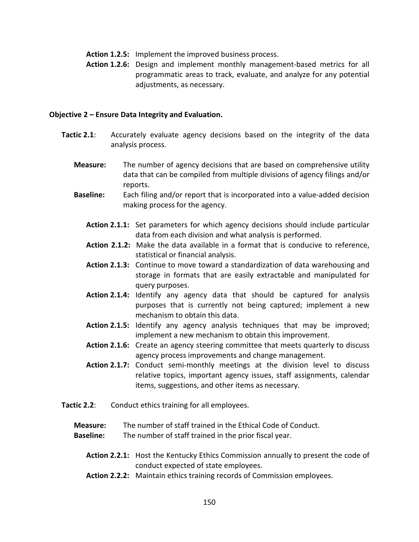- Action 1.2.5: Implement the improved business process.
- Action 1.2.6: Design and implement monthly management-based metrics for all programmatic areas to track, evaluate, and analyze for any potential adjustments, as necessary.

#### Objective 2 – Ensure Data Integrity and Evaluation.

- Tactic 2.1: Accurately evaluate agency decisions based on the integrity of the data analysis process.
	- **Measure:** The number of agency decisions that are based on comprehensive utility data that can be compiled from multiple divisions of agency filings and/or reports.
	- Baseline: Each filing and/or report that is incorporated into a value-added decision making process for the agency.
		- Action 2.1.1: Set parameters for which agency decisions should include particular data from each division and what analysis is performed.
		- Action 2.1.2: Make the data available in a format that is conducive to reference, statistical or financial analysis.
		- Action 2.1.3: Continue to move toward a standardization of data warehousing and storage in formats that are easily extractable and manipulated for query purposes.
		- Action 2.1.4: Identify any agency data that should be captured for analysis purposes that is currently not being captured; implement a new mechanism to obtain this data.
		- Action 2.1.5: Identify any agency analysis techniques that may be improved; implement a new mechanism to obtain this improvement.
		- Action 2.1.6: Create an agency steering committee that meets quarterly to discuss agency process improvements and change management.
		- Action 2.1.7: Conduct semi-monthly meetings at the division level to discuss relative topics, important agency issues, staff assignments, calendar items, suggestions, and other items as necessary.
- **Tactic 2.2:** Conduct ethics training for all employees.
	- Measure: The number of staff trained in the Ethical Code of Conduct.
	- **Baseline:** The number of staff trained in the prior fiscal year.
		- Action 2.2.1: Host the Kentucky Ethics Commission annually to present the code of conduct expected of state employees.
		- Action 2.2.2: Maintain ethics training records of Commission employees.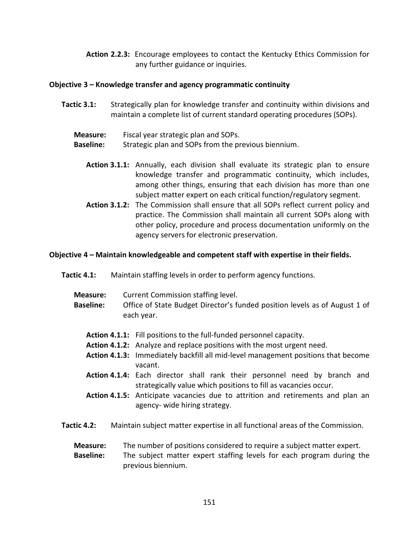Action 2.2.3: Encourage employees to contact the Kentucky Ethics Commission for any further guidance or inquiries.

## Objective 3 – Knowledge transfer and agency programmatic continuity

- Tactic 3.1: Strategically plan for knowledge transfer and continuity within divisions and maintain a complete list of current standard operating procedures (SOPs).
	- Measure: Fiscal year strategic plan and SOPs.
	- **Baseline:** Strategic plan and SOPs from the previous biennium.
		- Action 3.1.1: Annually, each division shall evaluate its strategic plan to ensure knowledge transfer and programmatic continuity, which includes, among other things, ensuring that each division has more than one subject matter expert on each critical function/regulatory segment.
		- Action 3.1.2: The Commission shall ensure that all SOPs reflect current policy and practice. The Commission shall maintain all current SOPs along with other policy, procedure and process documentation uniformly on the agency servers for electronic preservation.

#### Objective 4 – Maintain knowledgeable and competent staff with expertise in their fields.

- Tactic 4.1: Maintain staffing levels in order to perform agency functions.
	- Measure: Current Commission staffing level.
	- Baseline: Office of State Budget Director's funded position levels as of August 1 of each year.
		- Action 4.1.1: Fill positions to the full-funded personnel capacity.
		- Action 4.1.2: Analyze and replace positions with the most urgent need.
		- Action 4.1.3: Immediately backfill all mid-level management positions that become vacant.
		- Action 4.1.4: Each director shall rank their personnel need by branch and strategically value which positions to fill as vacancies occur.
		- Action 4.1.5: Anticipate vacancies due to attrition and retirements and plan an agency- wide hiring strategy.
- Tactic 4.2: Maintain subject matter expertise in all functional areas of the Commission.
	- Measure: The number of positions considered to require a subject matter expert.

**Baseline:** The subject matter expert staffing levels for each program during the previous biennium.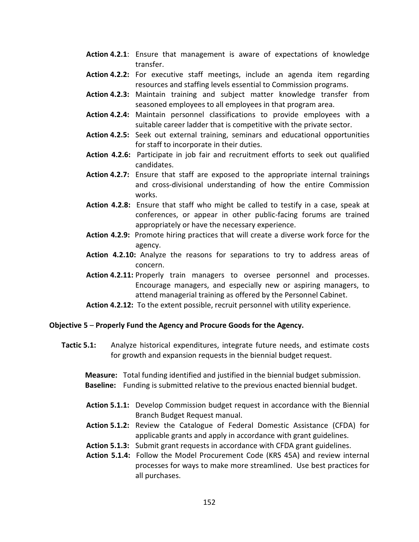- Action 4.2.1: Ensure that management is aware of expectations of knowledge transfer.
- Action 4.2.2: For executive staff meetings, include an agenda item regarding resources and staffing levels essential to Commission programs.
- Action 4.2.3: Maintain training and subject matter knowledge transfer from seasoned employees to all employees in that program area.
- Action 4.2.4: Maintain personnel classifications to provide employees with a suitable career ladder that is competitive with the private sector.
- Action 4.2.5: Seek out external training, seminars and educational opportunities for staff to incorporate in their duties.
- Action 4.2.6: Participate in job fair and recruitment efforts to seek out qualified candidates.
- Action 4.2.7: Ensure that staff are exposed to the appropriate internal trainings and cross-divisional understanding of how the entire Commission works.
- Action 4.2.8: Ensure that staff who might be called to testify in a case, speak at conferences, or appear in other public-facing forums are trained appropriately or have the necessary experience.
- Action 4.2.9: Promote hiring practices that will create a diverse work force for the agency.
- Action 4.2.10: Analyze the reasons for separations to try to address areas of concern.
- Action 4.2.11: Properly train managers to oversee personnel and processes. Encourage managers, and especially new or aspiring managers, to attend managerial training as offered by the Personnel Cabinet.
- Action 4.2.12: To the extent possible, recruit personnel with utility experience.

#### Objective 5 – Properly Fund the Agency and Procure Goods for the Agency.

Tactic 5.1: Analyze historical expenditures, integrate future needs, and estimate costs for growth and expansion requests in the biennial budget request.

 Measure: Total funding identified and justified in the biennial budget submission. Baseline: Funding is submitted relative to the previous enacted biennial budget.

- Action 5.1.1: Develop Commission budget request in accordance with the Biennial Branch Budget Request manual.
- Action 5.1.2: Review the Catalogue of Federal Domestic Assistance (CFDA) for applicable grants and apply in accordance with grant guidelines.
- Action 5.1.3: Submit grant requests in accordance with CFDA grant guidelines.
- Action 5.1.4: Follow the Model Procurement Code (KRS 45A) and review internal processes for ways to make more streamlined. Use best practices for all purchases.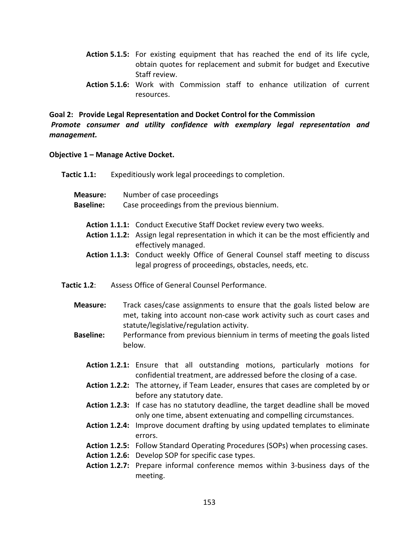- Action 5.1.5: For existing equipment that has reached the end of its life cycle, obtain quotes for replacement and submit for budget and Executive Staff review.
- Action 5.1.6: Work with Commission staff to enhance utilization of current resources.

Goal 2: Provide Legal Representation and Docket Control for the Commission Promote consumer and utility confidence with exemplary legal representation and management.

## Objective 1 – Manage Active Docket.

| Tactic 1.1:          | Expeditiously work legal proceedings to completion.                                                                                                                                           |
|----------------------|-----------------------------------------------------------------------------------------------------------------------------------------------------------------------------------------------|
| <b>Measure:</b>      | Number of case proceedings                                                                                                                                                                    |
| <b>Baseline:</b>     | Case proceedings from the previous biennium.                                                                                                                                                  |
|                      | Action 1.1.1: Conduct Executive Staff Docket review every two weeks.<br>Action 1.1.2: Assign legal representation in which it can be the most efficiently and<br>effectively managed.         |
|                      | Action 1.1.3: Conduct weekly Office of General Counsel staff meeting to discuss<br>legal progress of proceedings, obstacles, needs, etc.                                                      |
| Tactic 1.2:          | Assess Office of General Counsel Performance.                                                                                                                                                 |
| <b>Measure:</b>      | Track cases/case assignments to ensure that the goals listed below are<br>met, taking into account non-case work activity such as court cases and<br>statute/legislative/regulation activity. |
| <b>Baseline:</b>     | Performance from previous biennium in terms of meeting the goals listed<br>below.                                                                                                             |
|                      | Action 1.2.1: Ensure that all outstanding motions, particularly motions for<br>confidential treatment, are addressed before the closing of a case.                                            |
|                      | Action 1.2.2: The attorney, if Team Leader, ensures that cases are completed by or<br>before any statutory date.                                                                              |
|                      | Action 1.2.3: If case has no statutory deadline, the target deadline shall be moved<br>only one time, absent extenuating and compelling circumstances.                                        |
|                      | Action 1.2.4: Improve document drafting by using updated templates to eliminate<br>errors.                                                                                                    |
|                      | Action 1.2.5: Follow Standard Operating Procedures (SOPs) when processing cases.                                                                                                              |
| <b>Action 1.2.7:</b> | Action 1.2.6: Develop SOP for specific case types.<br>Prepare informal conference memos within 3-business days of the<br>meeting.                                                             |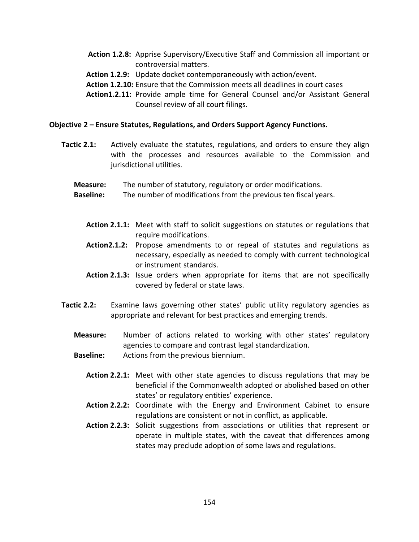- Action 1.2.8: Apprise Supervisory/Executive Staff and Commission all important or controversial matters.
- Action 1.2.9: Update docket contemporaneously with action/event.
- Action 1.2.10: Ensure that the Commission meets all deadlines in court cases
- Action1.2.11: Provide ample time for General Counsel and/or Assistant General Counsel review of all court filings.

#### Objective 2 – Ensure Statutes, Regulations, and Orders Support Agency Functions.

- **Tactic 2.1:** Actively evaluate the statutes, regulations, and orders to ensure they align with the processes and resources available to the Commission and jurisdictional utilities.
	- Measure: The number of statutory, regulatory or order modifications.
	- Baseline: The number of modifications from the previous ten fiscal years.
		- Action 2.1.1: Meet with staff to solicit suggestions on statutes or regulations that require modifications.
		- Action2.1.2: Propose amendments to or repeal of statutes and regulations as necessary, especially as needed to comply with current technological or instrument standards.
		- Action 2.1.3: Issue orders when appropriate for items that are not specifically covered by federal or state laws.
- Tactic 2.2: Examine laws governing other states' public utility regulatory agencies as appropriate and relevant for best practices and emerging trends.
	- Measure: Number of actions related to working with other states' regulatory agencies to compare and contrast legal standardization.
	- Baseline: Actions from the previous biennium.
		- Action 2.2.1: Meet with other state agencies to discuss regulations that may be beneficial if the Commonwealth adopted or abolished based on other states' or regulatory entities' experience.
		- Action 2.2.2: Coordinate with the Energy and Environment Cabinet to ensure regulations are consistent or not in conflict, as applicable.
		- Action 2.2.3: Solicit suggestions from associations or utilities that represent or operate in multiple states, with the caveat that differences among states may preclude adoption of some laws and regulations.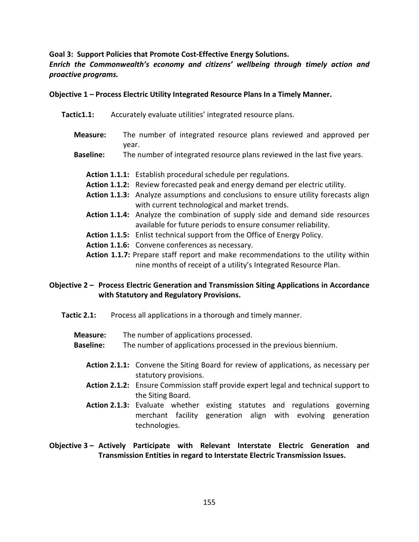Goal 3: Support Policies that Promote Cost-Effective Energy Solutions.

## Enrich the Commonwealth's economy and citizens' wellbeing through timely action and proactive programs.

## Objective 1 – Process Electric Utility Integrated Resource Plans In a Timely Manner.

- Tactic1.1: Accurately evaluate utilities' integrated resource plans.
	- Measure: The number of integrated resource plans reviewed and approved per year.
	- **Baseline:** The number of integrated resource plans reviewed in the last five years.
		- Action 1.1.1: Establish procedural schedule per regulations.
		- Action 1.1.2: Review forecasted peak and energy demand per electric utility.
		- Action 1.1.3: Analyze assumptions and conclusions to ensure utility forecasts align with current technological and market trends.
		- Action 1.1.4: Analyze the combination of supply side and demand side resources available for future periods to ensure consumer reliability.
		- Action 1.1.5: Enlist technical support from the Office of Energy Policy.
		- Action 1.1.6: Convene conferences as necessary.
		- Action 1.1.7: Prepare staff report and make recommendations to the utility within nine months of receipt of a utility's Integrated Resource Plan.

# Objective 2 – Process Electric Generation and Transmission Siting Applications in Accordance with Statutory and Regulatory Provisions.

- Tactic 2.1: Process all applications in a thorough and timely manner.
	- Measure: The number of applications processed.
	- Baseline: The number of applications processed in the previous biennium.
		- Action 2.1.1: Convene the Siting Board for review of applications, as necessary per statutory provisions.
		- Action 2.1.2: Ensure Commission staff provide expert legal and technical support to the Siting Board.
		- Action 2.1.3: Evaluate whether existing statutes and regulations governing merchant facility generation align with evolving generation technologies.

# Objective 3 – Actively Participate with Relevant Interstate Electric Generation and Transmission Entities in regard to Interstate Electric Transmission Issues.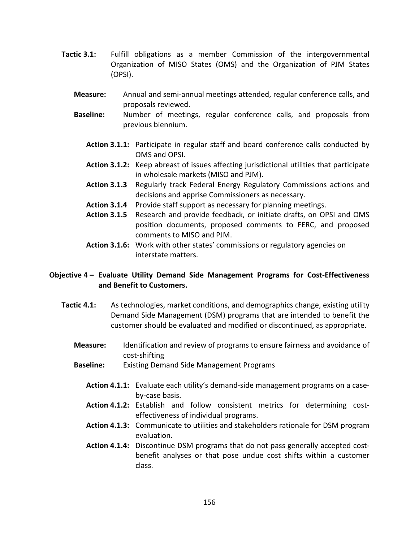- Tactic 3.1: Fulfill obligations as a member Commission of the intergovernmental Organization of MISO States (OMS) and the Organization of PJM States (OPSI).
	- Measure: Annual and semi-annual meetings attended, regular conference calls, and proposals reviewed.
	- Baseline: Number of meetings, regular conference calls, and proposals from previous biennium.
		- Action 3.1.1: Participate in regular staff and board conference calls conducted by OMS and OPSI.
		- Action 3.1.2: Keep abreast of issues affecting jurisdictional utilities that participate in wholesale markets (MISO and PJM).
		- Action 3.1.3 Regularly track Federal Energy Regulatory Commissions actions and decisions and apprise Commissioners as necessary.
		- Action 3.1.4 Provide staff support as necessary for planning meetings.
		- Action 3.1.5 Research and provide feedback, or initiate drafts, on OPSI and OMS position documents, proposed comments to FERC, and proposed comments to MISO and PJM.
		- Action 3.1.6: Work with other states' commissions or regulatory agencies on interstate matters.

# Objective 4 – Evaluate Utility Demand Side Management Programs for Cost-Effectiveness and Benefit to Customers.

- Tactic 4.1: As technologies, market conditions, and demographics change, existing utility Demand Side Management (DSM) programs that are intended to benefit the customer should be evaluated and modified or discontinued, as appropriate.
	- **Measure:** Identification and review of programs to ensure fairness and avoidance of cost-shifting
	- Baseline: Existing Demand Side Management Programs
		- Action 4.1.1: Evaluate each utility's demand-side management programs on a caseby-case basis.
		- Action 4.1.2: Establish and follow consistent metrics for determining costeffectiveness of individual programs.
		- Action 4.1.3: Communicate to utilities and stakeholders rationale for DSM program evaluation.
		- Action 4.1.4: Discontinue DSM programs that do not pass generally accepted costbenefit analyses or that pose undue cost shifts within a customer class.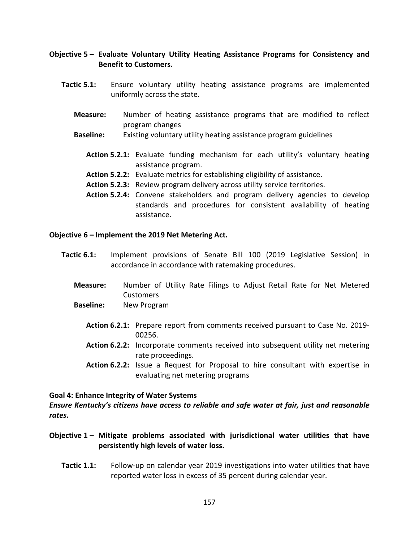## Objective 5 – Evaluate Voluntary Utility Heating Assistance Programs for Consistency and Benefit to Customers.

- Tactic 5.1: Ensure voluntary utility heating assistance programs are implemented uniformly across the state.
	- Measure: Number of heating assistance programs that are modified to reflect program changes
	- Baseline: Existing voluntary utility heating assistance program guidelines
		- Action 5.2.1: Evaluate funding mechanism for each utility's voluntary heating assistance program.
		- Action 5.2.2: Evaluate metrics for establishing eligibility of assistance.
		- Action 5.2.3: Review program delivery across utility service territories.
		- Action 5.2.4: Convene stakeholders and program delivery agencies to develop standards and procedures for consistent availability of heating assistance.

#### Objective 6 – Implement the 2019 Net Metering Act.

- Tactic 6.1: Implement provisions of Senate Bill 100 (2019 Legislative Session) in accordance in accordance with ratemaking procedures.
	- Measure: Number of Utility Rate Filings to Adjust Retail Rate for Net Metered **Customers**
	- Baseline: New Program
		- Action 6.2.1: Prepare report from comments received pursuant to Case No. 2019- 00256.
		- Action 6.2.2: Incorporate comments received into subsequent utility net metering rate proceedings.
		- Action 6.2.2: Issue a Request for Proposal to hire consultant with expertise in evaluating net metering programs

#### Goal 4: Enhance Integrity of Water Systems

Ensure Kentucky's citizens have access to reliable and safe water at fair, just and reasonable rates.

- Objective  $1$  Mitigate problems associated with jurisdictional water utilities that have persistently high levels of water loss.
	- Tactic 1.1: Follow-up on calendar year 2019 investigations into water utilities that have reported water loss in excess of 35 percent during calendar year.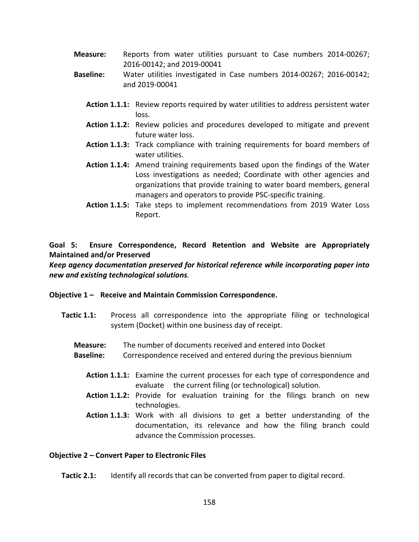- Measure: Reports from water utilities pursuant to Case numbers 2014-00267; 2016-00142; and 2019-00041
- Baseline: Water utilities investigated in Case numbers 2014-00267; 2016-00142; and 2019-00041
	- Action 1.1.1: Review reports required by water utilities to address persistent water loss.
	- Action 1.1.2: Review policies and procedures developed to mitigate and prevent future water loss.
	- Action 1.1.3: Track compliance with training requirements for board members of water utilities.
	- Action 1.1.4: Amend training requirements based upon the findings of the Water Loss investigations as needed; Coordinate with other agencies and organizations that provide training to water board members, general managers and operators to provide PSC-specific training.
	- Action 1.1.5: Take steps to implement recommendations from 2019 Water Loss Report.

# Goal 5: Ensure Correspondence, Record Retention and Website are Appropriately Maintained and/or Preserved

Keep agency documentation preserved for historical reference while incorporating paper into new and existing technological solutions.

## Objective 1 – Receive and Maintain Commission Correspondence.

- **Tactic 1.1:** Process all correspondence into the appropriate filing or technological system (Docket) within one business day of receipt.
	- Measure: The number of documents received and entered into Docket
	- Baseline: Correspondence received and entered during the previous biennium
		- Action 1.1.1: Examine the current processes for each type of correspondence and evaluate the current filing (or technological) solution.
		- Action 1.1.2: Provide for evaluation training for the filings branch on new technologies.
		- Action 1.1.3: Work with all divisions to get a better understanding of the documentation, its relevance and how the filing branch could advance the Commission processes.

## Objective 2 – Convert Paper to Electronic Files

Tactic 2.1: Identify all records that can be converted from paper to digital record.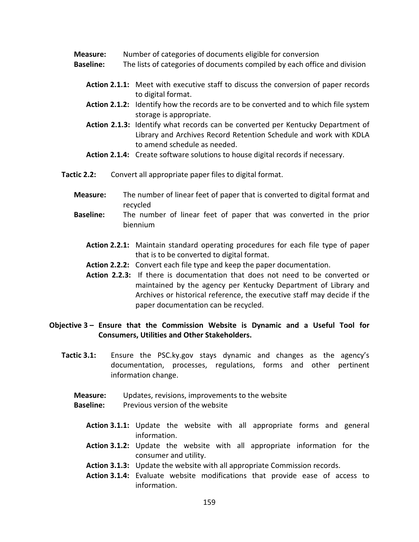- Measure: Number of categories of documents eligible for conversion
- Baseline: The lists of categories of documents compiled by each office and division
	- Action 2.1.1: Meet with executive staff to discuss the conversion of paper records to digital format.
	- Action 2.1.2: Identify how the records are to be converted and to which file system storage is appropriate.
	- Action 2.1.3: Identify what records can be converted per Kentucky Department of Library and Archives Record Retention Schedule and work with KDLA to amend schedule as needed.
	- Action 2.1.4: Create software solutions to house digital records if necessary.
- Tactic 2.2: Convert all appropriate paper files to digital format.
	- Measure: The number of linear feet of paper that is converted to digital format and recycled
	- Baseline: The number of linear feet of paper that was converted in the prior biennium
		- Action 2.2.1: Maintain standard operating procedures for each file type of paper that is to be converted to digital format.
		- Action 2.2.2: Convert each file type and keep the paper documentation.
		- Action 2.2.3: If there is documentation that does not need to be converted or maintained by the agency per Kentucky Department of Library and Archives or historical reference, the executive staff may decide if the paper documentation can be recycled.

## Objective 3 – Ensure that the Commission Website is Dynamic and a Useful Tool for Consumers, Utilities and Other Stakeholders.

- Tactic 3.1: Ensure the PSC.ky.gov stays dynamic and changes as the agency's documentation, processes, regulations, forms and other pertinent information change.
	- Measure: Updates, revisions, improvements to the website
	- Baseline: Previous version of the website
		- Action 3.1.1: Update the website with all appropriate forms and general information.
		- Action 3.1.2: Update the website with all appropriate information for the consumer and utility.
		- Action 3.1.3: Update the website with all appropriate Commission records.
		- Action 3.1.4: Evaluate website modifications that provide ease of access to information.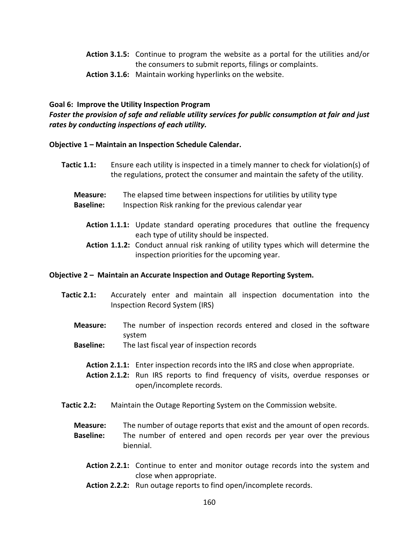- Action 3.1.5: Continue to program the website as a portal for the utilities and/or the consumers to submit reports, filings or complaints.
- Action 3.1.6: Maintain working hyperlinks on the website.

#### Goal 6: Improve the Utility Inspection Program

Foster the provision of safe and reliable utility services for public consumption at fair and just rates by conducting inspections of each utility.

## Objective 1 – Maintain an Inspection Schedule Calendar.

- Tactic 1.1: Ensure each utility is inspected in a timely manner to check for violation(s) of the regulations, protect the consumer and maintain the safety of the utility.
	- Measure: The elapsed time between inspections for utilities by utility type Baseline: Inspection Risk ranking for the previous calendar year
		- Action 1.1.1: Update standard operating procedures that outline the frequency each type of utility should be inspected.
		- Action 1.1.2: Conduct annual risk ranking of utility types which will determine the inspection priorities for the upcoming year.

#### Objective 2 – Maintain an Accurate Inspection and Outage Reporting System.

- Tactic 2.1: Accurately enter and maintain all inspection documentation into the Inspection Record System (IRS)
	- Measure: The number of inspection records entered and closed in the software system
	- **Baseline:** The last fiscal year of inspection records
		- Action 2.1.1: Enter inspection records into the IRS and close when appropriate.
		- Action 2.1.2: Run IRS reports to find frequency of visits, overdue responses or open/incomplete records.
- Tactic 2.2: Maintain the Outage Reporting System on the Commission website.
	- **Measure:** The number of outage reports that exist and the amount of open records. **Baseline:** The number of entered and open records per year over the previous biennial.
		- Action 2.2.1: Continue to enter and monitor outage records into the system and close when appropriate.
		- Action 2.2.2: Run outage reports to find open/incomplete records.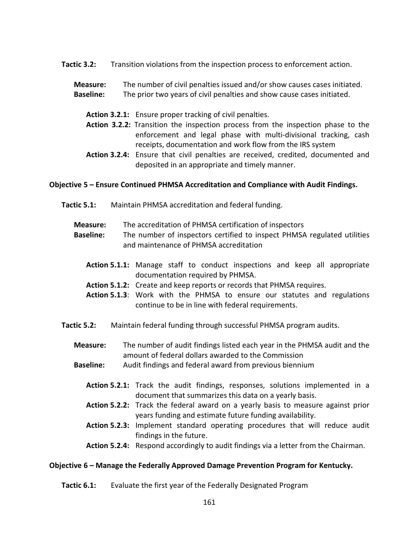- Tactic 3.2: Transition violations from the inspection process to enforcement action.
	- Measure: The number of civil penalties issued and/or show causes cases initiated. Baseline: The prior two years of civil penalties and show cause cases initiated.
		- Action 3.2.1: Ensure proper tracking of civil penalties.
		- Action 3.2.2: Transition the inspection process from the inspection phase to the enforcement and legal phase with multi-divisional tracking, cash receipts, documentation and work flow from the IRS system
		- Action 3.2.4: Ensure that civil penalties are received, credited, documented and deposited in an appropriate and timely manner.

#### Objective 5 – Ensure Continued PHMSA Accreditation and Compliance with Audit Findings.

- Tactic 5.1: Maintain PHMSA accreditation and federal funding.
	- Measure: The accreditation of PHMSA certification of inspectors
	- Baseline: The number of inspectors certified to inspect PHMSA regulated utilities and maintenance of PHMSA accreditation
		- Action 5.1.1: Manage staff to conduct inspections and keep all appropriate documentation required by PHMSA.
		- Action 5.1.2: Create and keep reports or records that PHMSA requires.
		- Action 5.1.3: Work with the PHMSA to ensure our statutes and regulations continue to be in line with federal requirements.
- Tactic 5.2: Maintain federal funding through successful PHMSA program audits.
	- Measure: The number of audit findings listed each year in the PHMSA audit and the amount of federal dollars awarded to the Commission
	- Baseline: Audit findings and federal award from previous biennium
		- Action 5.2.1: Track the audit findings, responses, solutions implemented in a document that summarizes this data on a yearly basis.
		- Action 5.2.2: Track the federal award on a yearly basis to measure against prior years funding and estimate future funding availability.
		- Action 5.2.3: Implement standard operating procedures that will reduce audit findings in the future.
		- Action 5.2.4: Respond accordingly to audit findings via a letter from the Chairman.

#### Objective 6 – Manage the Federally Approved Damage Prevention Program for Kentucky.

Tactic 6.1: Evaluate the first year of the Federally Designated Program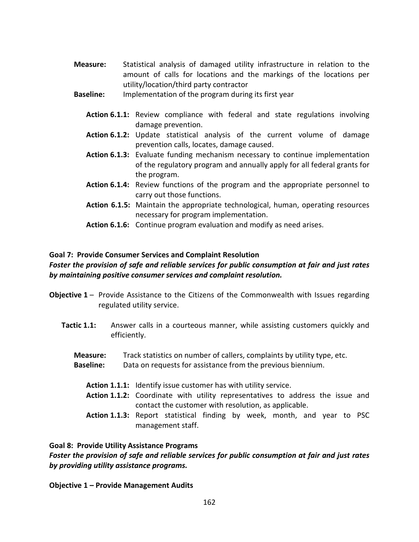- Measure: Statistical analysis of damaged utility infrastructure in relation to the amount of calls for locations and the markings of the locations per utility/location/third party contractor
- **Baseline:** Implementation of the program during its first year
	- Action 6.1.1: Review compliance with federal and state regulations involving damage prevention.
	- Action 6.1.2: Update statistical analysis of the current volume of damage prevention calls, locates, damage caused.
	- Action 6.1.3: Evaluate funding mechanism necessary to continue implementation of the regulatory program and annually apply for all federal grants for the program.
	- Action 6.1.4: Review functions of the program and the appropriate personnel to carry out those functions.
	- Action 6.1.5: Maintain the appropriate technological, human, operating resources necessary for program implementation.
	- Action 6.1.6: Continue program evaluation and modify as need arises.

#### Goal 7: Provide Consumer Services and Complaint Resolution

# Foster the provision of safe and reliable services for public consumption at fair and just rates by maintaining positive consumer services and complaint resolution.

- Objective 1 Provide Assistance to the Citizens of the Commonwealth with Issues regarding regulated utility service.
	- **Tactic 1.1:** Answer calls in a courteous manner, while assisting customers quickly and efficiently.
		- Measure: Track statistics on number of callers, complaints by utility type, etc.
		- Baseline: Data on requests for assistance from the previous biennium.
			- Action 1.1.1: Identify issue customer has with utility service.
			- Action 1.1.2: Coordinate with utility representatives to address the issue and contact the customer with resolution, as applicable.
			- Action 1.1.3: Report statistical finding by week, month, and year to PSC management staff.

## Goal 8: Provide Utility Assistance Programs

## Foster the provision of safe and reliable services for public consumption at fair and just rates by providing utility assistance programs.

#### Objective 1 – Provide Management Audits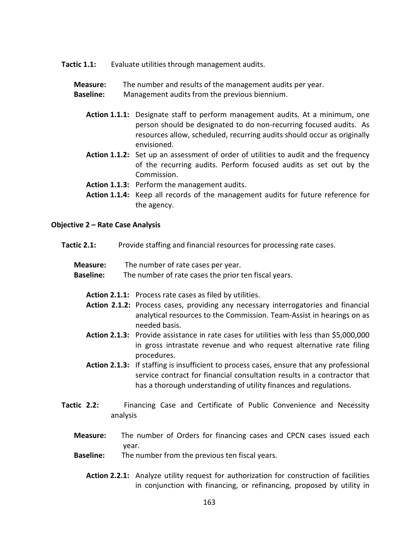Tactic 1.1: Evaluate utilities through management audits.

#### Measure: The number and results of the management audits per year.

Baseline: Management audits from the previous biennium.

- Action 1.1.1: Designate staff to perform management audits. At a minimum, one person should be designated to do non-recurring focused audits. As resources allow, scheduled, recurring audits should occur as originally envisioned.
- Action 1.1.2: Set up an assessment of order of utilities to audit and the frequency of the recurring audits. Perform focused audits as set out by the Commission.
- Action 1.1.3: Perform the management audits.
- Action 1.1.4: Keep all records of the management audits for future reference for the agency.

#### Objective 2 – Rate Case Analysis

| Tactic 2.1: |  | Provide staffing and financial resources for processing rate cases. |
|-------------|--|---------------------------------------------------------------------|
|-------------|--|---------------------------------------------------------------------|

| Measure: | The number of rate cases per year. |
|----------|------------------------------------|
|----------|------------------------------------|

- **Baseline:** The number of rate cases the prior ten fiscal years.
	- Action 2.1.1: Process rate cases as filed by utilities.
	- Action 2.1.2: Process cases, providing any necessary interrogatories and financial analytical resources to the Commission. Team-Assist in hearings on as needed basis.
	- Action 2.1.3: Provide assistance in rate cases for utilities with less than \$5,000,000 in gross intrastate revenue and who request alternative rate filing procedures.
	- Action 2.1.3: If staffing is insufficient to process cases, ensure that any professional service contract for financial consultation results in a contractor that has a thorough understanding of utility finances and regulations.
- Tactic 2.2: Financing Case and Certificate of Public Convenience and Necessity analysis
	- Measure: The number of Orders for financing cases and CPCN cases issued each year.
	- Baseline: The number from the previous ten fiscal years.
		- Action 2.2.1: Analyze utility request for authorization for construction of facilities in conjunction with financing, or refinancing, proposed by utility in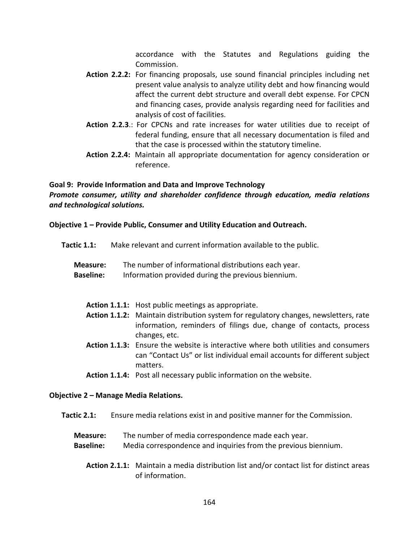accordance with the Statutes and Regulations guiding the Commission.

- Action 2.2.2: For financing proposals, use sound financial principles including net present value analysis to analyze utility debt and how financing would affect the current debt structure and overall debt expense. For CPCN and financing cases, provide analysis regarding need for facilities and analysis of cost of facilities.
- Action 2.2.3.: For CPCNs and rate increases for water utilities due to receipt of federal funding, ensure that all necessary documentation is filed and that the case is processed within the statutory timeline.
- Action 2.2.4: Maintain all appropriate documentation for agency consideration or reference.

# Goal 9: Provide Information and Data and Improve Technology Promote consumer, utility and shareholder confidence through education, media relations and technological solutions.

## Objective 1 – Provide Public, Consumer and Utility Education and Outreach.

- Tactic 1.1: Make relevant and current information available to the public.
	- Measure: The number of informational distributions each year.
	- Baseline: Information provided during the previous biennium.
		- Action 1.1.1: Host public meetings as appropriate.
		- Action 1.1.2: Maintain distribution system for regulatory changes, newsletters, rate information, reminders of filings due, change of contacts, process changes, etc.
		- Action 1.1.3: Ensure the website is interactive where both utilities and consumers can "Contact Us" or list individual email accounts for different subject matters.
		- Action 1.1.4: Post all necessary public information on the website.

## Objective 2 – Manage Media Relations.

- Tactic 2.1: Ensure media relations exist in and positive manner for the Commission.
	- Measure: The number of media correspondence made each year.
	- Baseline: Media correspondence and inquiries from the previous biennium.
		- Action 2.1.1: Maintain a media distribution list and/or contact list for distinct areas of information.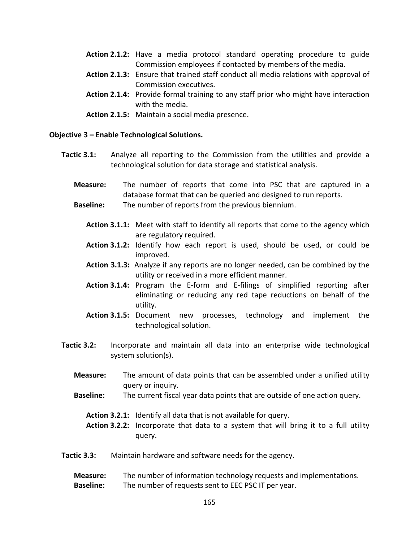- Action 2.1.2: Have a media protocol standard operating procedure to guide Commission employees if contacted by members of the media.
- Action 2.1.3: Ensure that trained staff conduct all media relations with approval of Commission executives.
- Action 2.1.4: Provide formal training to any staff prior who might have interaction with the media.
- Action 2.1.5: Maintain a social media presence.

#### Objective 3 – Enable Technological Solutions.

- Tactic 3.1: Analyze all reporting to the Commission from the utilities and provide a technological solution for data storage and statistical analysis.
	- Measure: The number of reports that come into PSC that are captured in a database format that can be queried and designed to run reports.
	- **Baseline:** The number of reports from the previous biennium.
		- Action 3.1.1: Meet with staff to identify all reports that come to the agency which are regulatory required.
		- Action 3.1.2: Identify how each report is used, should be used, or could be improved.
		- Action 3.1.3: Analyze if any reports are no longer needed, can be combined by the utility or received in a more efficient manner.
		- Action 3.1.4: Program the E-form and E-filings of simplified reporting after eliminating or reducing any red tape reductions on behalf of the utility.
		- Action 3.1.5: Document new processes, technology and implement the technological solution.
- Tactic 3.2: Incorporate and maintain all data into an enterprise wide technological system solution(s).
	- Measure: The amount of data points that can be assembled under a unified utility query or inquiry.
	- Baseline: The current fiscal year data points that are outside of one action query.
		- Action 3.2.1: Identify all data that is not available for query.
		- Action 3.2.2: Incorporate that data to a system that will bring it to a full utility query.
- Tactic 3.3: Maintain hardware and software needs for the agency.

## Measure: The number of information technology requests and implementations. Baseline: The number of requests sent to EEC PSC IT per year.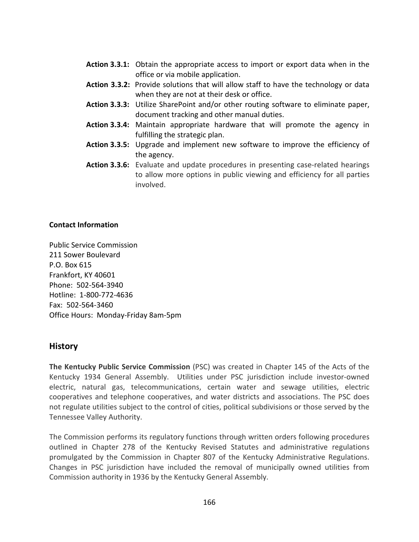- Action 3.3.1: Obtain the appropriate access to import or export data when in the office or via mobile application.
- Action 3.3.2: Provide solutions that will allow staff to have the technology or data when they are not at their desk or office.
- Action 3.3.3: Utilize SharePoint and/or other routing software to eliminate paper, document tracking and other manual duties.
- Action 3.3.4: Maintain appropriate hardware that will promote the agency in fulfilling the strategic plan.
- Action 3.3.5: Upgrade and implement new software to improve the efficiency of the agency.
- Action 3.3.6: Evaluate and update procedures in presenting case-related hearings to allow more options in public viewing and efficiency for all parties involved.

## Contact Information

Public Service Commission 211 Sower Boulevard P.O. Box 615 Frankfort, KY 40601 Phone: 502-564-3940 Hotline: 1-800-772-4636 Fax: 502-564-3460 Office Hours: Monday-Friday 8am-5pm

# **History**

The Kentucky Public Service Commission (PSC) was created in Chapter 145 of the Acts of the Kentucky 1934 General Assembly. Utilities under PSC jurisdiction include investor-owned electric, natural gas, telecommunications, certain water and sewage utilities, electric cooperatives and telephone cooperatives, and water districts and associations. The PSC does not regulate utilities subject to the control of cities, political subdivisions or those served by the Tennessee Valley Authority.

The Commission performs its regulatory functions through written orders following procedures outlined in Chapter 278 of the Kentucky Revised Statutes and administrative regulations promulgated by the Commission in Chapter 807 of the Kentucky Administrative Regulations. Changes in PSC jurisdiction have included the removal of municipally owned utilities from Commission authority in 1936 by the Kentucky General Assembly.